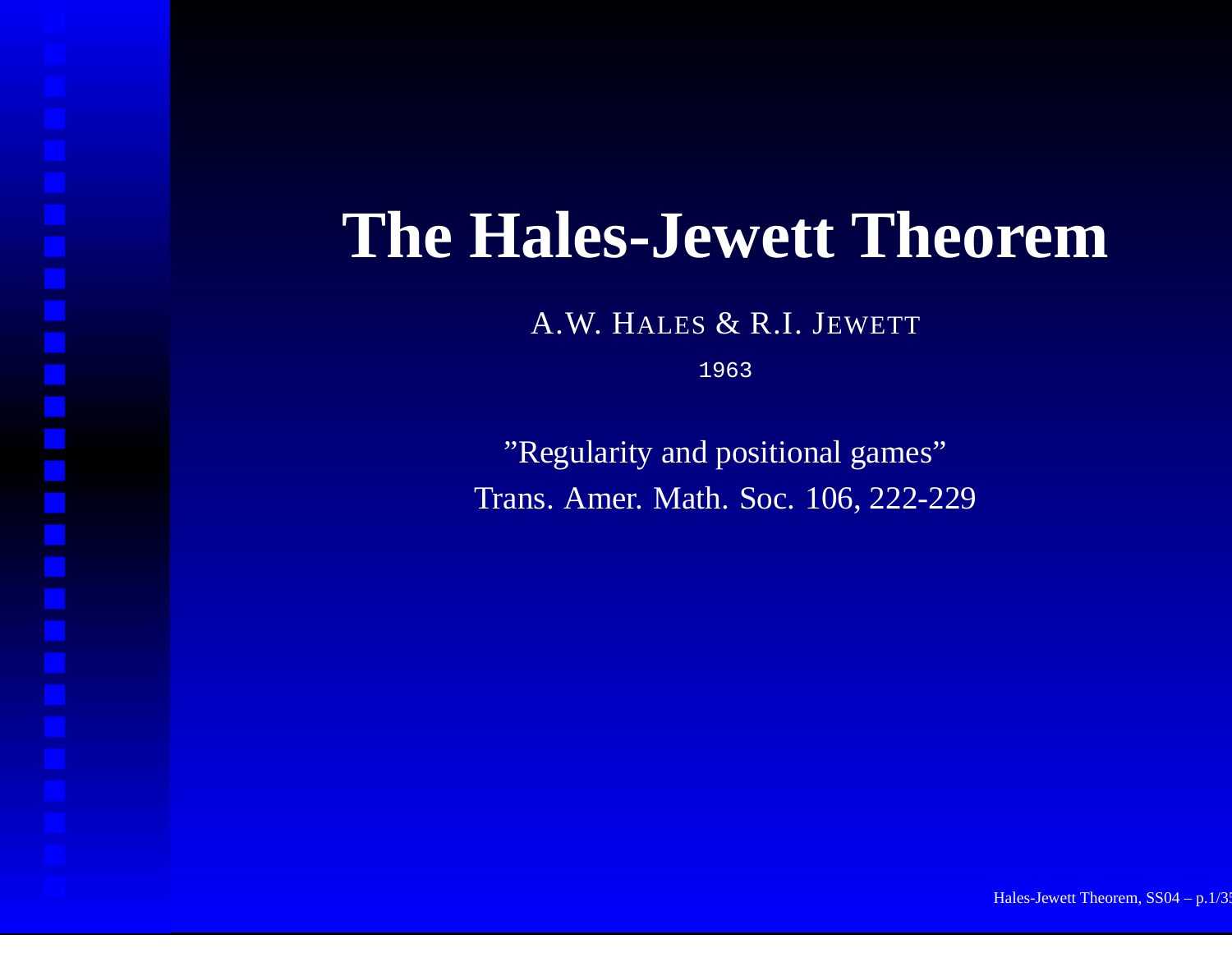#### **The Hales-Jewett Theorem**

A.W. HALES & R.I. JEWETT

1963

"Regularity and positional games" Trans. Amer. Math. Soc. 106, 222-229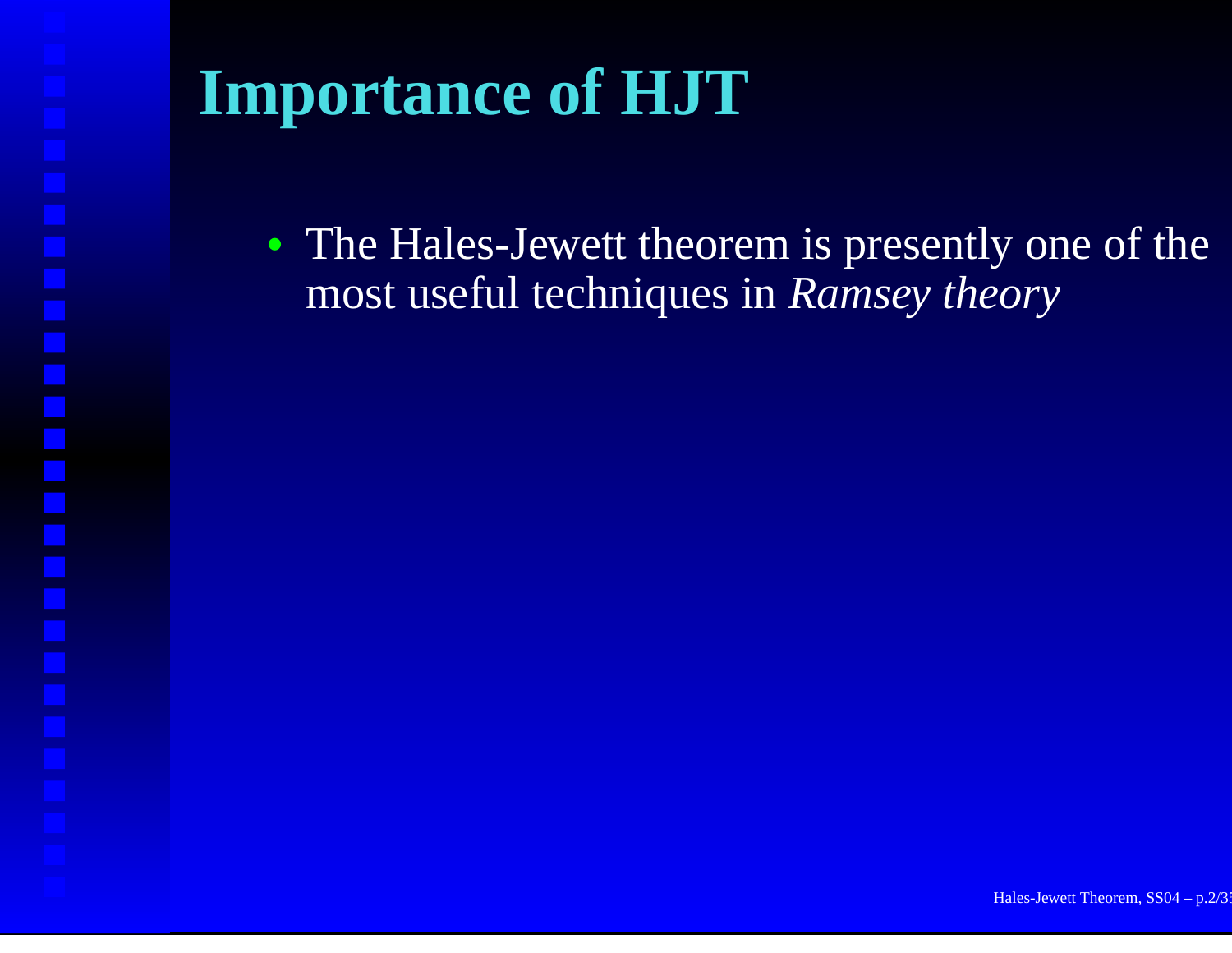# **Importance of HJT**

• The Hales-Jewett theorem is presently one of the most useful techniques in *Ramsey theory*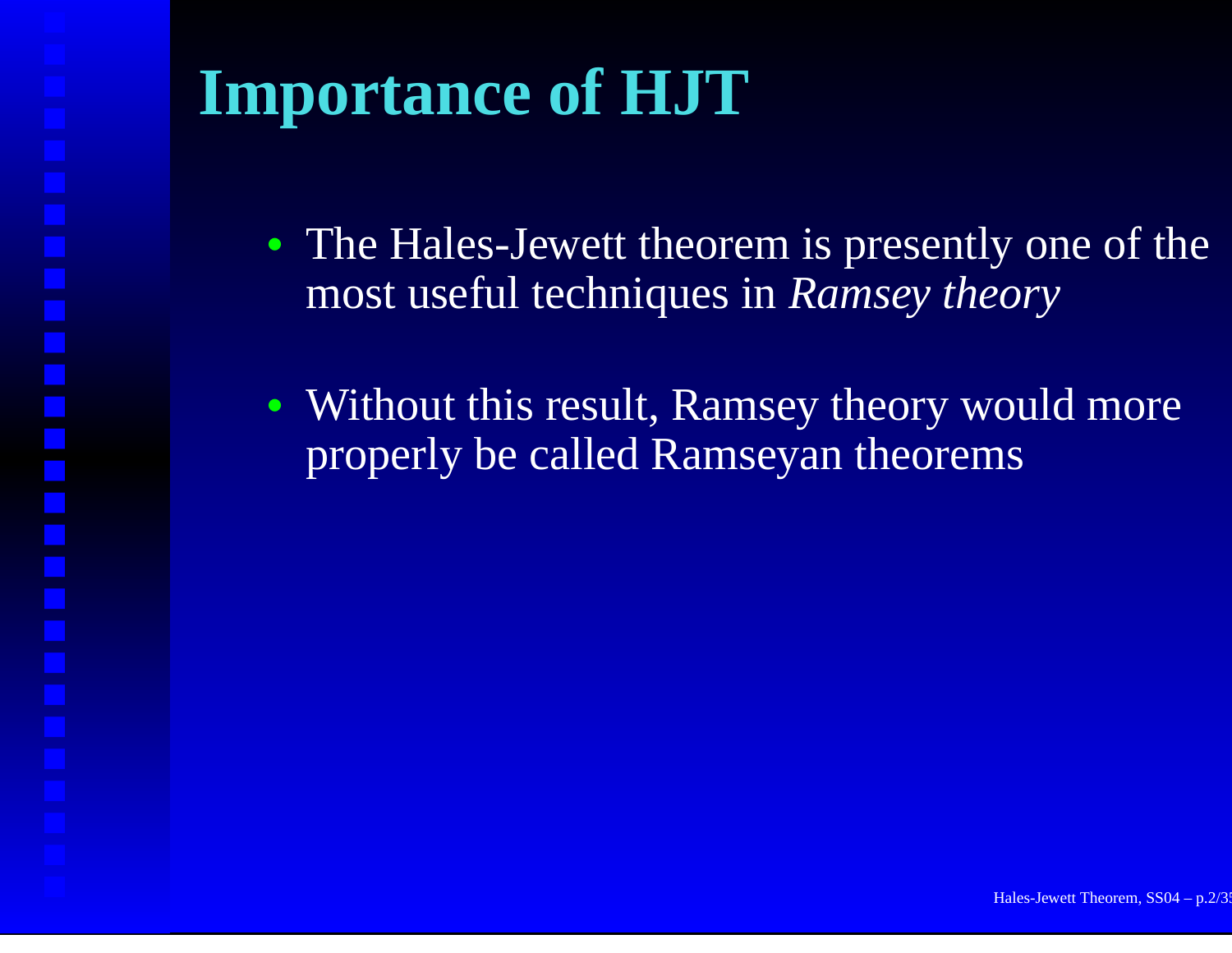# **Importance of HJT**

- The Hales-Jewett theorem is presently one of the most useful techniques in *Ramsey theory*
- Without this result, Ramsey theory would more properly be called Ramseyan theorems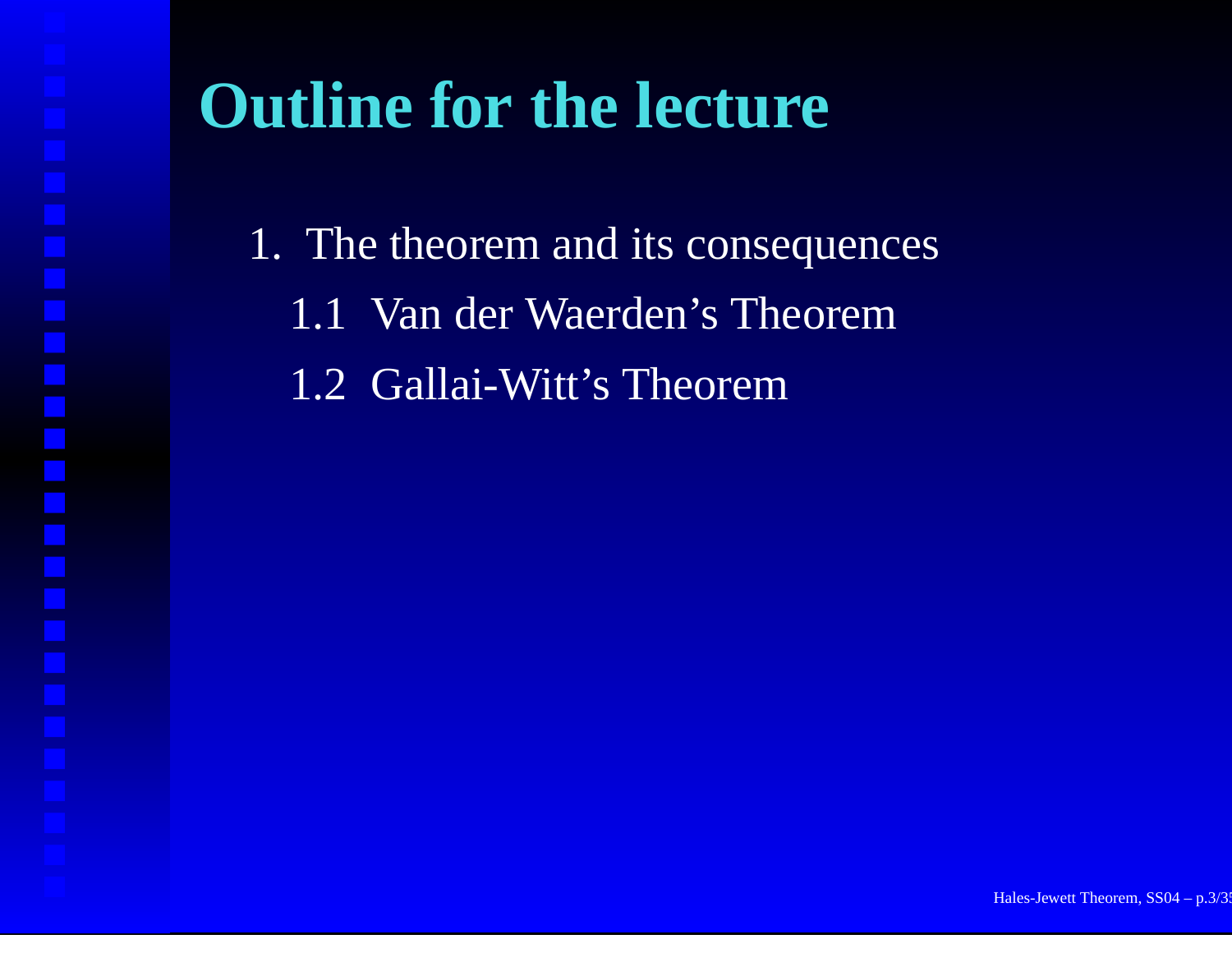# **Outline for the lecture**

1. The theorem and its consequences

1.1 Van der Waerden's Theorem

1.2 Gallai-Witt's Theorem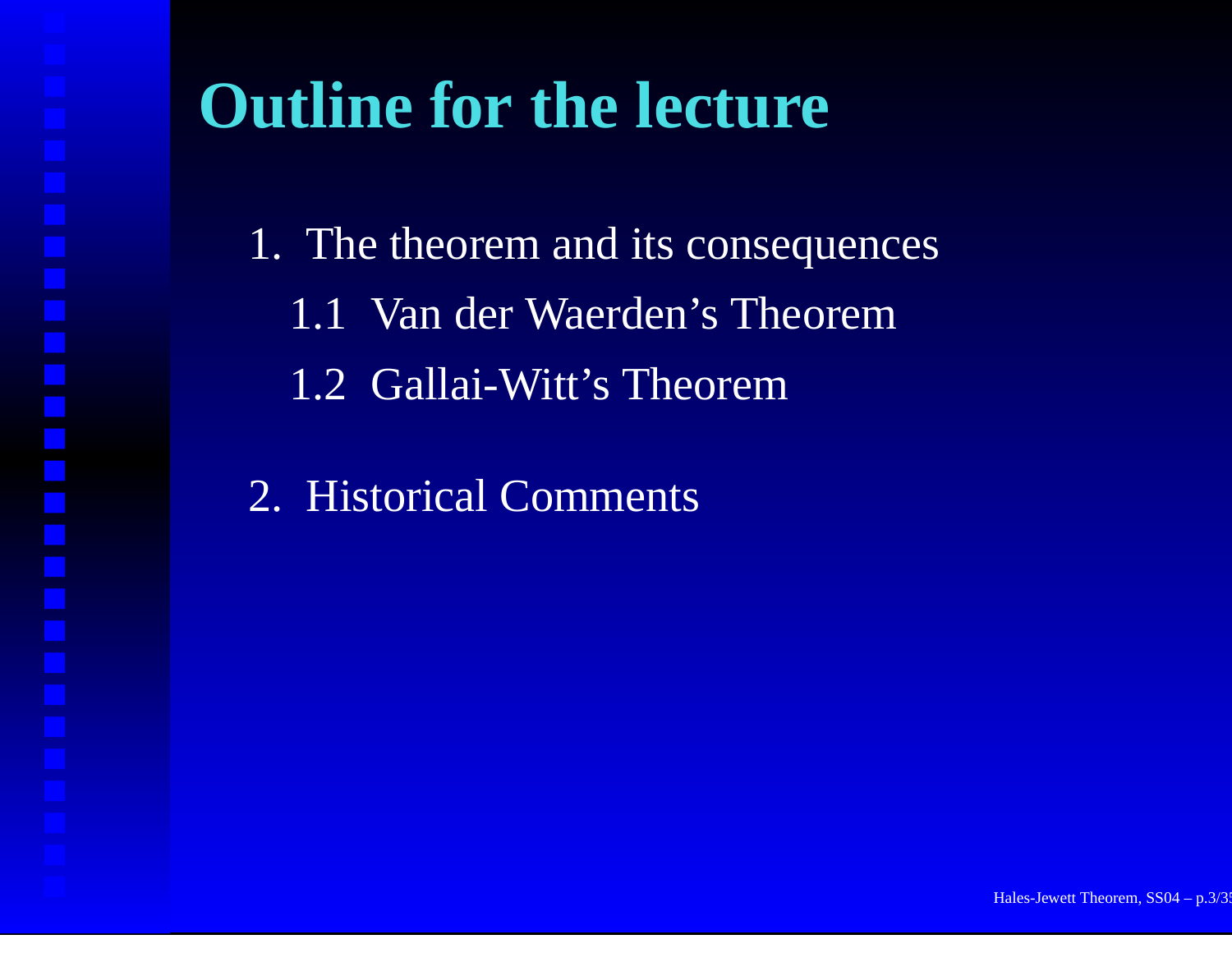# **Outline for the lecture**

1. The theorem and its consequences

- 1.1 Van der Waerden's Theorem
- 1.2 Gallai-Witt's Theorem
- 2. Historical Comments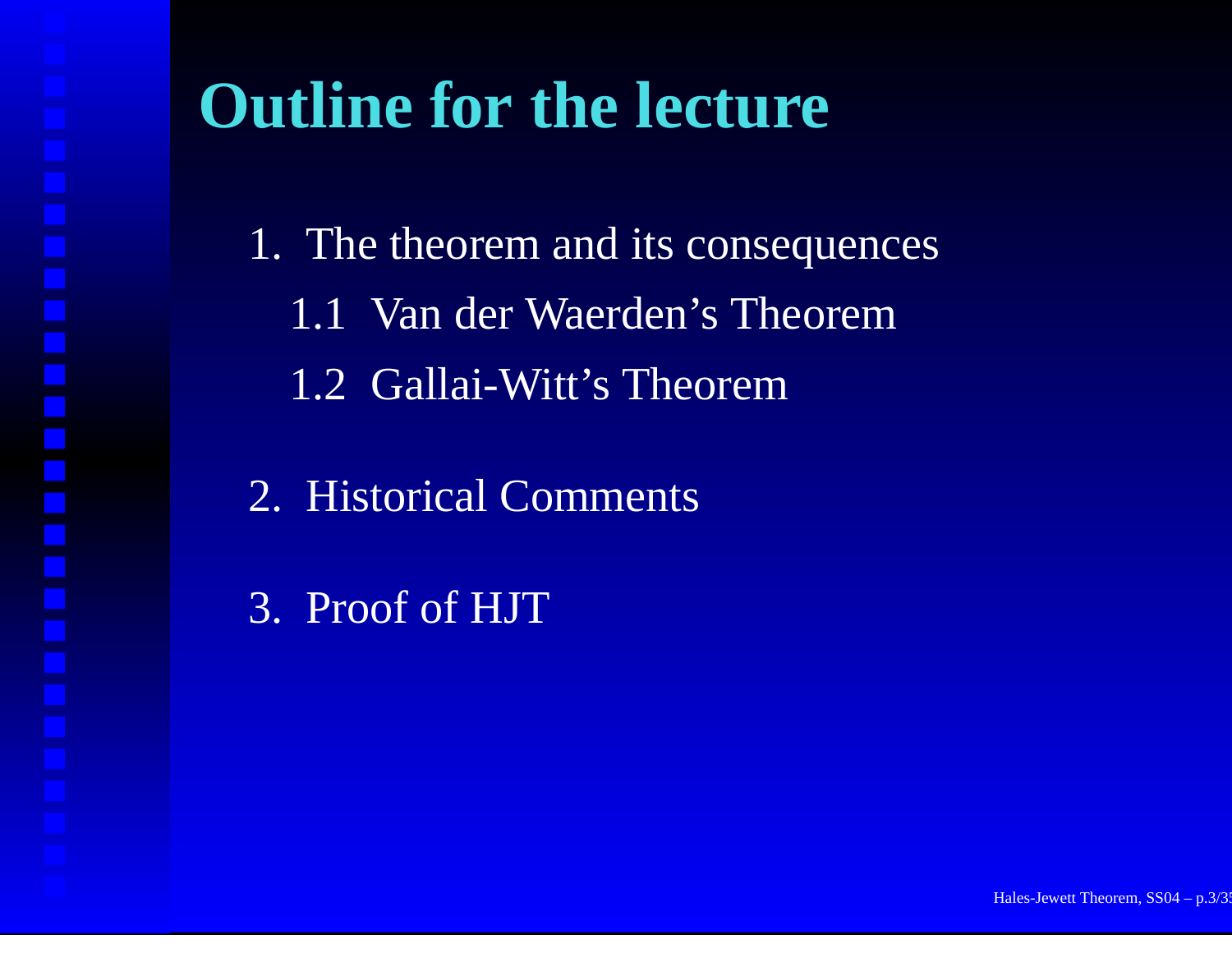# **Outline for the lecture**

1. The theorem and its consequences

- 1.1 Van der Waerden's Theorem
- 1.2 Gallai-Witt's Theorem
- 2. Historical Comments
- 3. Proof of HJT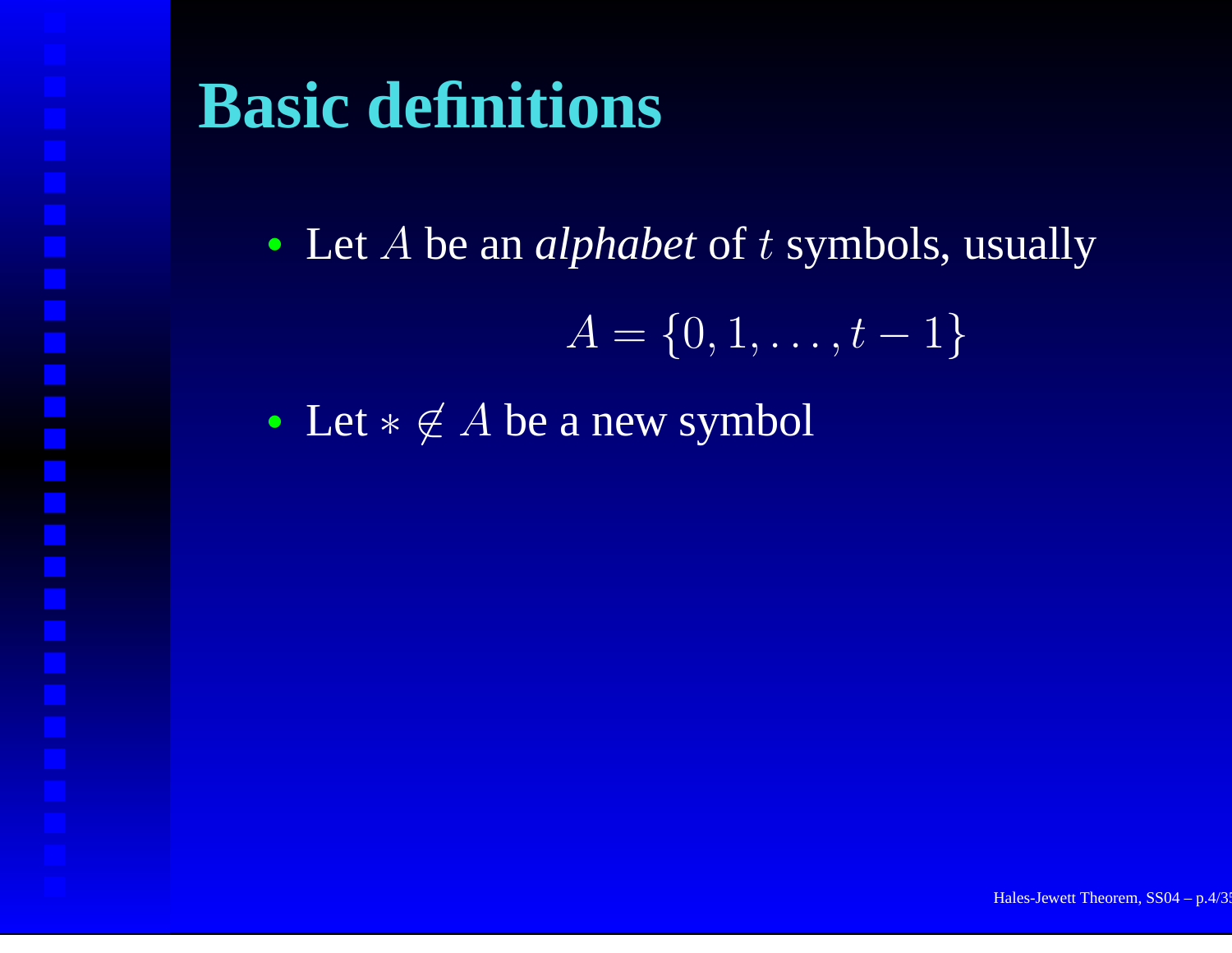# **Basic definitions**

• Let A be an *alphabet* of t symbols, usually

$$
A = \{0,1,\ldots,t-1\}
$$

• Let  $* \notin A$  be a new symbol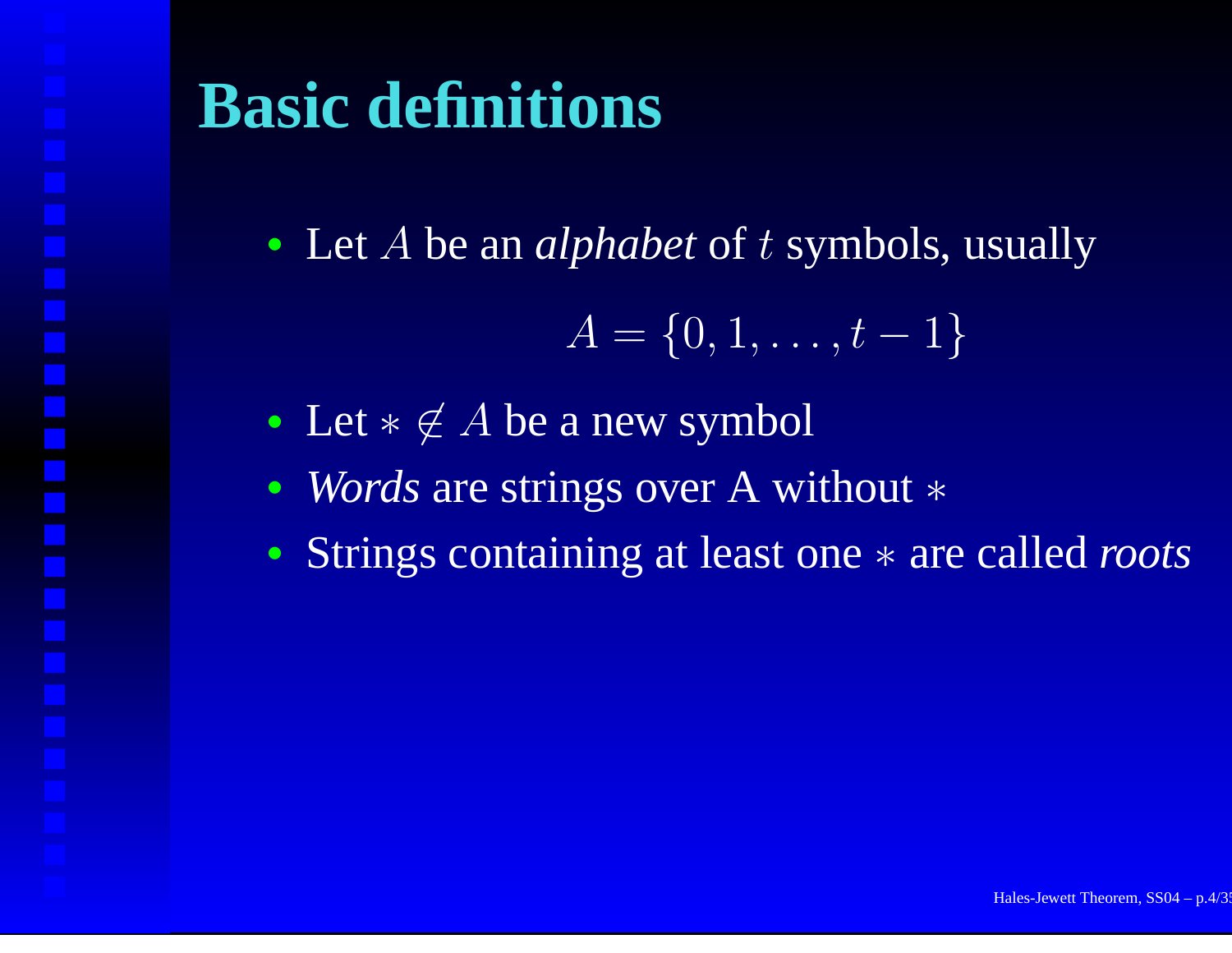# **Basic definitions**

• Let A be an *alphabet* of t symbols, usually

$$
A = \{0,1,\ldots,t-1\}
$$

- Let  $* \notin A$  be a new symbol
- *Words* are strings over A without <sup>∗</sup>
- Strings containing at least one <sup>∗</sup> are called *roots*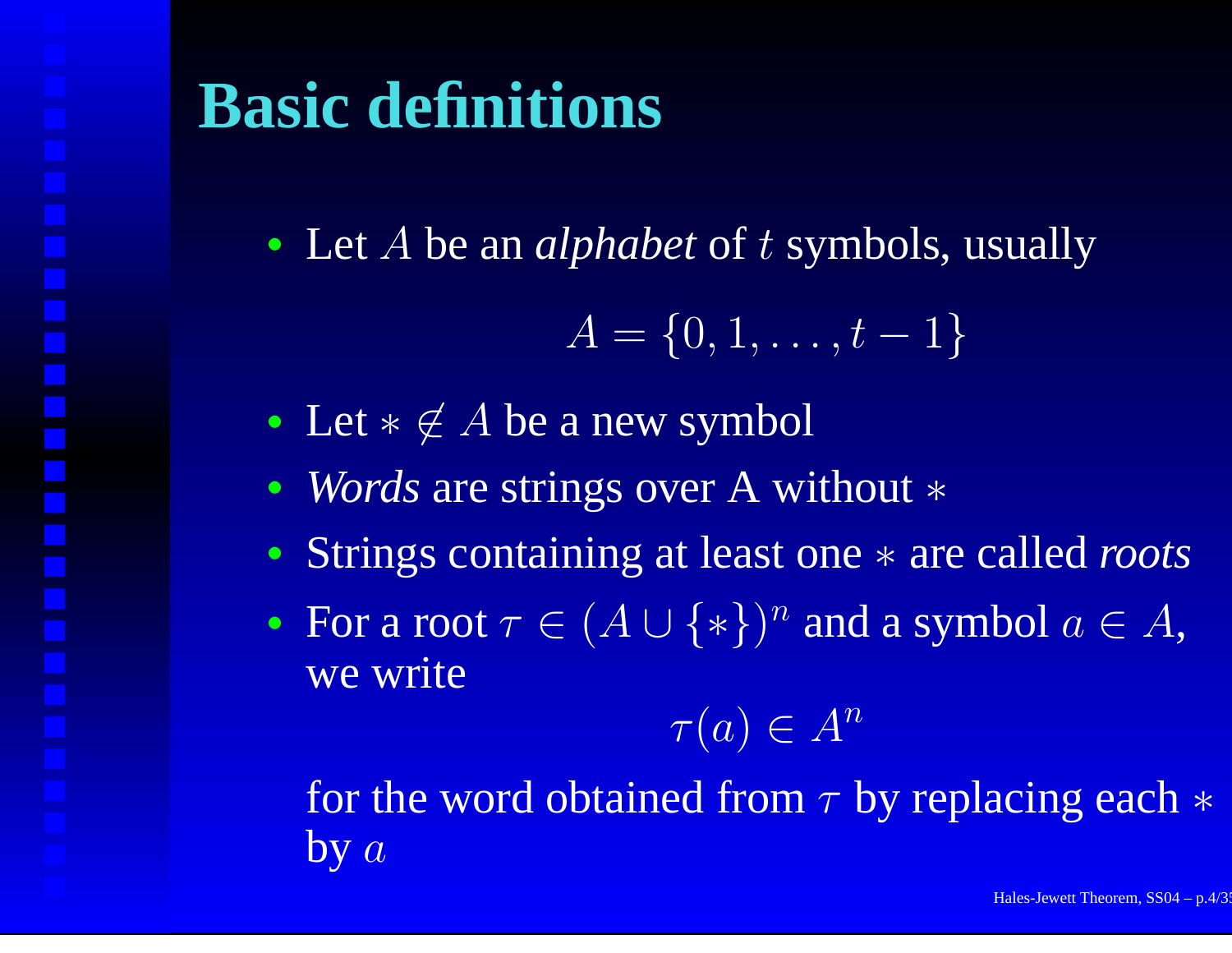# **Basic definitions**

• Let A be an *alphabet* of t symbols, usually

$$
A = \{0,1,\ldots,t-1\}
$$

- Let  $* \notin A$  be a new symbol
- *Words* are strings over A without <sup>∗</sup>
- Strings containing at least one <sup>∗</sup> are called *roots*
- For a root  $\tau \in (A \cup \{*\})^n$  and a symbol  $a \in A,$ we write

$$
\tau(a) \in A^n
$$

for the word obtained from  $\tau$  by replacing each  $\ast$  $by \ a$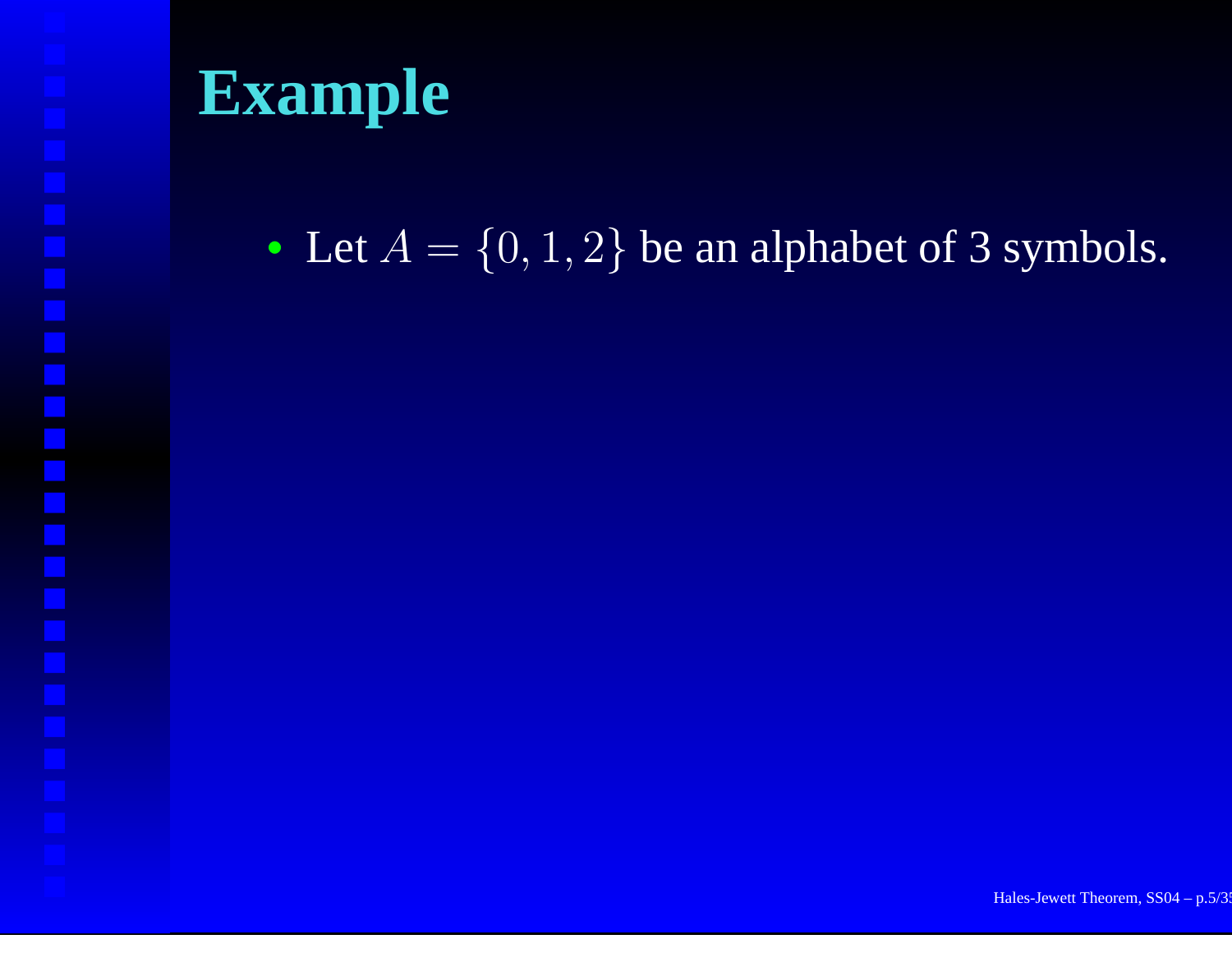• Let  $A = \{0, 1, 2\}$  be an alphabet of 3 symbols.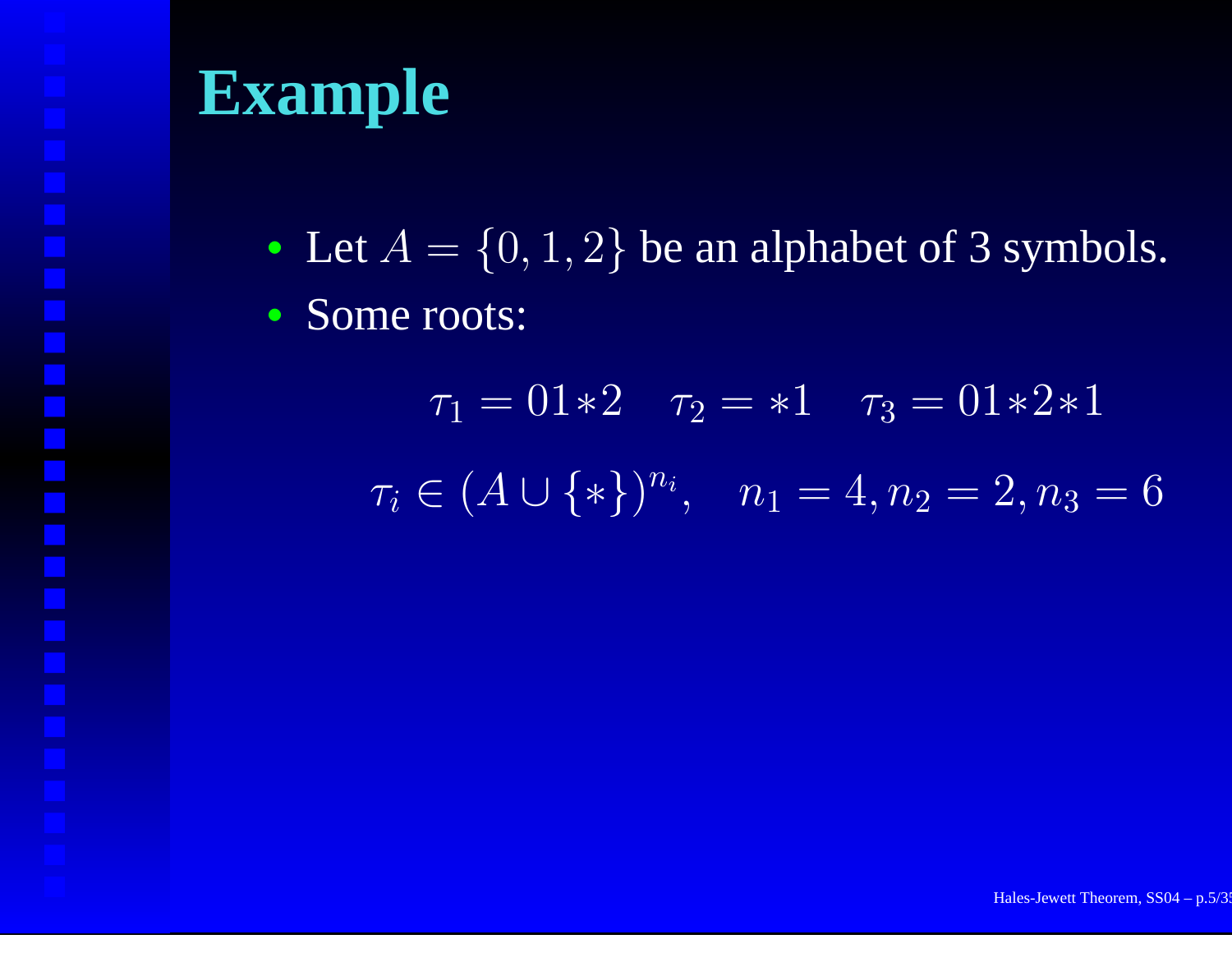• Let  $A = \{0, 1, 2\}$  be an alphabet of 3 symbols.

• Some roots:

 $\tau_1=01{\ast}2$   $\tau_2={\ast}1$   $\tau_3=01{\ast}2{\ast}1$  $\tau_i \in (A \cup \{*\})^{n_i}, \quad n_1 = 4, n_2 = 2, n_3 = 6$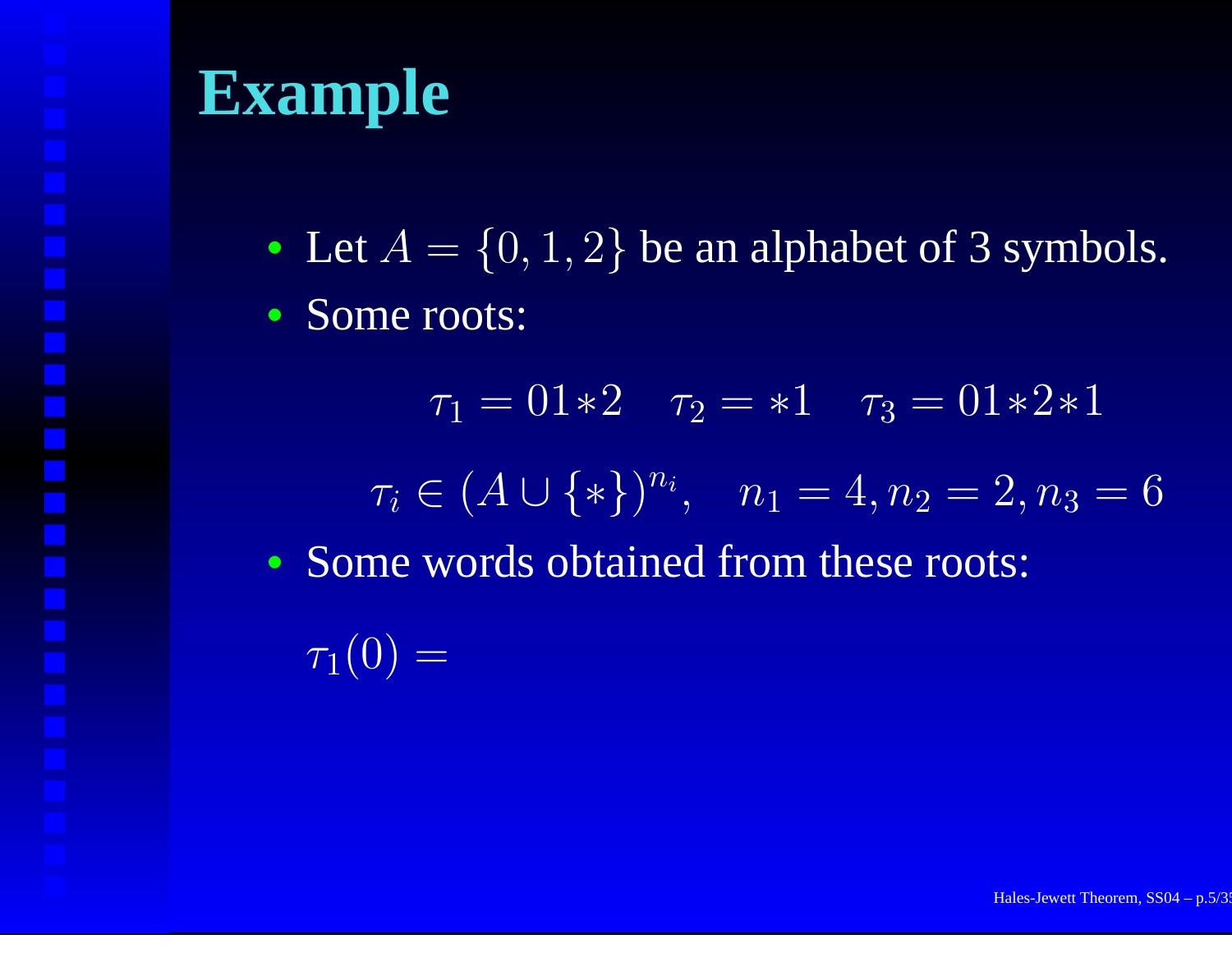• Let  $A = \{0, 1, 2\}$  be an alphabet of 3 symbols.

• Some roots:

 $\tau_1=01{\ast}2$   $\tau_2={\ast}1$   $\tau_3=01{\ast}2{\ast}1$  $\tau_i \in (A \cup \{*\})^{n_i}, \quad n_1 = 4, n_2 = 2, n_3 = 6$ • Some words obtained from these roots:

 $\tau_1(0) =$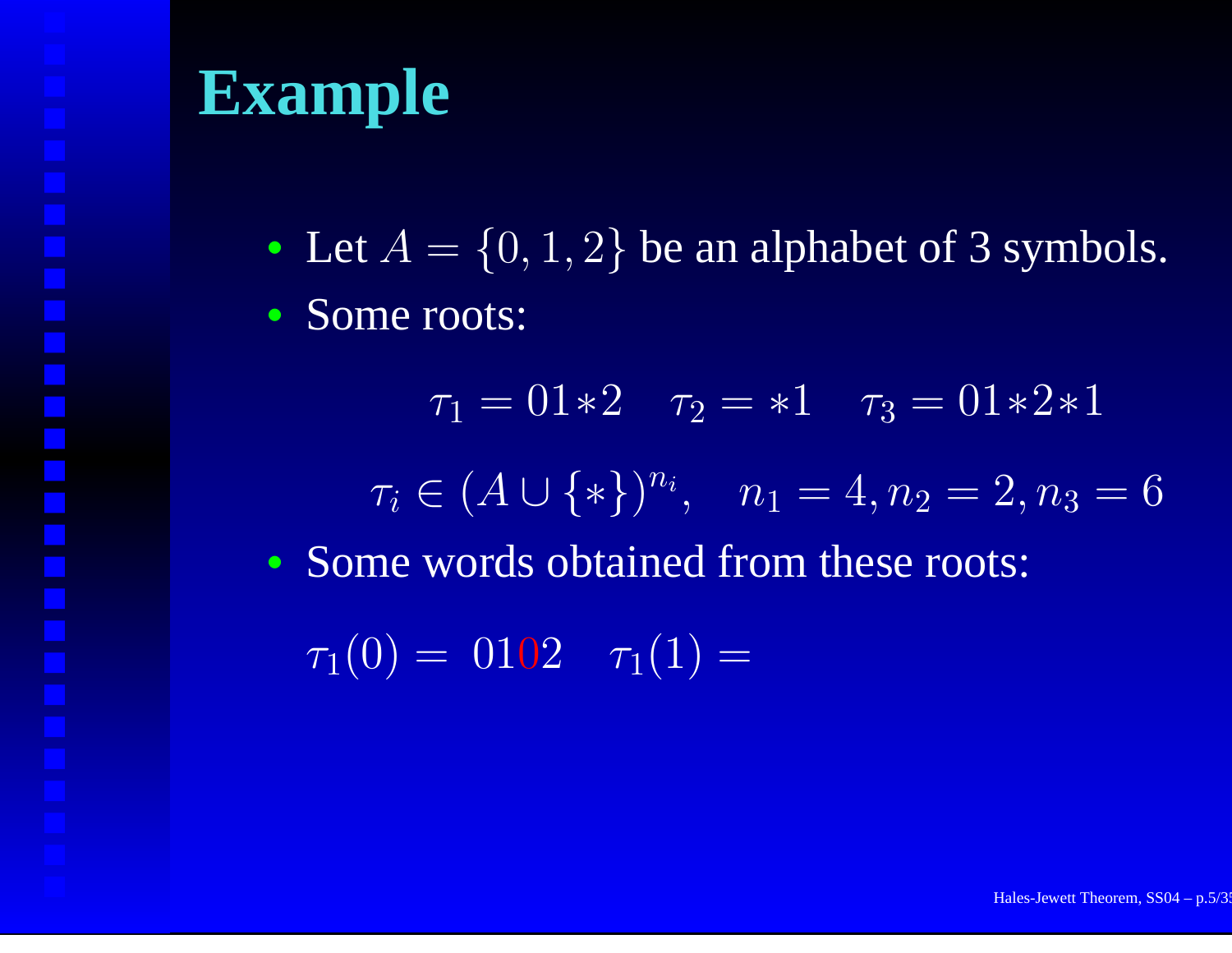• Let  $A = \{0, 1, 2\}$  be an alphabet of 3 symbols.

• Some roots:

 $\tau_1=01{\ast}2$   $\tau_2={\ast}1$   $\tau_3=01{\ast}2{\ast}1$  $\tau_i \in (A \cup \{*\})^{n_i}, \quad n_1 = 4, n_2 = 2, n_3 = 6$ • Some words obtained from these roots:  $\tau_1(0) = 0102$   $\tau_1(1) =$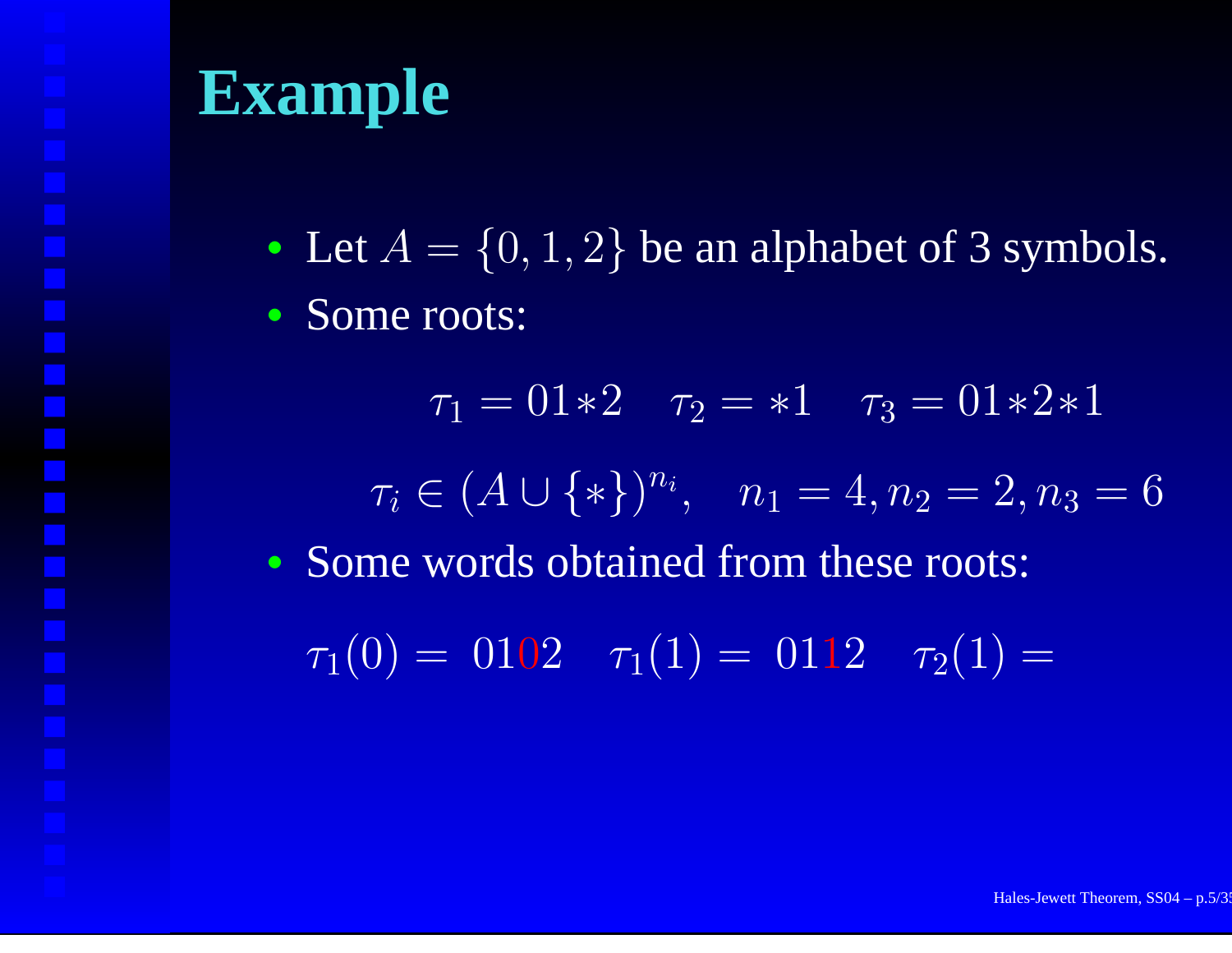• Let  $A = \{0, 1, 2\}$  be an alphabet of 3 symbols.

• Some roots:

 $\tau_1=01{\ast}2$   $\tau_2={\ast}1$   $\tau_3=01{\ast}2{\ast}1$  $\tau_i \in (A \cup \{*\})^{n_i}, \quad n_1 = 4, n_2 = 2, n_3 = 6$ • Some words obtained from these roots:  $\tau_1(0) = 0102$   $\tau_1(1) = 0112$   $\tau_2(1) =$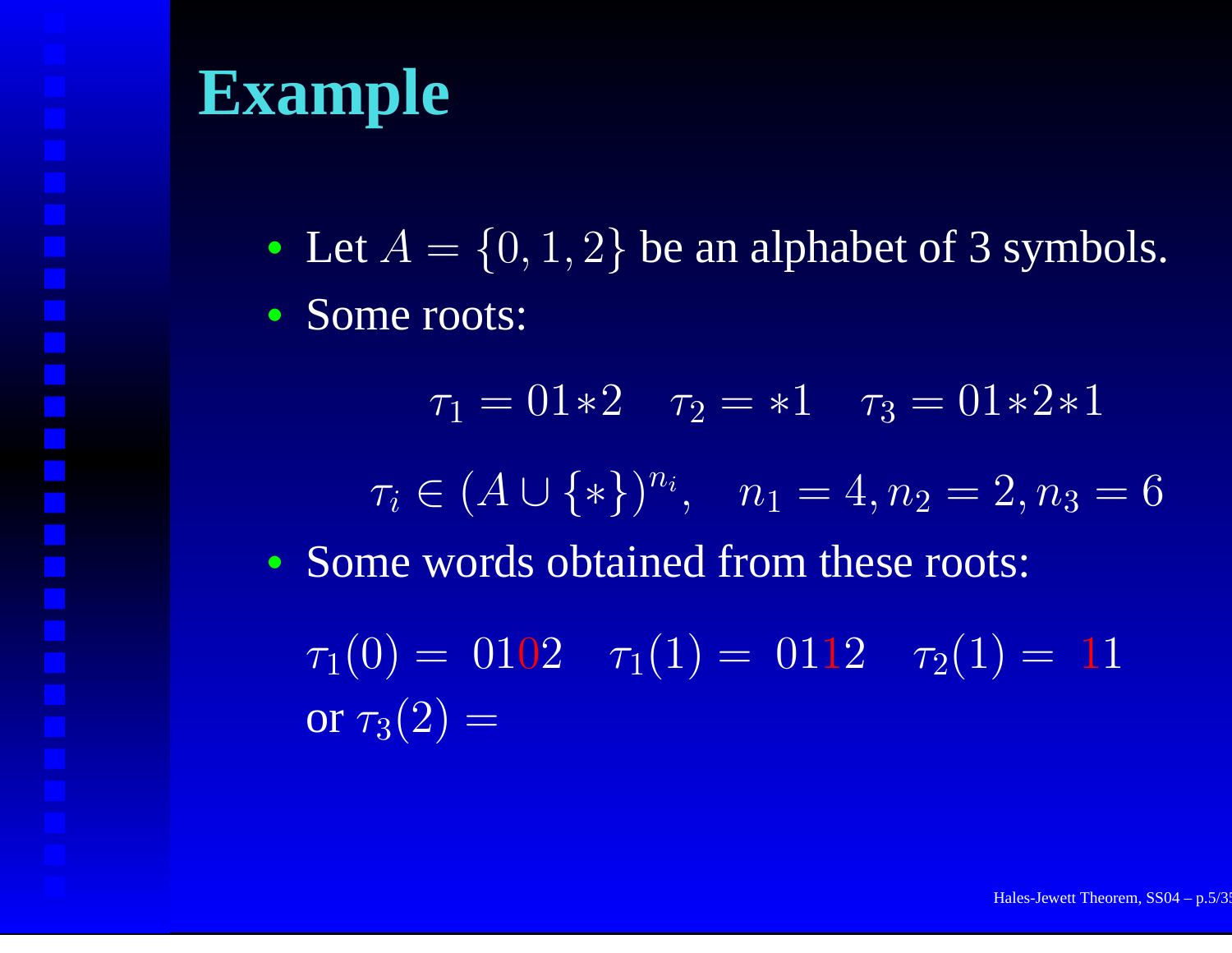• Let  $A = \{0, 1, 2\}$  be an alphabet of 3 symbols.

• Some roots:

 $\tau_1=01{\ast}2$   $\tau_2={\ast}1$   $\tau_3=01{\ast}2{\ast}1$  $\tau_i \in (A \cup \{*\})^{n_i}, \quad n_1 = 4, n_2 = 2, n_3 = 6$ • Some words obtained from these roots:  $\tau_1(0) = 0102$   $\tau_1(1) = 0112$   $\tau_2(1) = 11$ or  $\tau_3(2) =$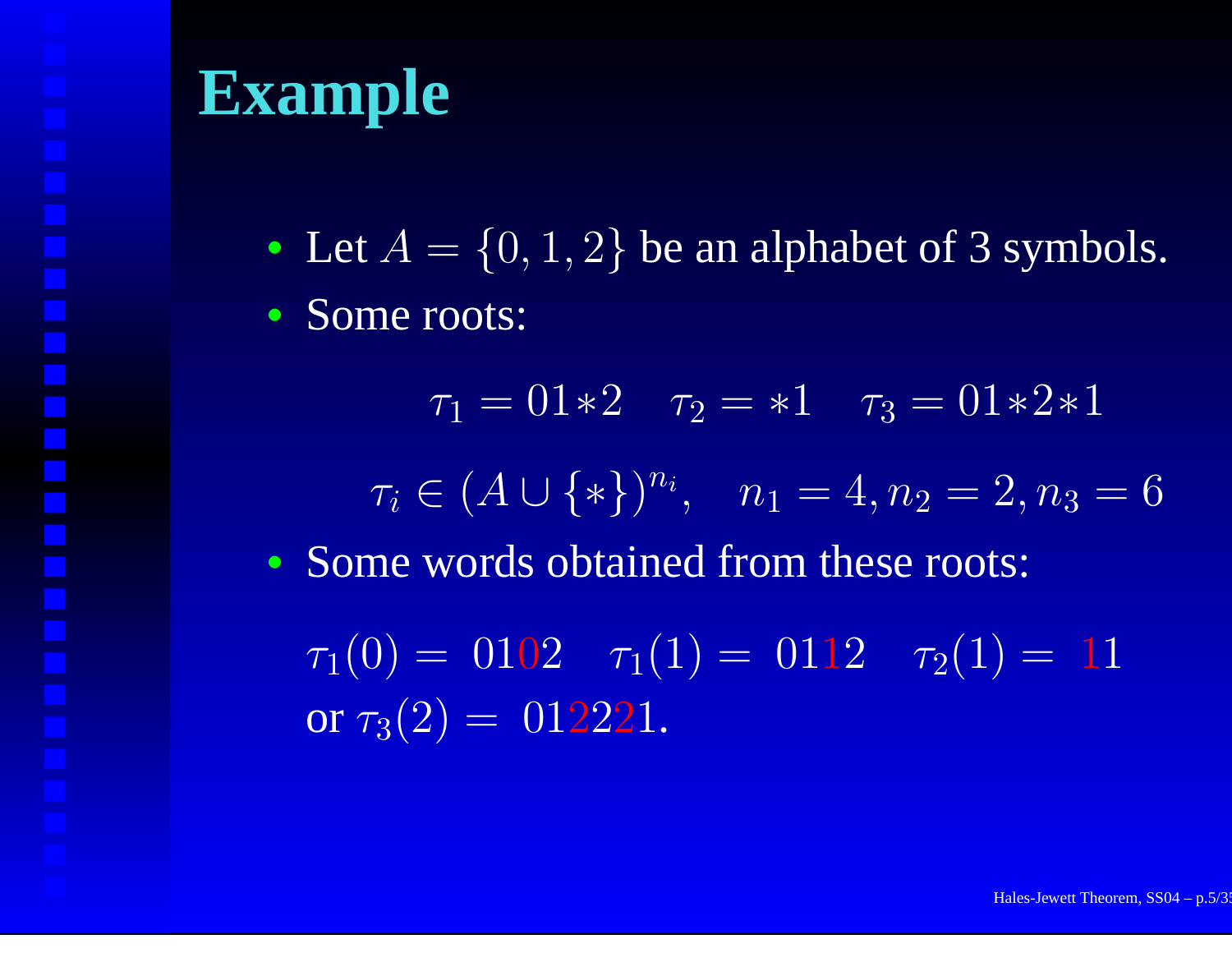• Let  $A = \{0, 1, 2\}$  be an alphabet of 3 symbols.

• Some roots:

 $\tau_1=01{\ast}2$   $\tau_2={\ast}1$   $\tau_3=01{\ast}2{\ast}1$  $\tau_i \in (A \cup \{*\})^{n_i}, \quad n_1 = 4, n_2 = 2, n_3 = 6$ • Some words obtained from these roots:  $\tau_1(0) = 0102$   $\tau_1(1) = 0112$   $\tau_2(1) = 11$ or  $\tau_3(2) = \ 012221.$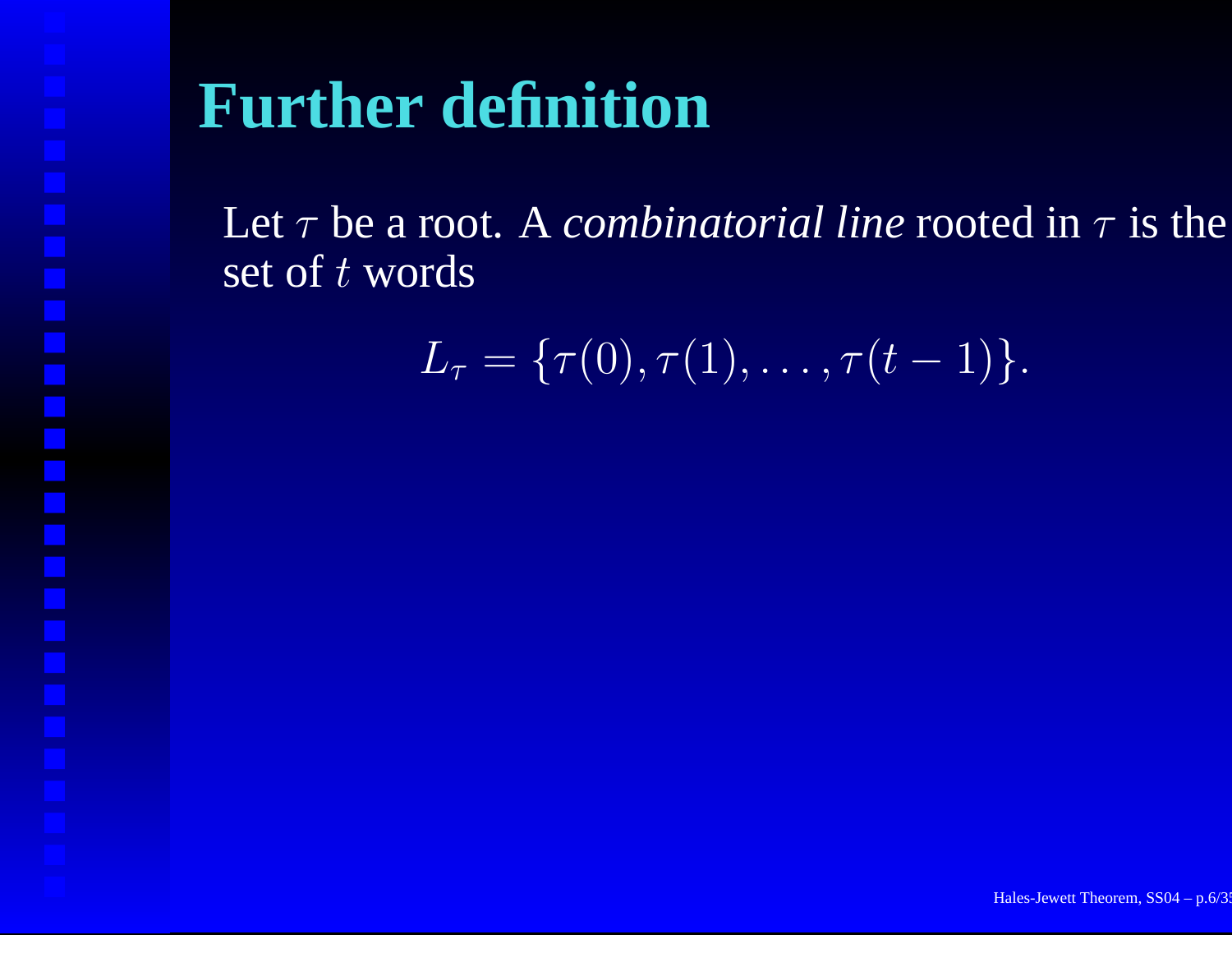# **Further definition**

Let τ be <sup>a</sup> root. A *combinatorial line* rooted in <sup>τ</sup> is the set of  $t$  words

$$
L_{\tau} = \{\tau(0), \tau(1), \ldots, \tau(t-1)\}.
$$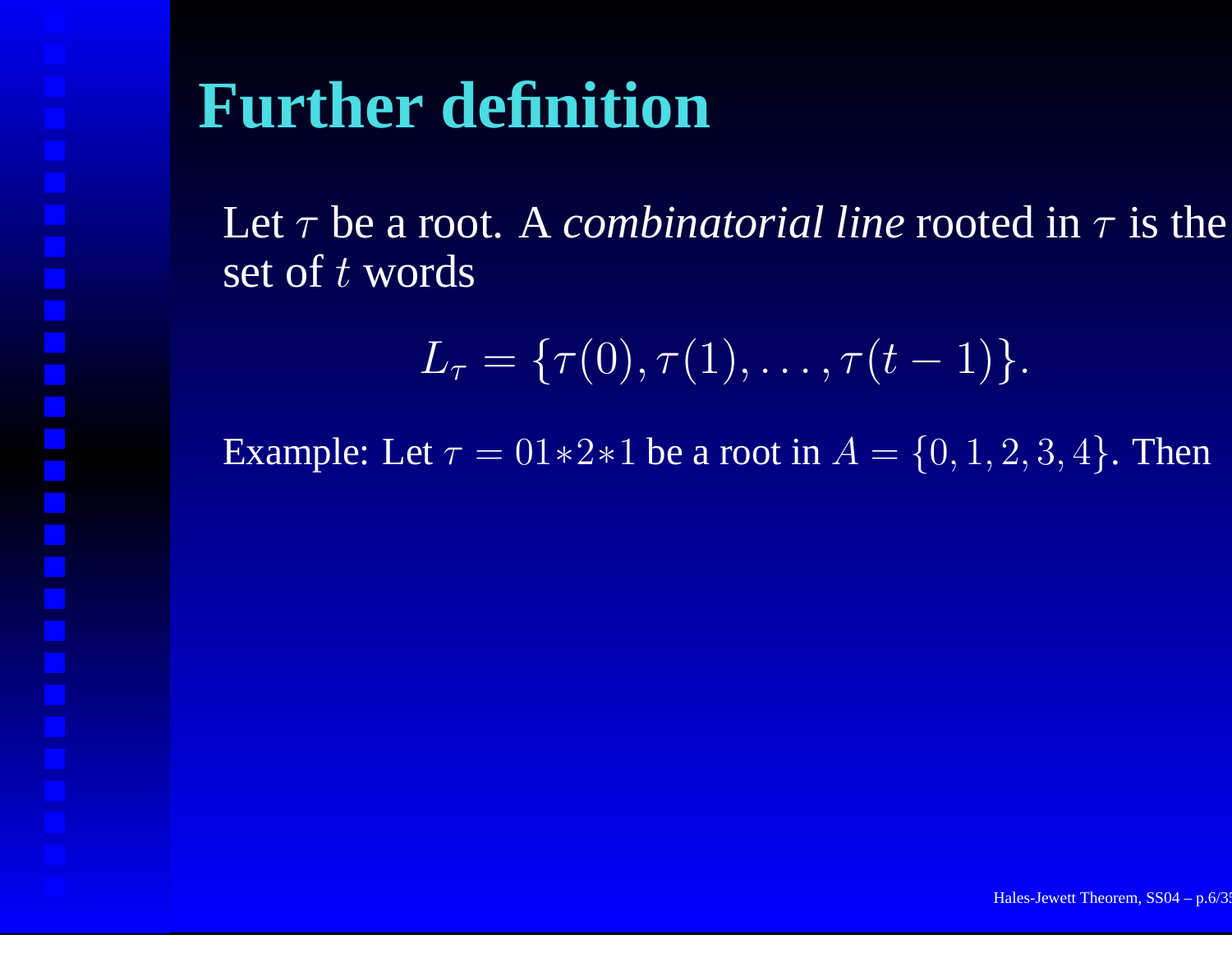# **Further definition**

Let τ be <sup>a</sup> root. A *combinatorial line* rooted in <sup>τ</sup> is the set of  $t$  words

$$
L_{\tau} = \{\tau(0), \tau(1), \ldots, \tau(t-1)\}.
$$

Example: Let  $\tau = 01*2*1$  be a root in  $A = \{0, 1, 2, 3, 4\}$ . Then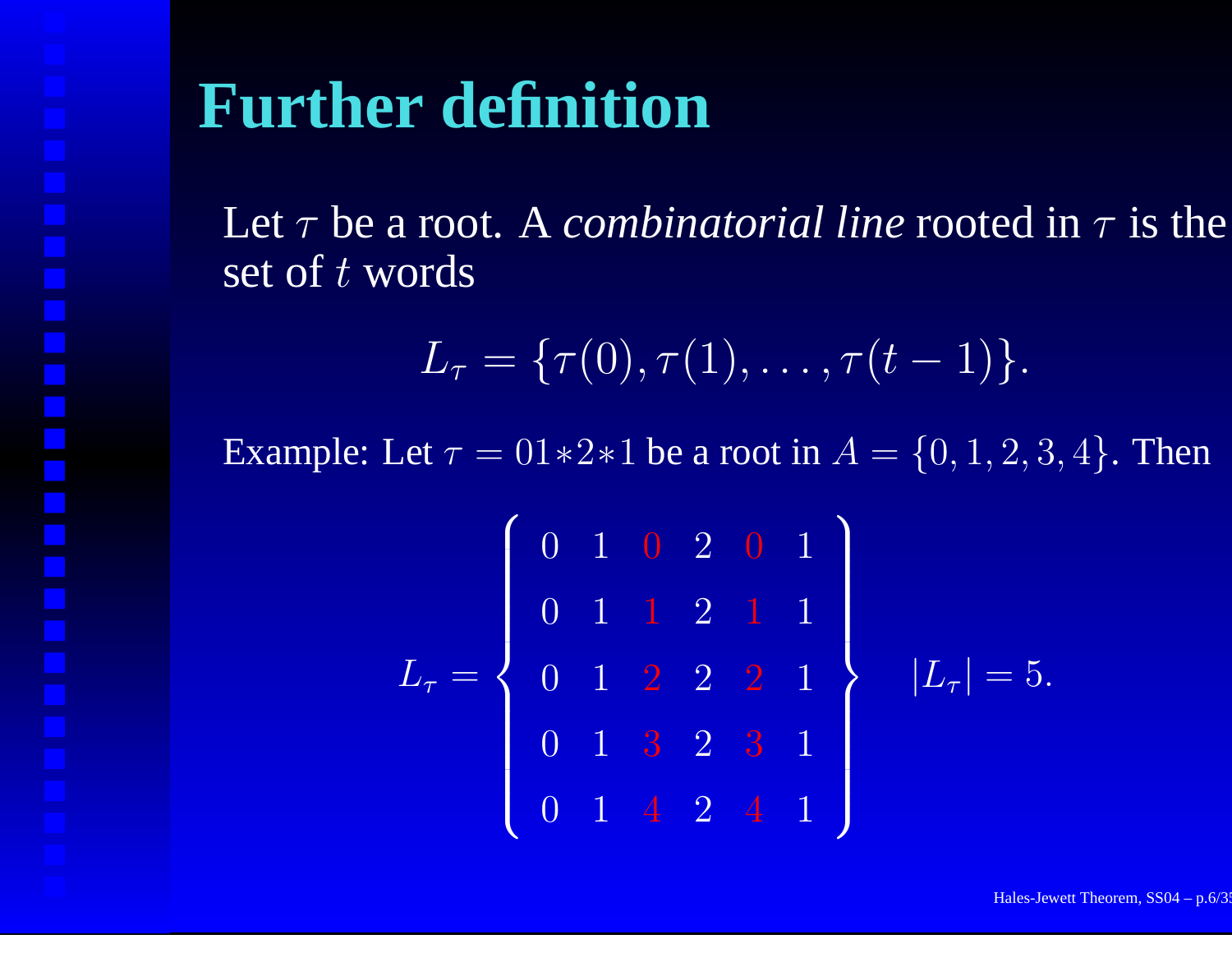## **Further definition**

Let τ be <sup>a</sup> root. A *combinatorial line* rooted in <sup>τ</sup> is the set of  $t$  words

$$
L_{\tau} = \{\tau(0), \tau(1), \ldots, \tau(t-1)\}.
$$

Example: Let  $\tau = 01*2*1$  be a root in  $A = \{0, 1, 2, 3, 4\}$ . Then

$$
L_{\tau} = \left\{ \begin{array}{rrrrr} 0 & 1 & 0 & 2 & 0 & 1 \\ 0 & 1 & 1 & 2 & 1 & 1 \\ 0 & 1 & 2 & 2 & 2 & 1 \\ 0 & 1 & 3 & 2 & 3 & 1 \\ 0 & 1 & 4 & 2 & 4 & 1 \end{array} \right\} \quad |L_{\tau}| = 5.
$$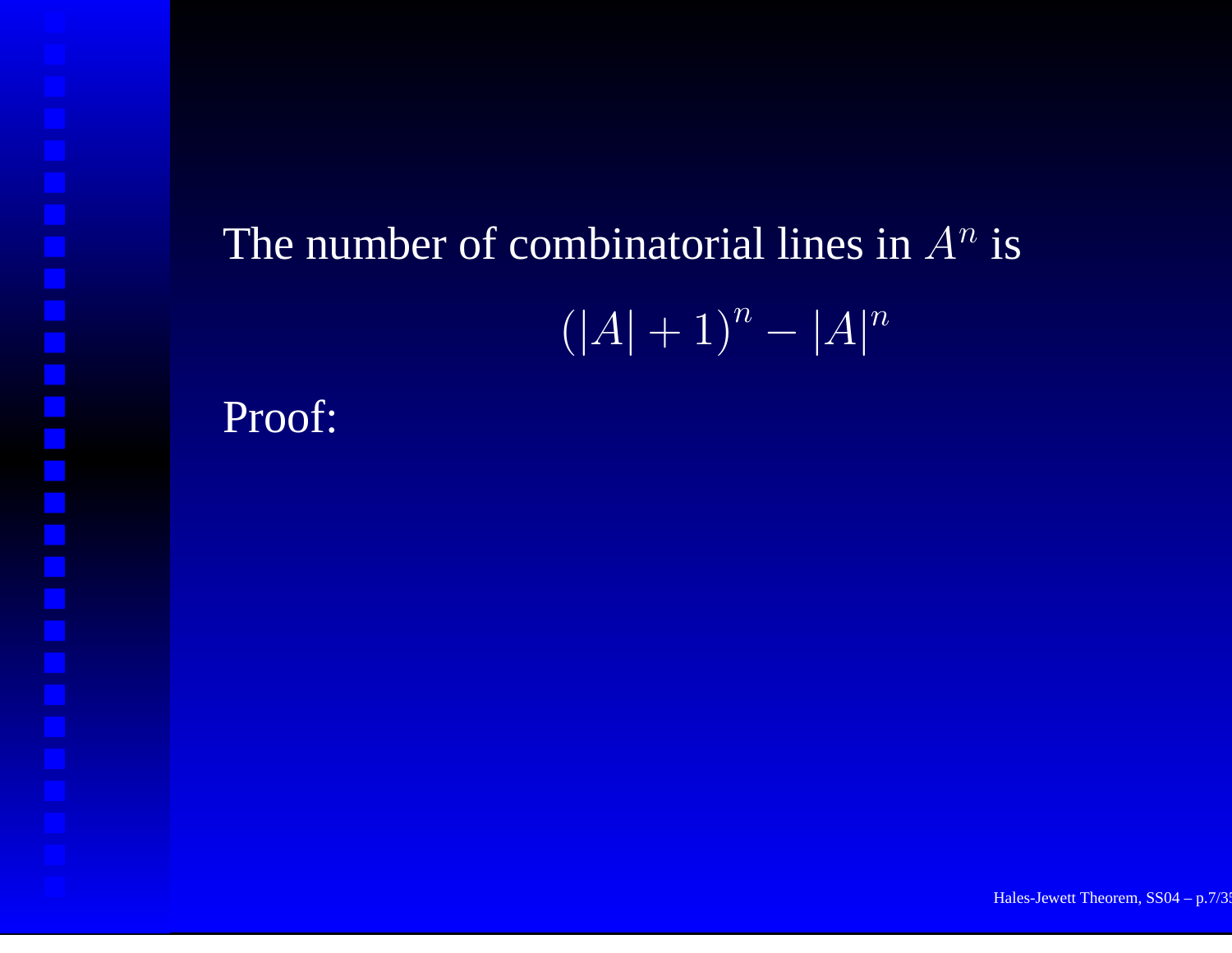# The number of combinatorial lines in  $A^n$  is  $(\overline{|A|} + 1)^n - |\overline{A}|^n$

Proof: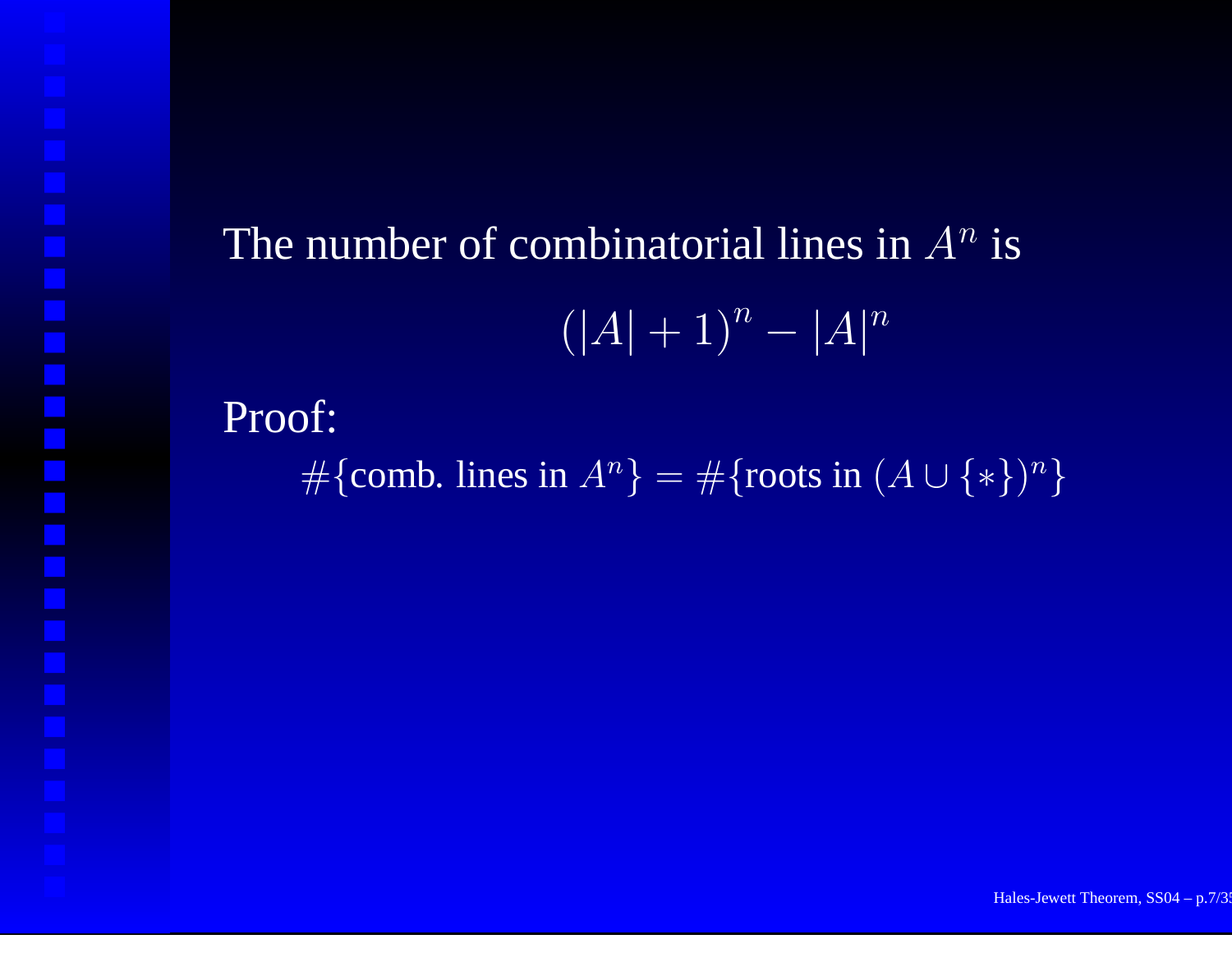# The number of combinatorial lines in  $A^n$  is  $(\overline{|A|} + 1)^n - |\overline{A}|^n$

Proof:

 $\#\{\text{comb. lines in } A^n\} = \#\{\text{roots in } (A \cup \{*\})^n\}$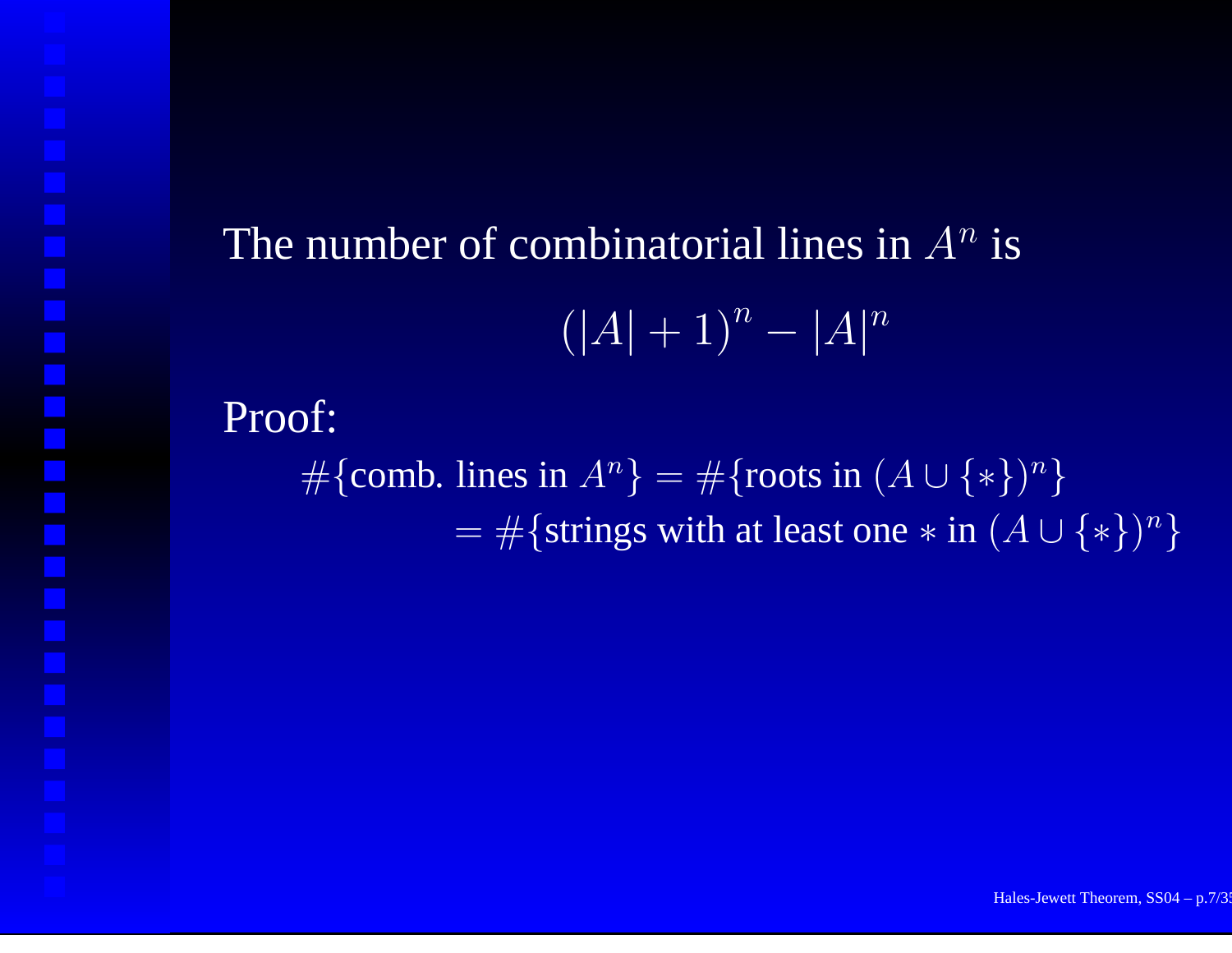# The number of combinatorial lines in  $A^n$  is  $(|A| + 1)^n - |A|^n$

#### Proof:

 $\#\{\text{comb. lines in } A^n\} = \#\{\text{roots in } (A \cup \{*\})^n\}$ = $=$  #{strings with at least one  $*$  in  $(A \cup \{*\})^n$ }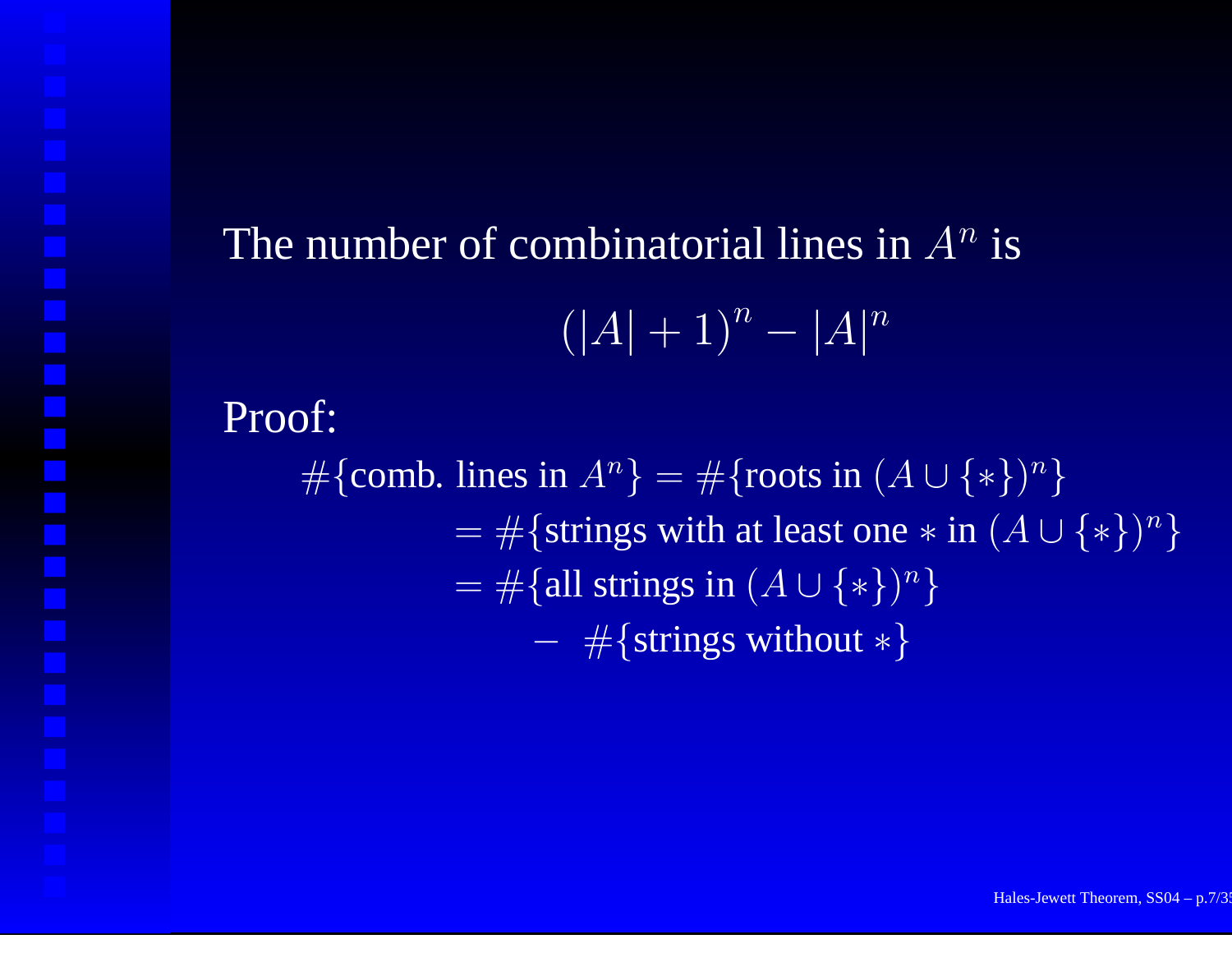# The number of combinatorial lines in  $A^n$  is  $(|A| + 1)^n - |A|^n$

#### Proof:

#{comb. lines in  $A^n$ } = #{roots in  $(A \cup \{*\})^n$ } = $=$  #{strings with at least one  $*$  in  $(A \cup \{*\})^n$ } = $=$  #{all strings in  $(A \cup \{*\})^n$ }  $-$  #{strings without  $*$ }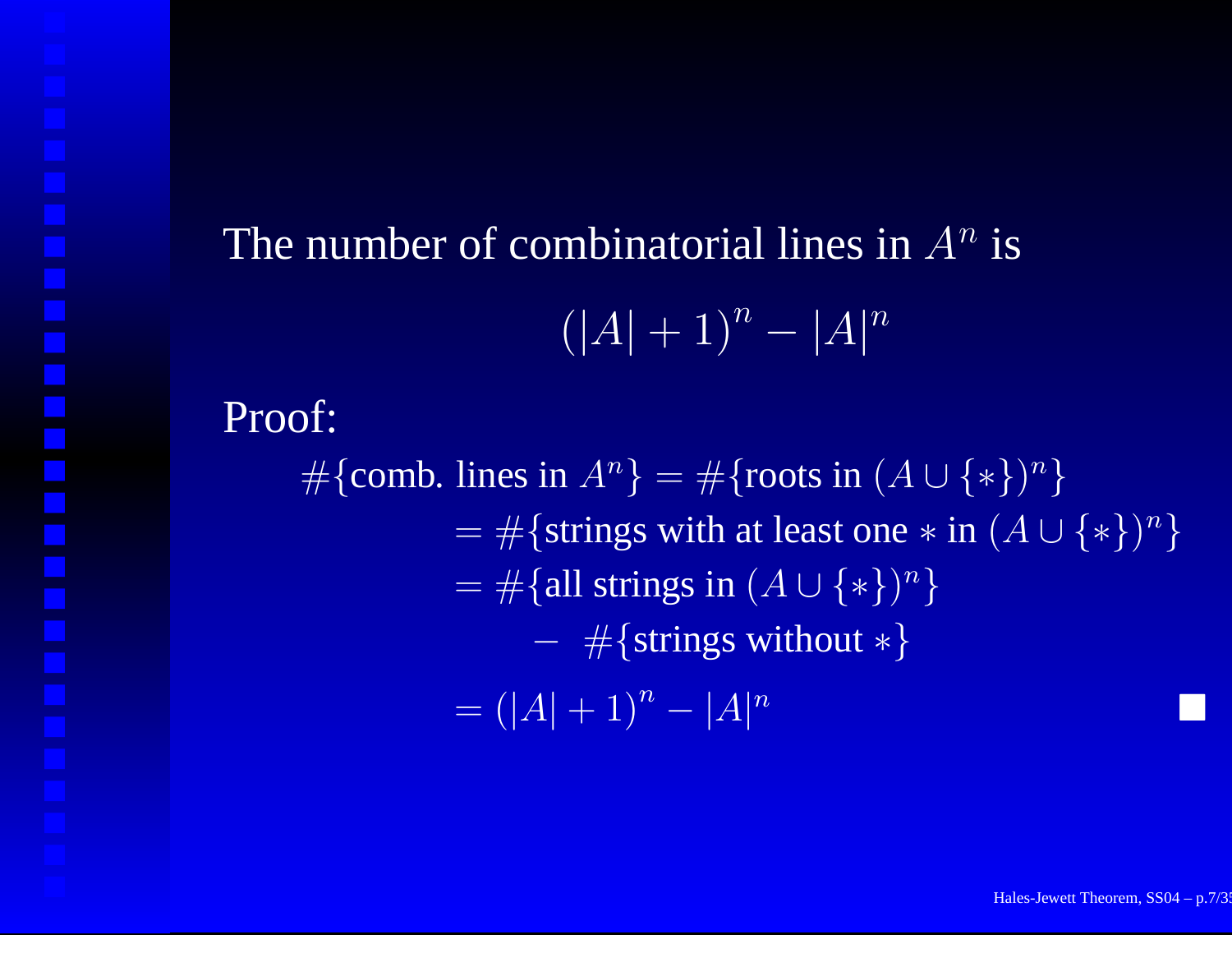# The number of combinatorial lines in  $A^n$  is  $(|A| + 1)^n - |A|^n$

#### Proof:

#{comb. lines in  $A^n$ } = #{roots in  $(A \cup \{*\})^n$ } = $=$  #{strings with at least one  $*$  in  $(A \cup \{*\})^n$ } = $=$  #{all strings in  $(A \cup \{*\})^n$ }  $-$  #{strings without  $*$ } = $=(|A|+1)^n-|A|^n$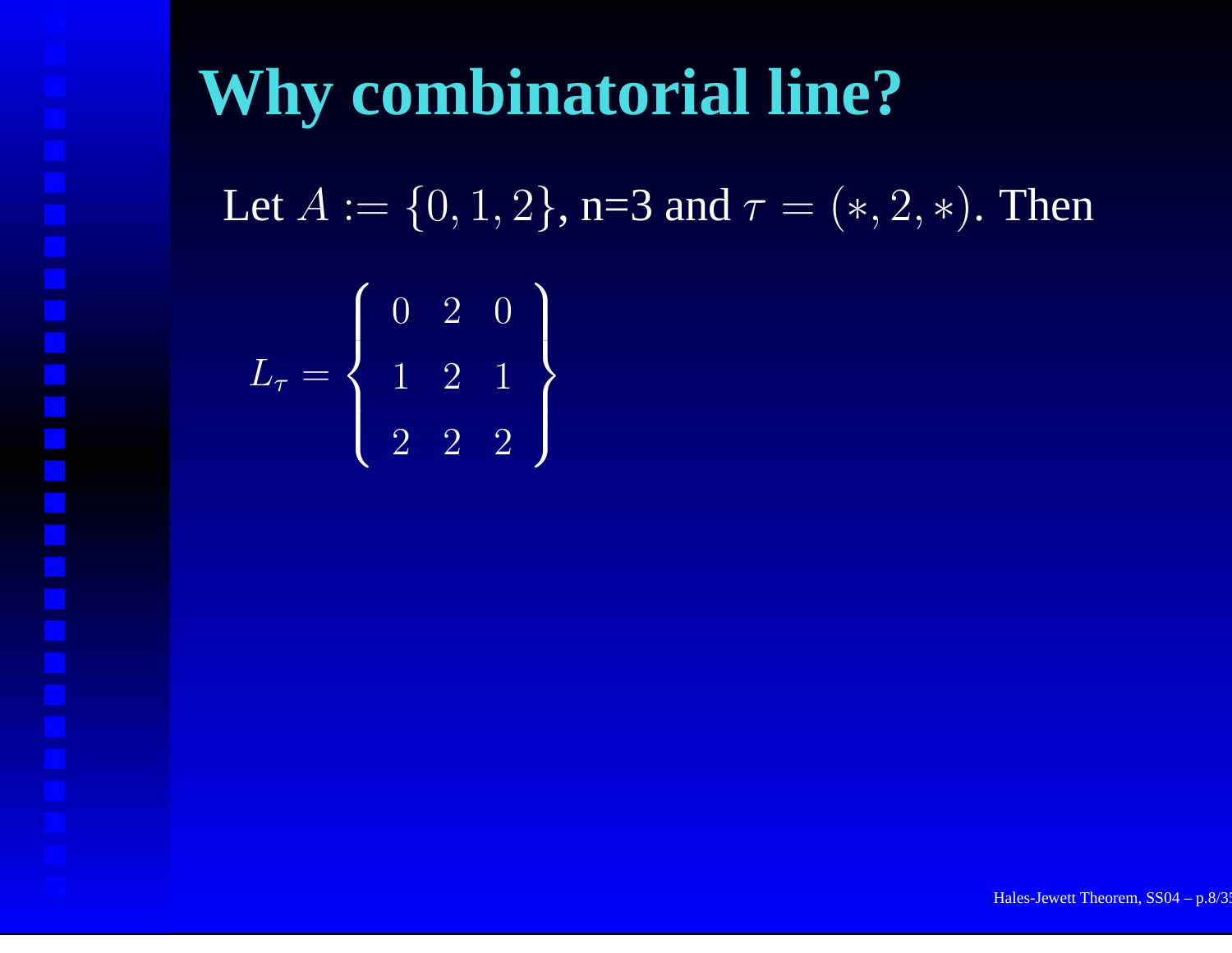# **Why combinatorial line?**

Let  $A := \{0,1,2\}$ , n=3 and  $\tau = (*,2,*)$ . Then

$$
L_{\tau} = \left\{ \begin{array}{ccc} 0 & 2 & 0 \\ 1 & 2 & 1 \\ 2 & 2 & 2 \end{array} \right\}
$$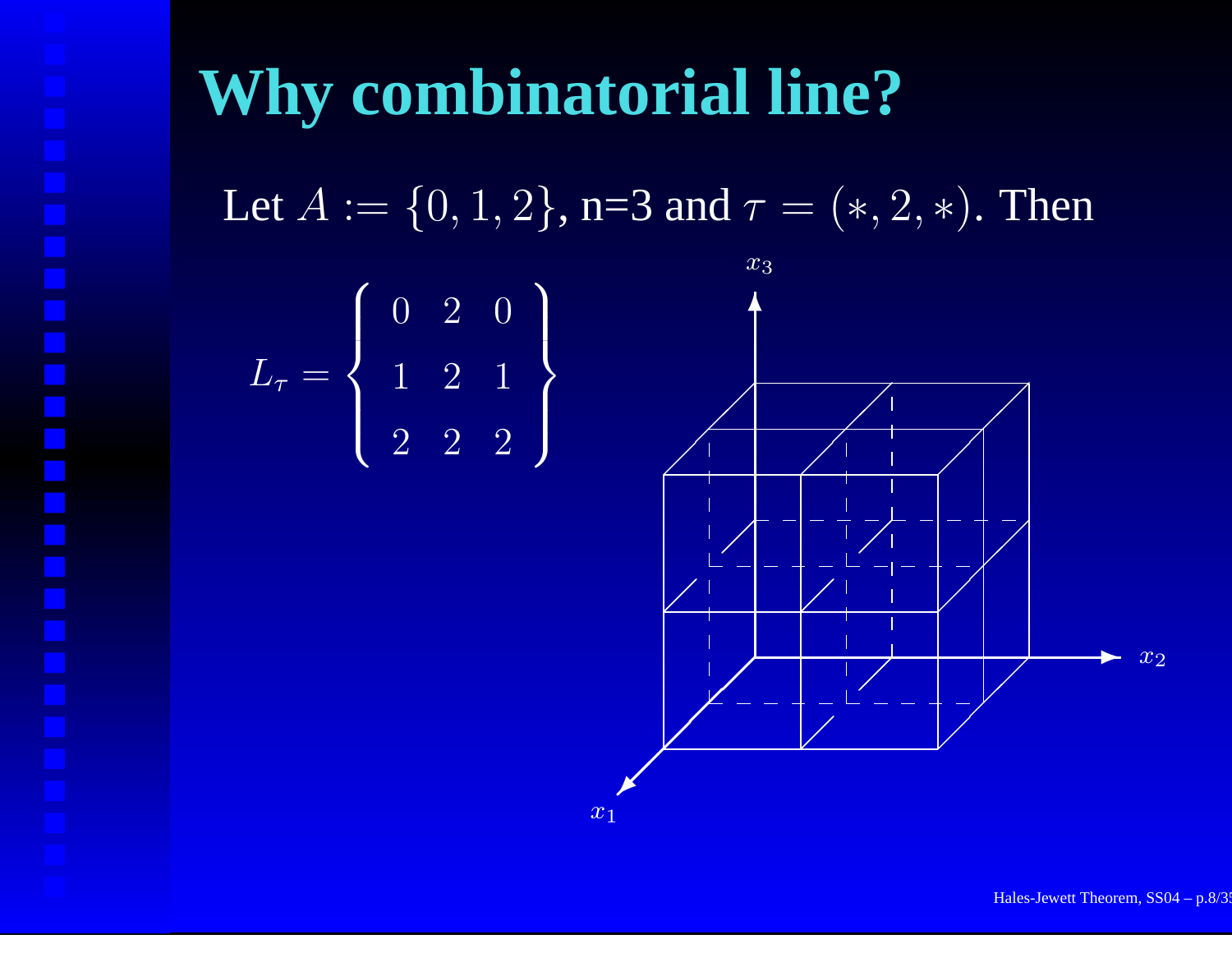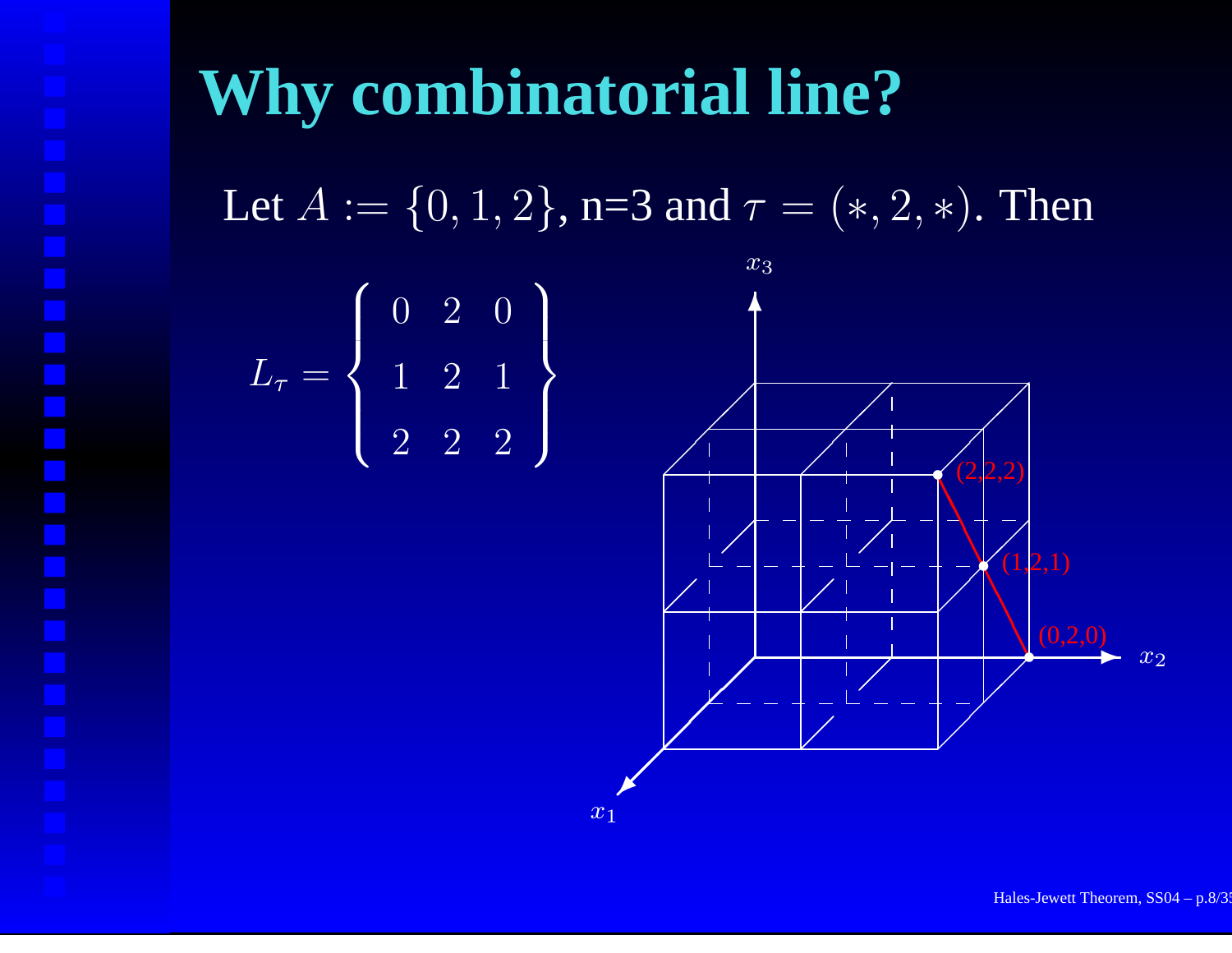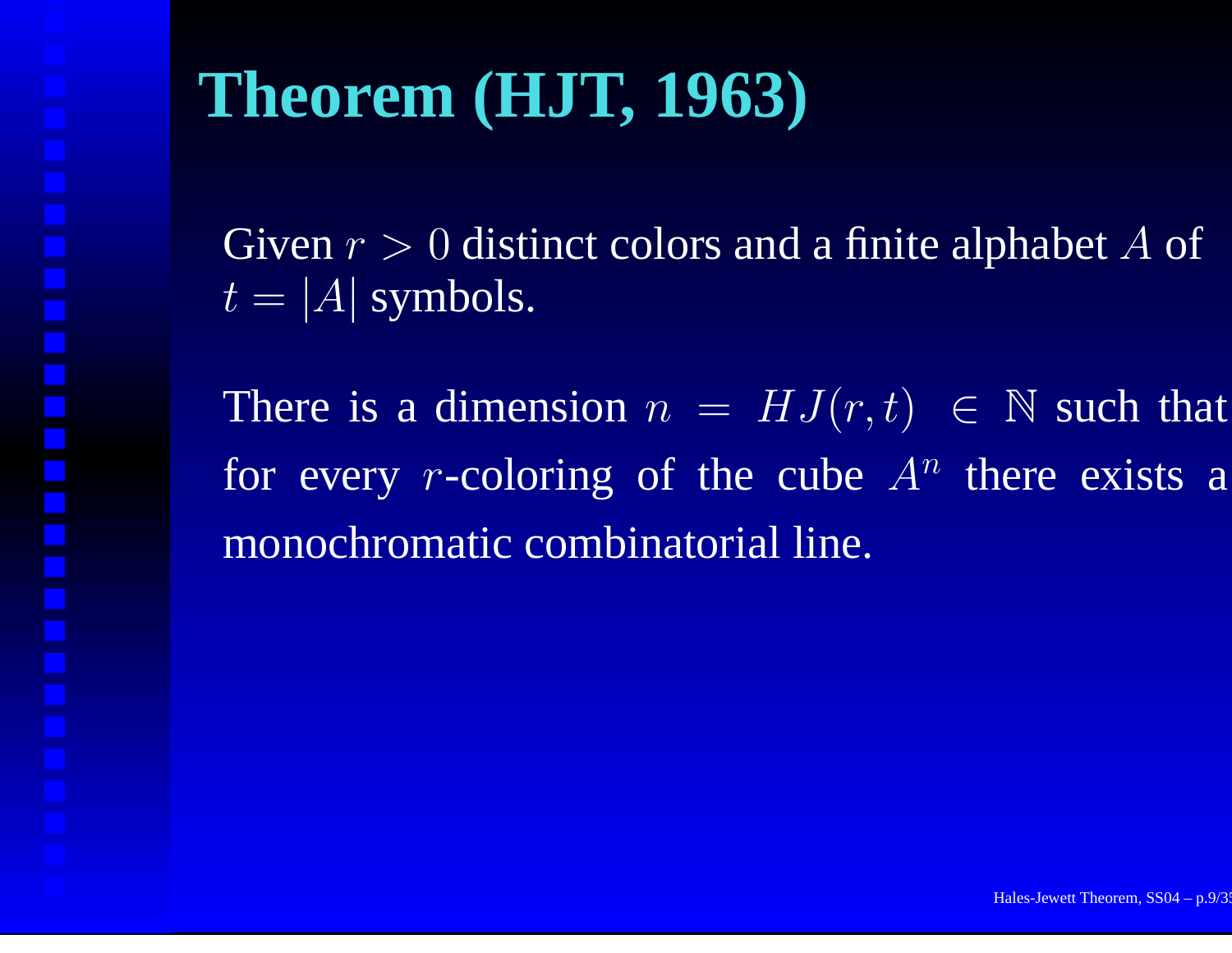# **Theorem (HJT, 1963)**

Given  $r > 0$  distinct colors and a finite alphabet A of  $t=|A|$  symbols.

There is a dimension  $n = HJ(r,t) \in \mathbb{N}$  such that for every r-coloring of the cube  $A^n$  there exists a monochromatic combinatorial line.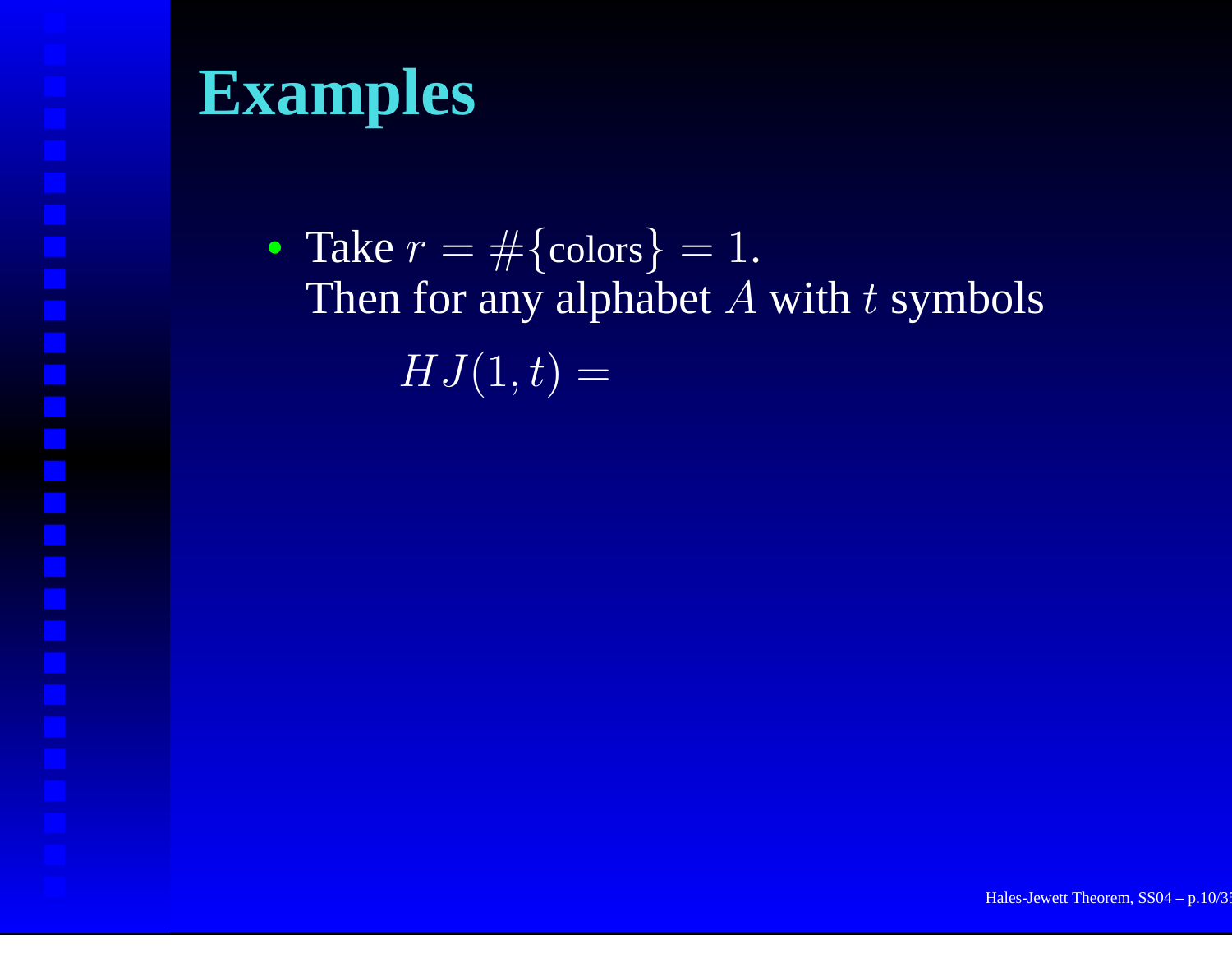• Take  $r = \#\{\text{colors}\} = 1$ . Then for any alphabet  $A$  with  $t$  symbols  $HJ(1,t) =$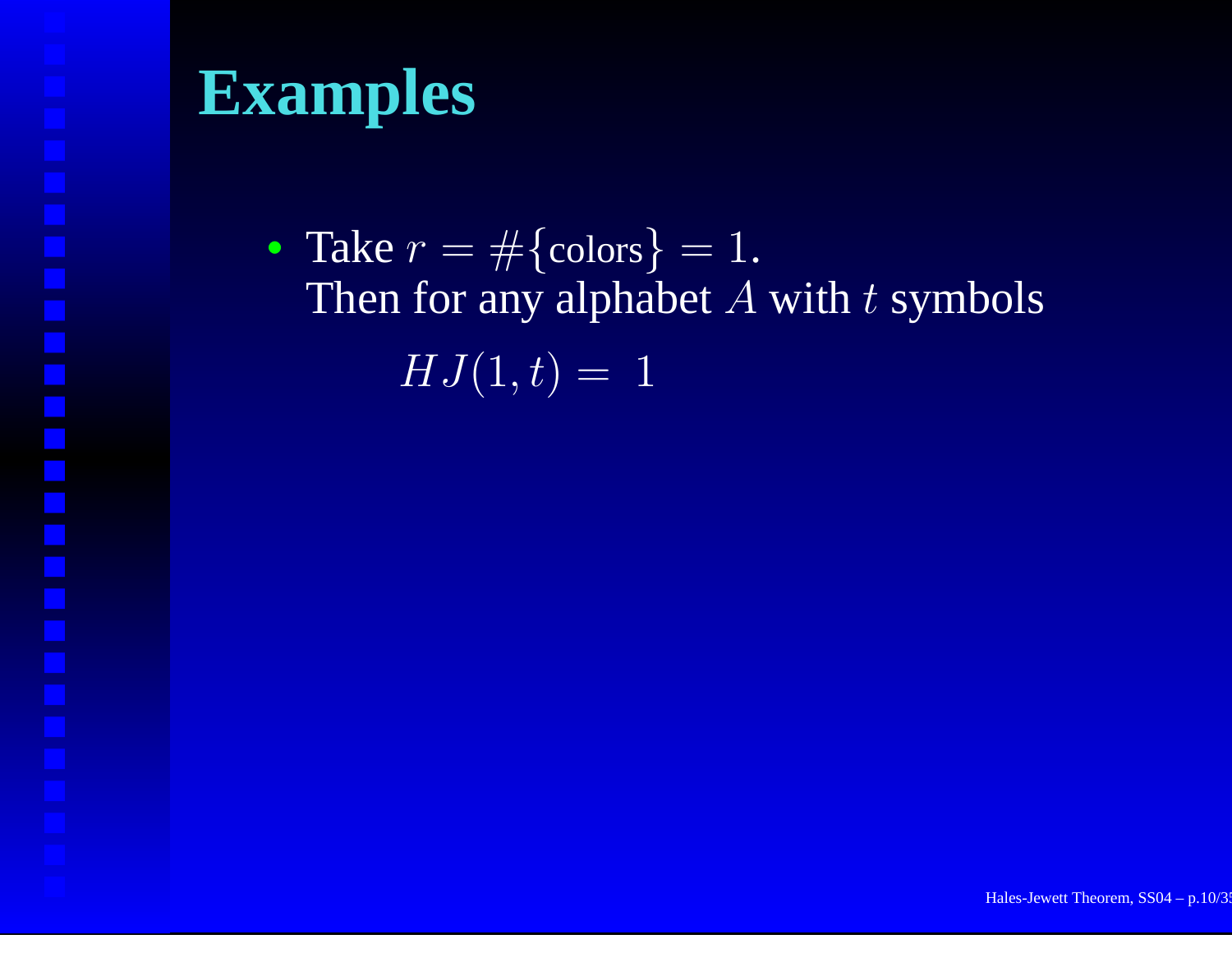• Take  $r = \#\{\text{colors}\} = 1$ . Then for any alphabet  $A$  with  $t$  symbols  $HJ(1,t) = 1$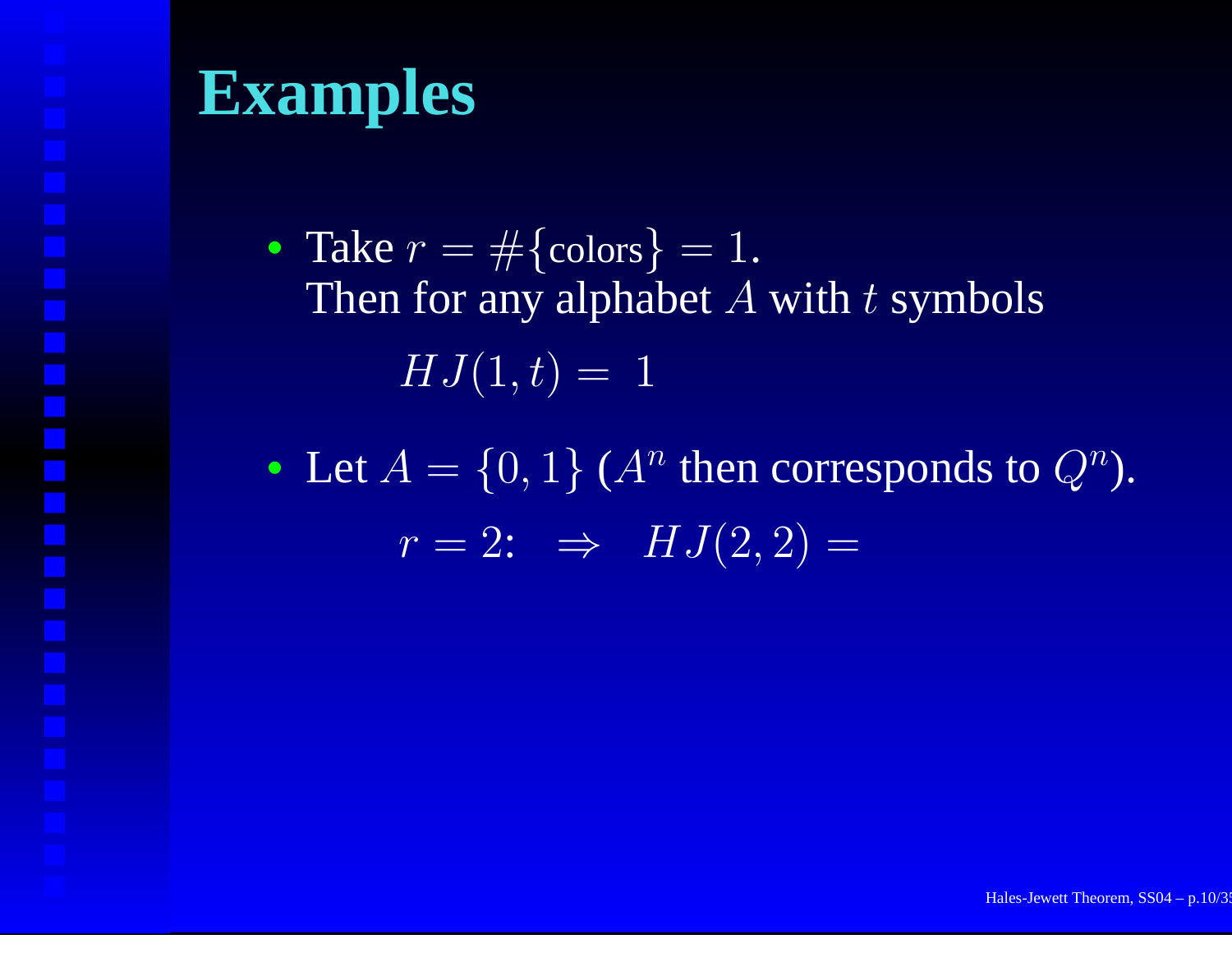- Take  $r = \#\{\text{colors}\} = 1$ . Then for any alphabet  $A$  with  $t$  symbols  $HJ(1,t) = 1$
- Let  $A = \{0,1\}$  ( $A^n$  then corresponds to  $Q^n$ ).  $r=2\text{: }\Rightarrow\;\;HJ(2,2)=$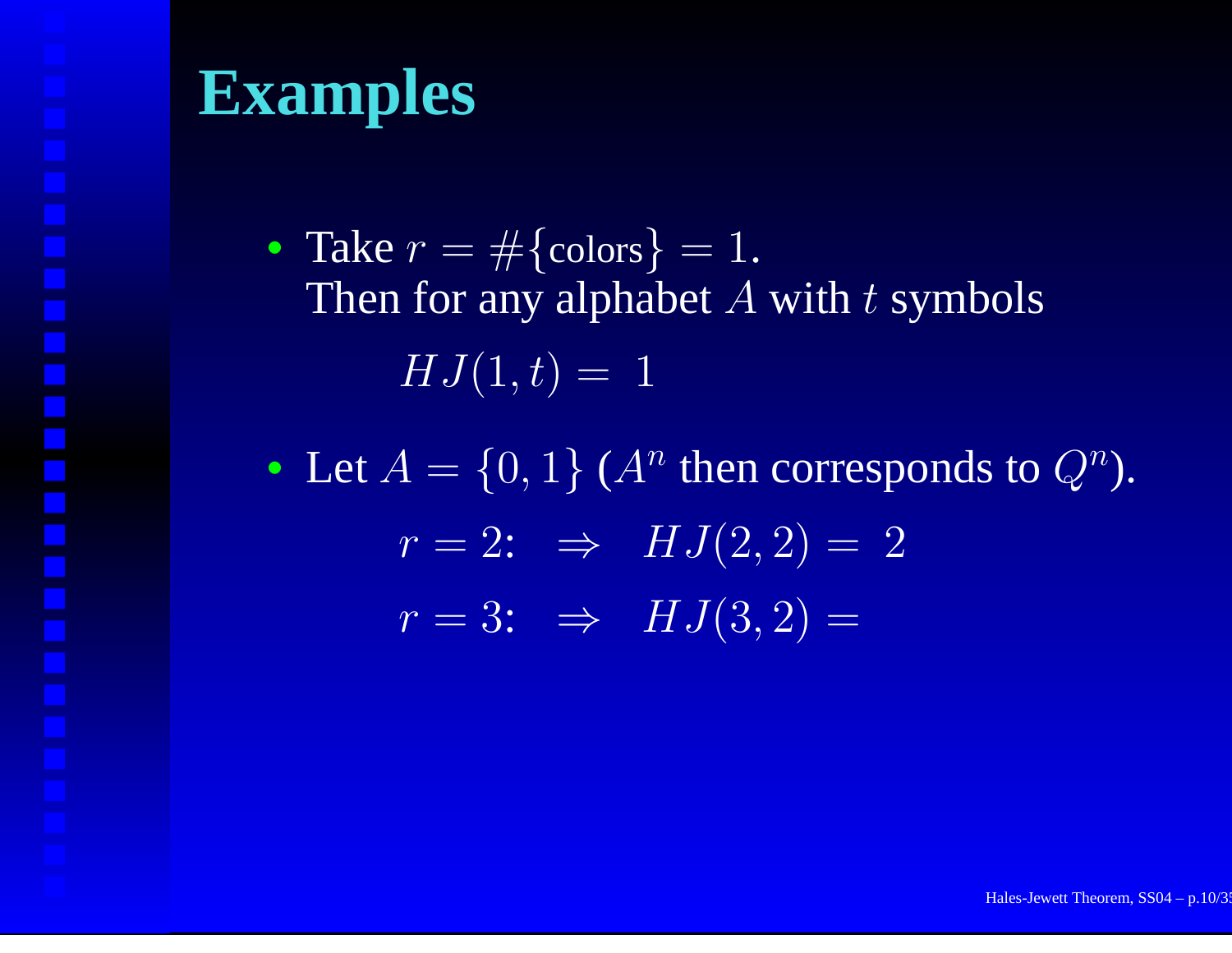- Take  $r = \#\{\text{colors}\} = 1$ . Then for any alphabet  $A$  with  $t$  symbols  $HJ(1,t) = 1$
- Let  $A = \{0,1\}$  ( $A^n$  then corresponds to  $Q^n$ ).  $r=2: \;\;\Rightarrow\;\; HJ(2,2)=\;2$  $r = 3: \;\;\Rightarrow\;\; HJ(3,2) =$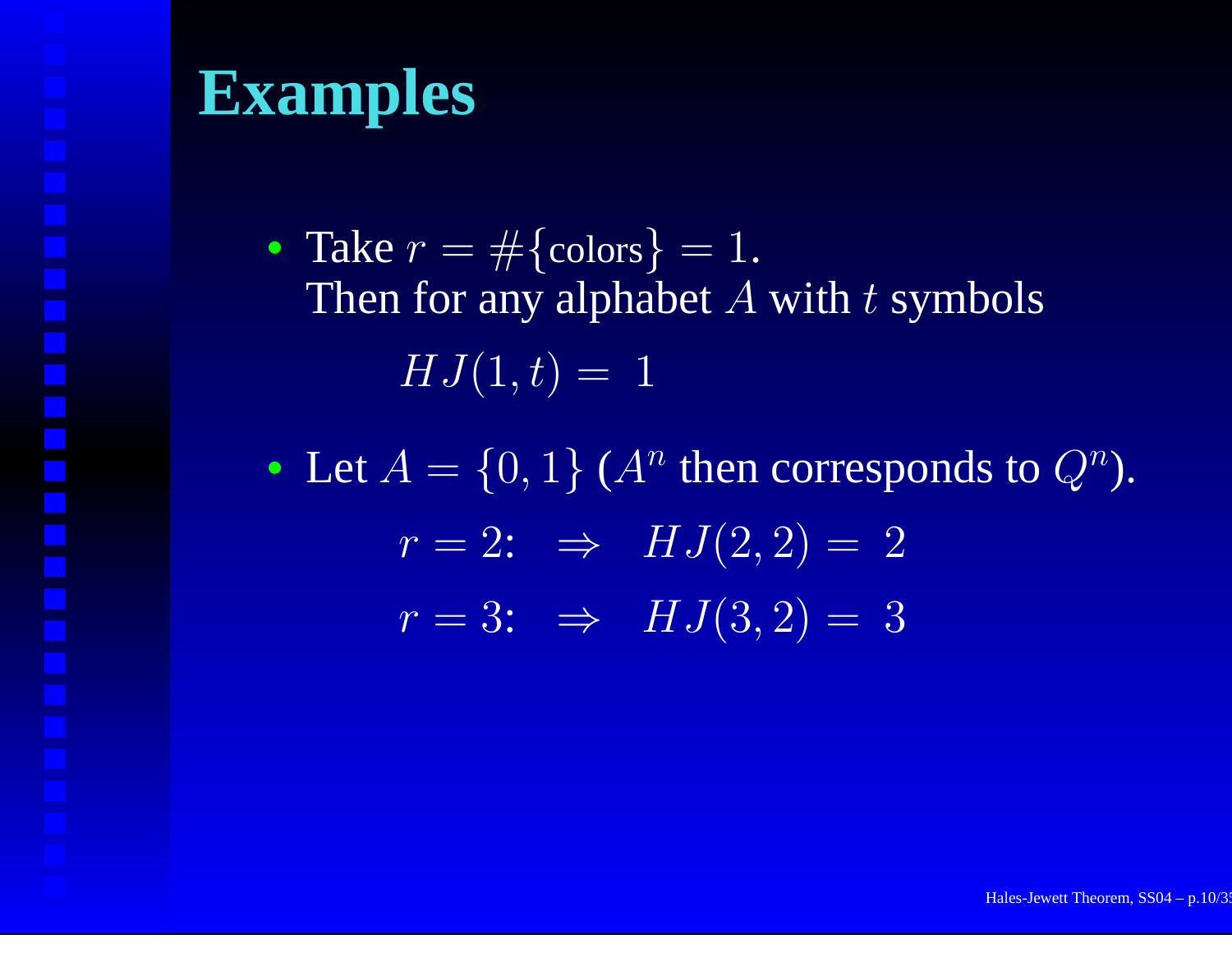- Take  $r = \#\{\text{colors}\} = 1$ . Then for any alphabet  $A$  with  $t$  symbols  $HJ(1,t) = 1$
- Let  $A = \{0,1\}$  ( $A^n$  then corresponds to  $Q^n$ ).  $r=2: \;\;\Rightarrow\;\; HJ(2,2)=\;2$  $r = 3:$   $\Rightarrow$   $HJ(3,2) = 3$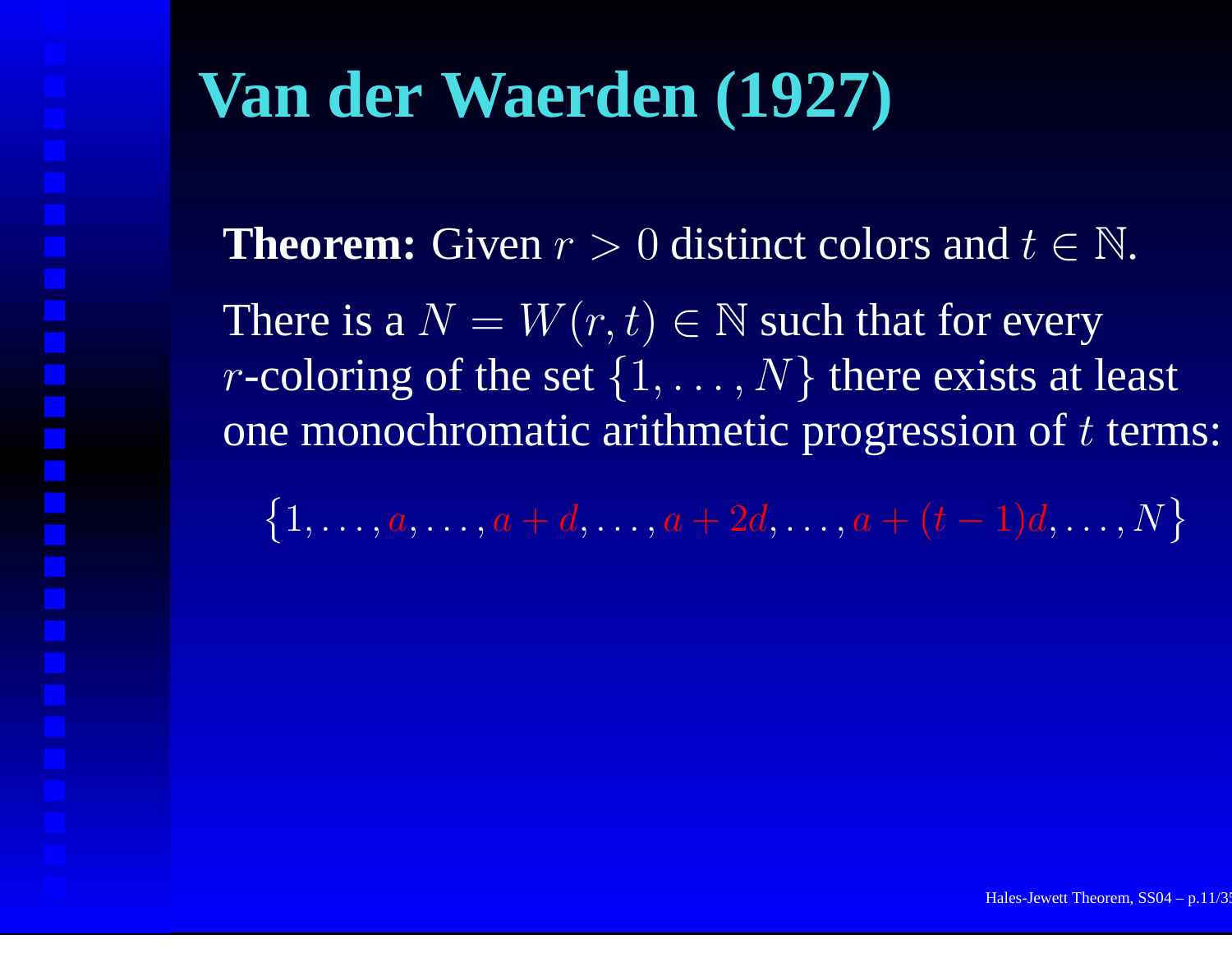# **Van der Waerden (1927)**

**Theorem:** Given  $r > 0$  distinct colors and  $t \in \mathbb{N}$ . There is a  $N=W(r,t)\in\mathbb{N}$  such that for every *r*-coloring of the set  $\{1, \ldots, N\}$  there exists at least one monochromatic arithmetic progression of  $t$  terms:

 $\{1, \ldots, a, \ldots, a + d, \ldots, a + 2d, \ldots, a + (t-1)d, \ldots, N\}$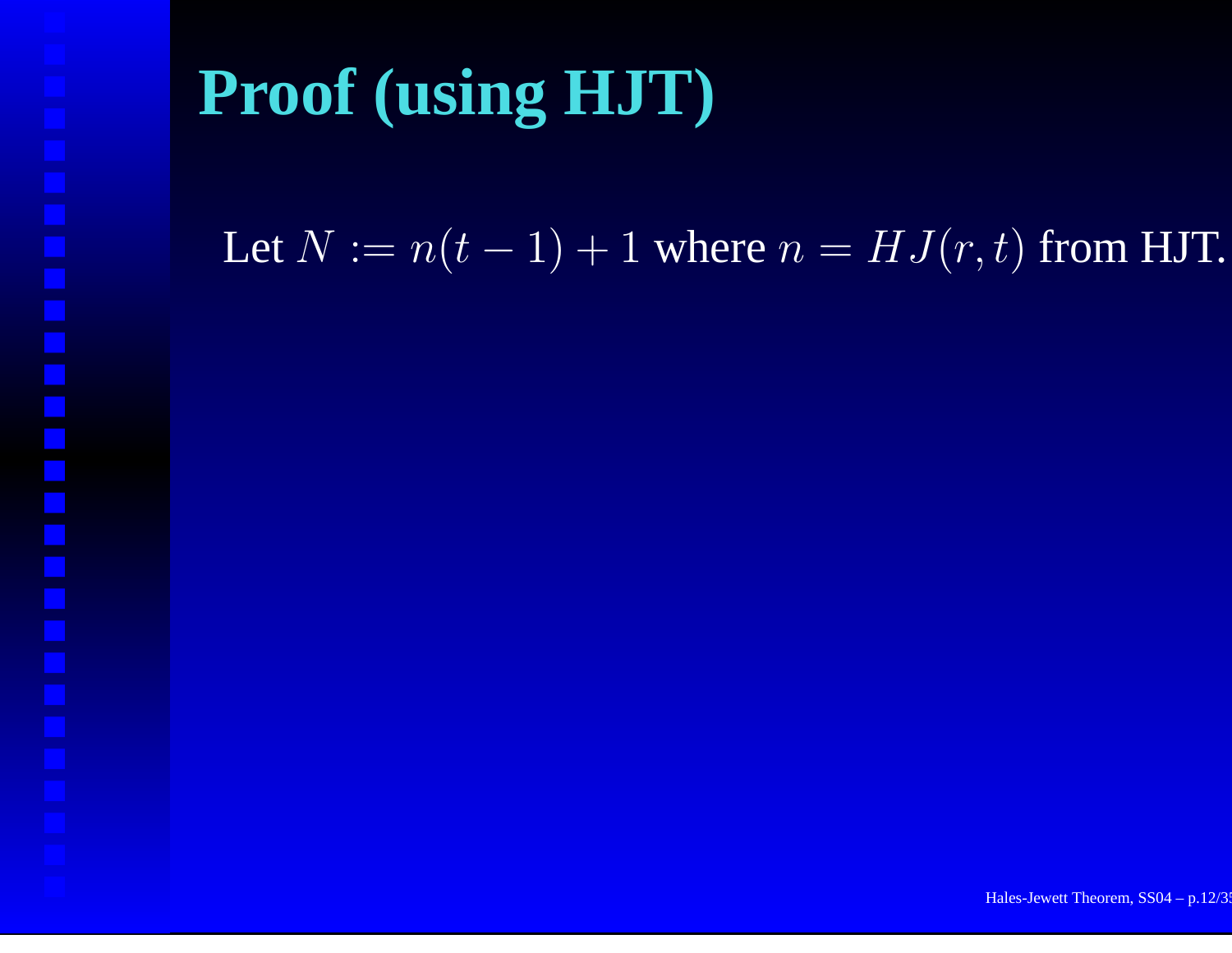# **Proof (using HJT)**

Let  $N := n(t-1)+1$  where  $n = HJ(r,t)$  from HJT.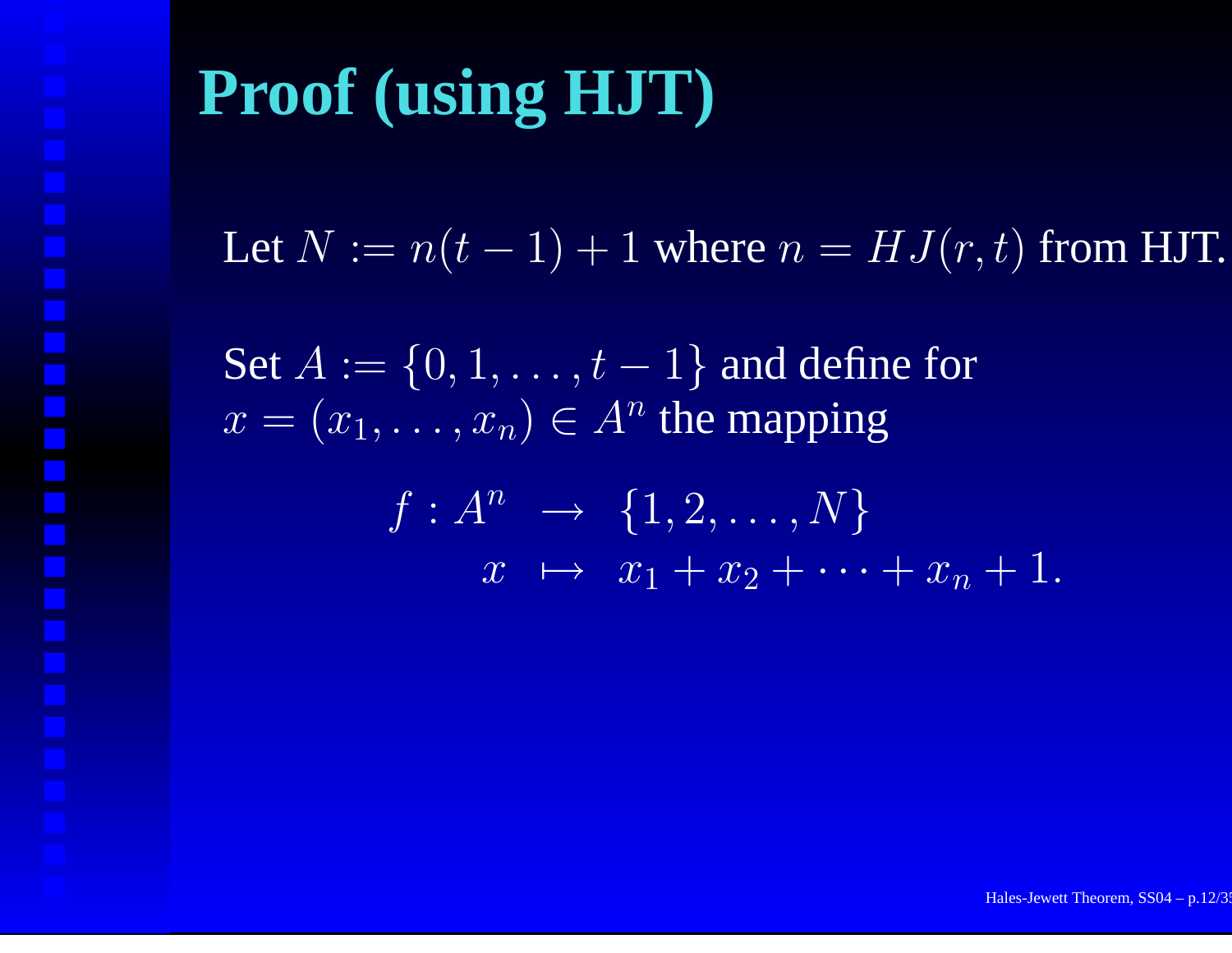# **Proof (using HJT)**

Let  $N := n(t-1)+1$  where  $n = HJ(r,t)$  from HJT.

Set  $A:=\{0,1,\ldots,t-1\}$  and define for  $x = (x_1, \ldots, x_n) \in A^n$  the mapping

$$
f: A^n \rightarrow \{1, 2, \dots, N\}
$$
  

$$
x \mapsto x_1 + x_2 + \dots + x_n + 1.
$$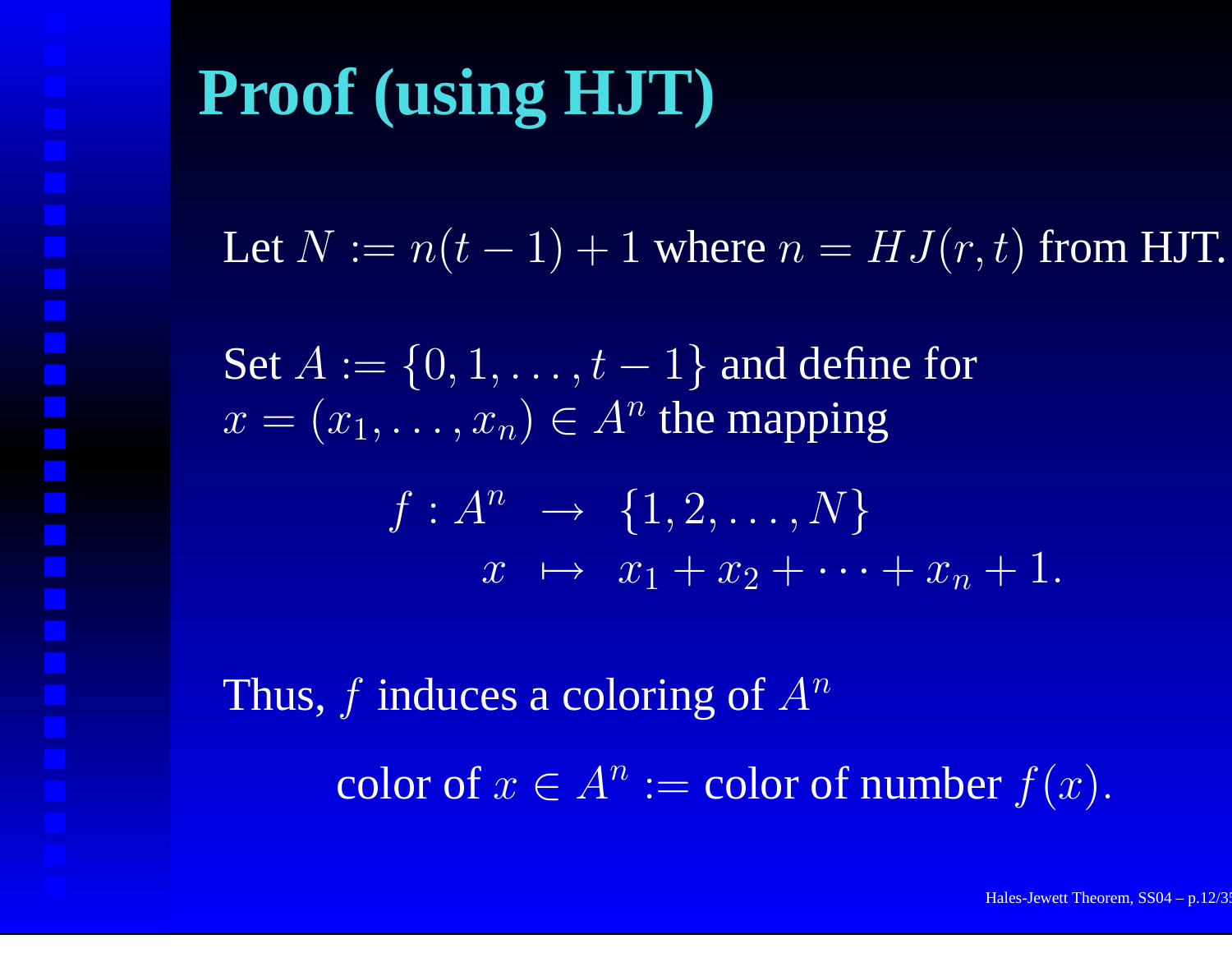Let  $N := n(t-1)+1$  where  $n = HJ(r,t)$  from HJT.

Set  $A:=\{0,1,\ldots,t-1\}$  and define for  $x = (x_1, \ldots, x_n) \in A^n$  the mapping

$$
f: A^n \rightarrow \{1, 2, \dots, N\}
$$
  

$$
x \mapsto x_1 + x_2 + \dots + x_n + 1.
$$

Thus, f induces a coloring of  $A^n$ color of  $x\in A^n:$  = color of number  $f(x).$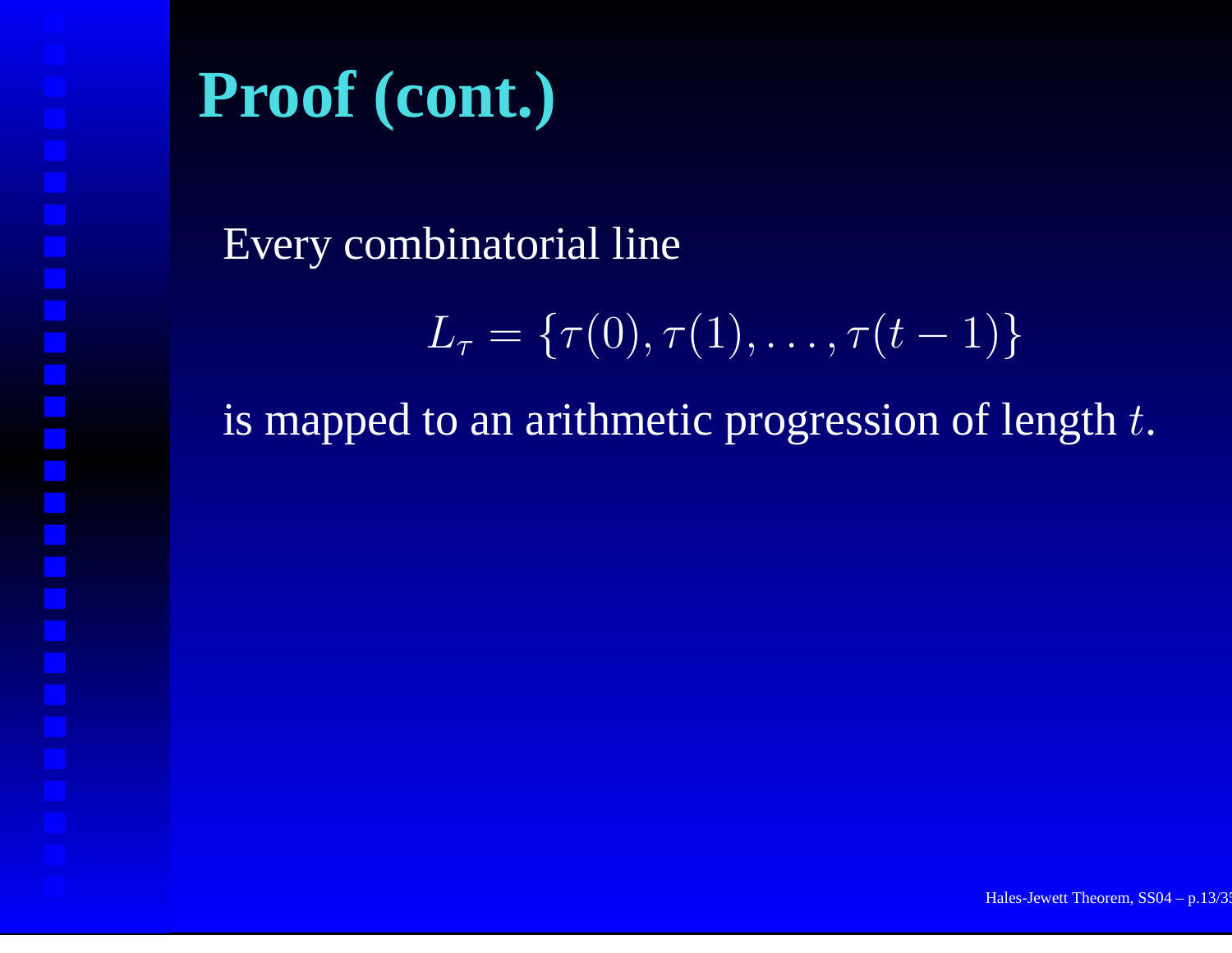Every combinatorial line

$$
L_{\tau} = \{\tau(0), \tau(1), \ldots, \tau(t-1)\}
$$

is mapped to an arithmetic progression of length  $t.$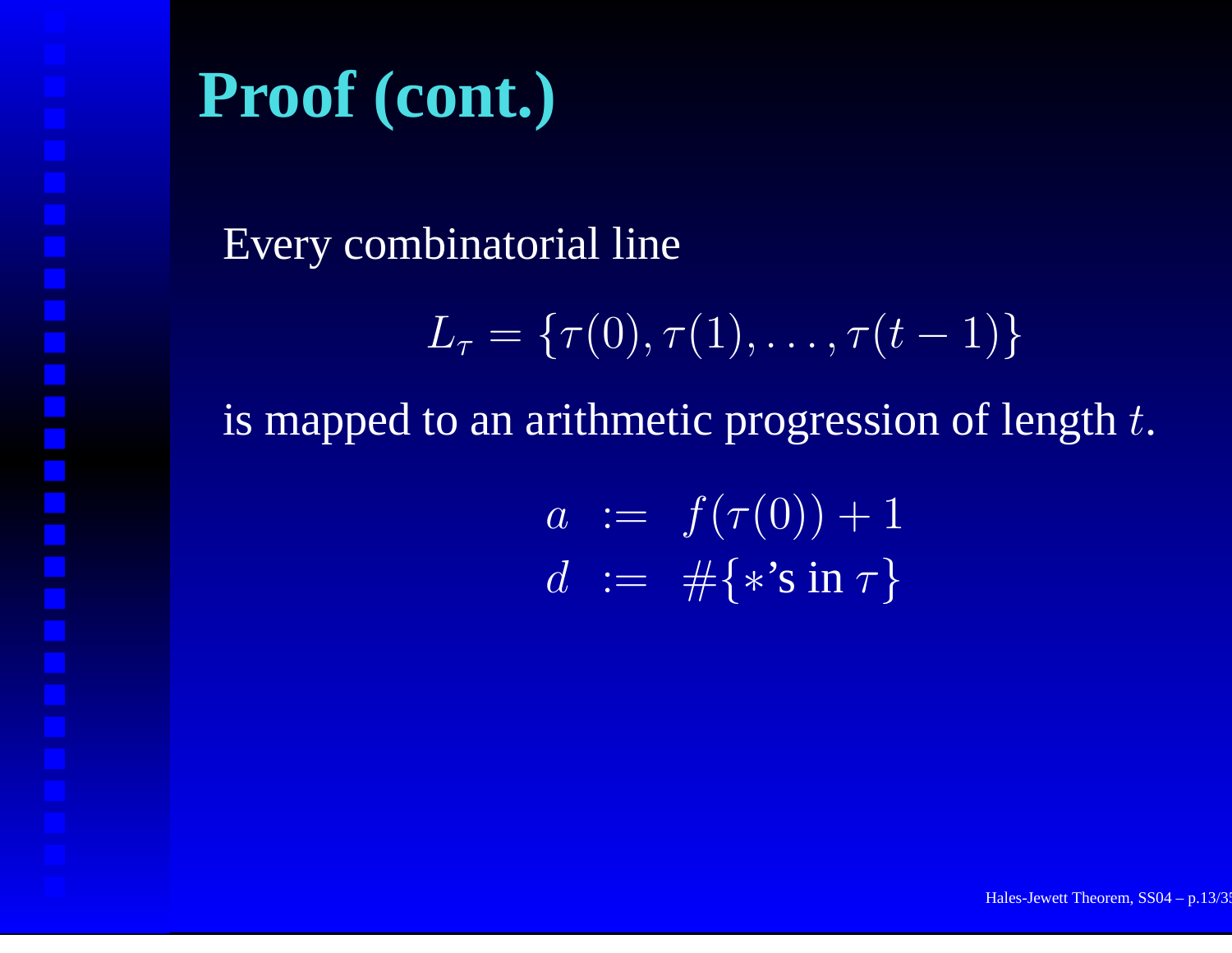#### Every combinatorial line

$$
L_{\tau} = \{\tau(0), \tau(1), \ldots, \tau(t-1)\}
$$

is mapped to an arithmetic progression of length  $t.$ 

$$
a := f(\tau(0)) + 1 \nd := \# \{ * \sin \tau \}
$$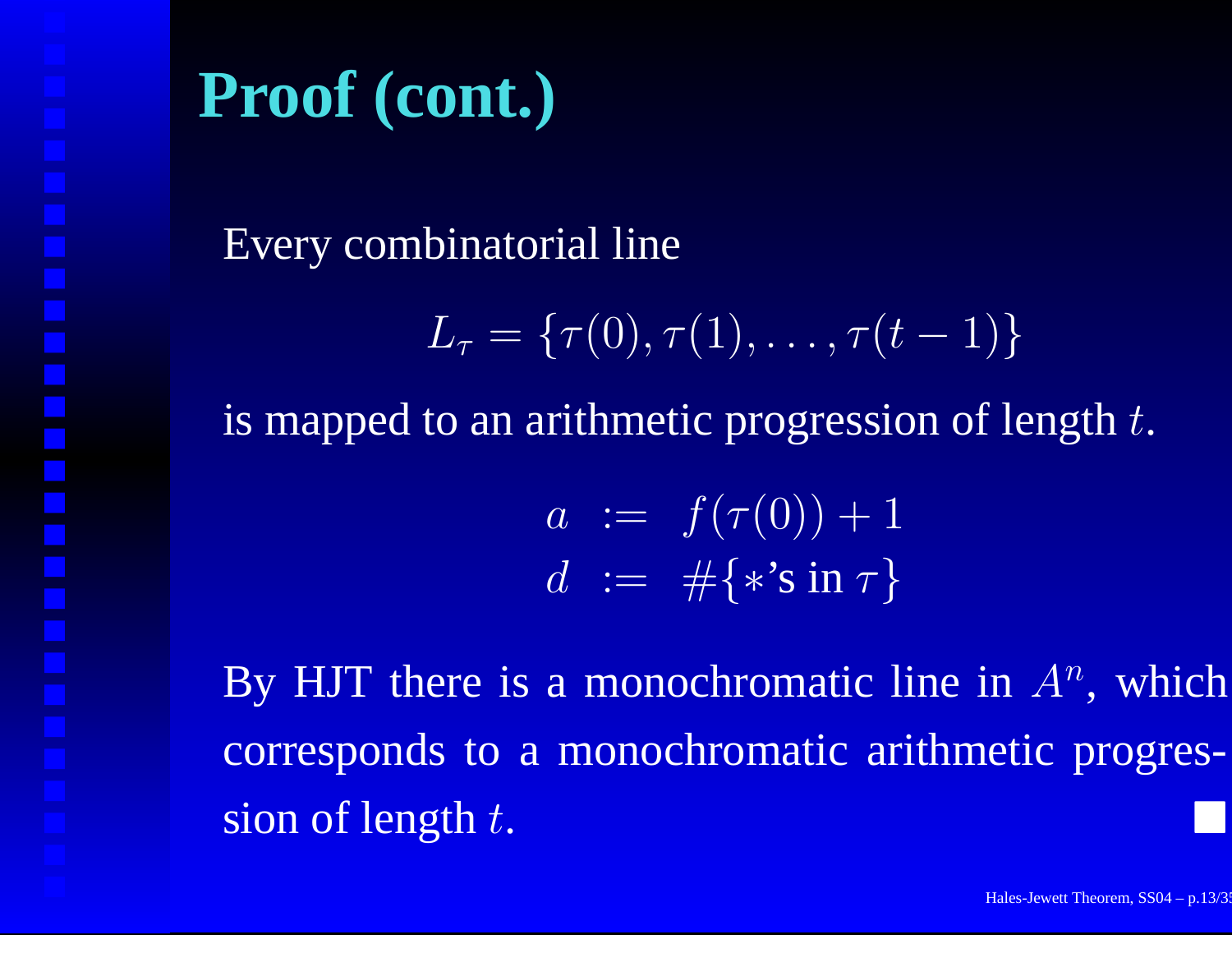Every combinatorial line

$$
L_{\tau} = \{\tau(0), \tau(1), \ldots, \tau(t-1)\}
$$

is mapped to an arithmetic progression of length  $t.$ 

$$
a := f(\tau(0)) + 1 \n d := \# \{ * \sin \tau \}
$$

By HJT there is a monochromatic line in  $A<sup>n</sup>$ , which corresponds to <sup>a</sup> monochromatic arithmetic progression of length  $t$ .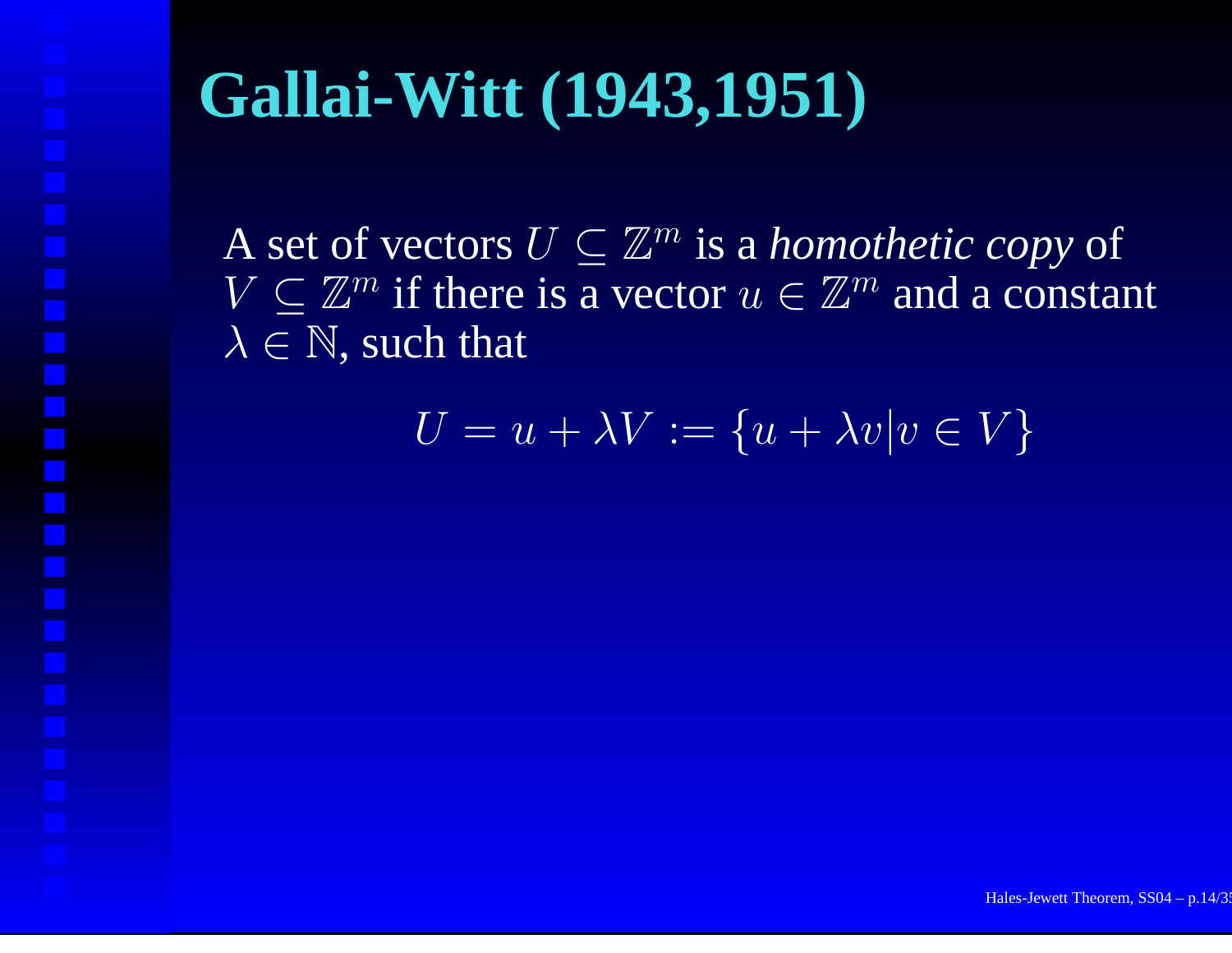# **Gallai-Witt (1943,1951)**

A set of vectors  $U\subseteq\mathbb{Z}^m$  is a *homothetic copy* of  $V \subset \mathbb{Z}^m$  if there is a vector  $u \in \mathbb{Z}^m$  and a constant  $\lambda \in \mathbb{N}$ , such that

$$
U = u + \lambda V := \{u + \lambda v | v \in V\}
$$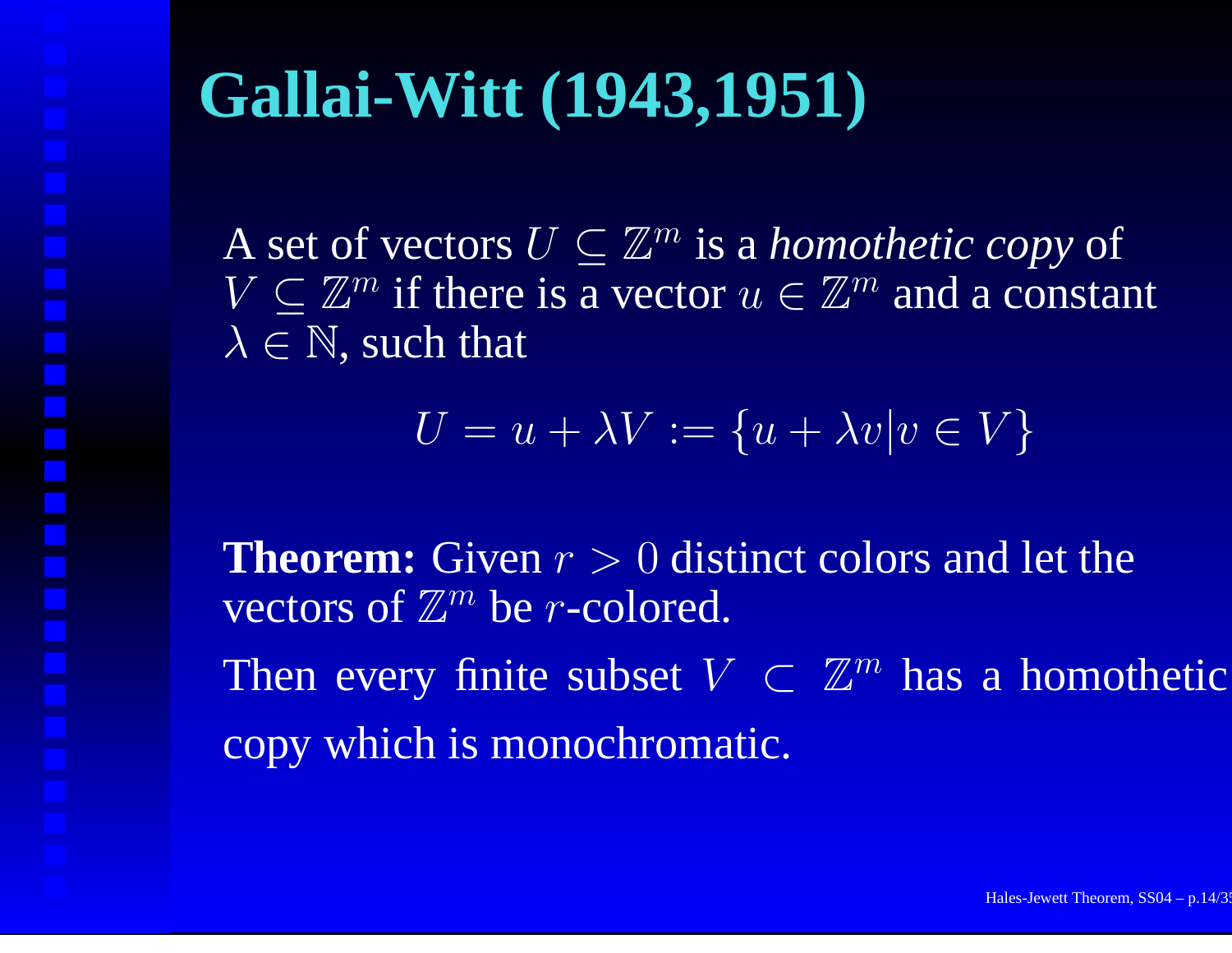# **Gallai-Witt (1943,1951)**

A set of vectors  $U\subseteq\mathbb{Z}^m$  is a *homothetic copy* of  $V \subset \mathbb{Z}^m$  if there is a vector  $u \in \mathbb{Z}^m$  and a constant  $\lambda \in \mathbb{N}$ , such that

$$
U = u + \lambda V := \{u + \lambda v | v \in V\}
$$

**Theorem:** Given  $r > 0$  distinct colors and let the vectors of  $\mathbb{Z}^m$  be *r*-colored. Then every finite subset  $V\, \subset\, {\mathbb Z}^m$  has a homothetic copy which is monochromatic.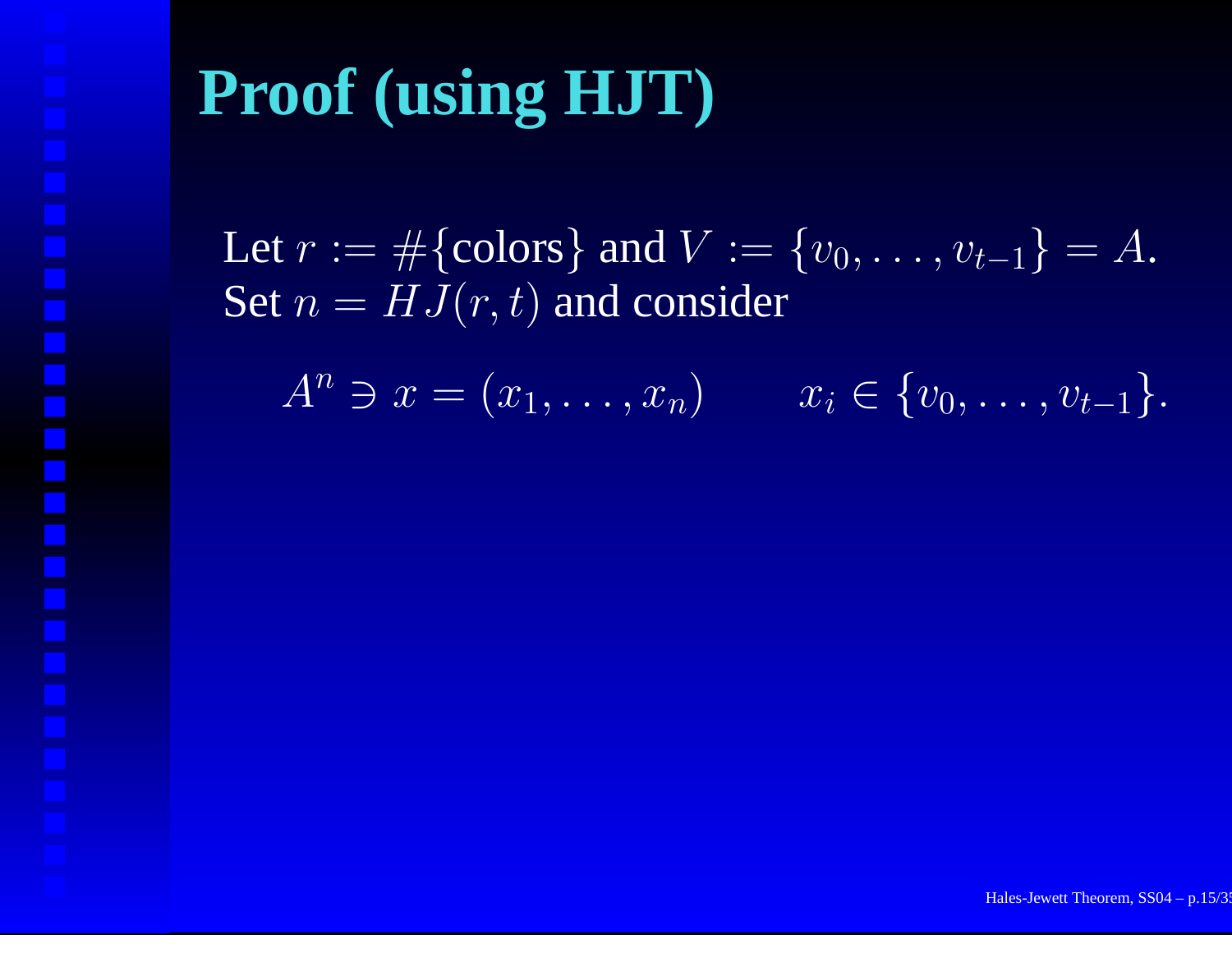Let  $r:=\#\{\textrm{colors}\}$  and  $V:=\{v_0,\ldots,v_{t-1}\}=A.$ Set  $n=HJ(r,t)$  and consider

 $A^n \ni x = (x_1, \ldots, x_n)$   $x_i \in \{v_0, \ldots, v_{t-1}\}.$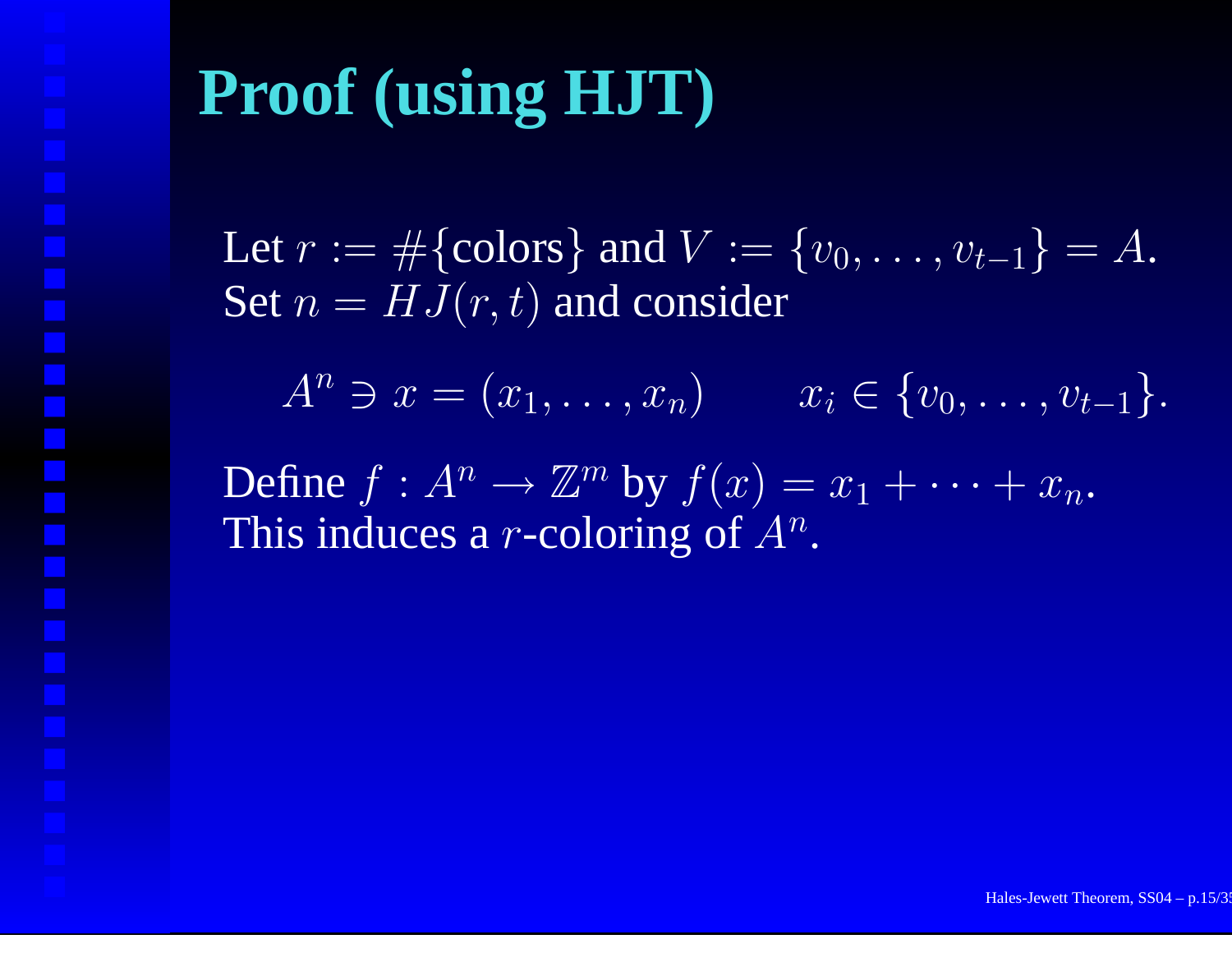Let  $r:=\#\{\textrm{colors}\}$  and  $V:=\{v_0,\ldots,v_{t-1}\}=A.$ Set  $n=HJ(r,t)$  and consider

 $A^n \ni x = (x_1, \ldots, x_n)$   $x_i \in \{v_0, \ldots, v_{t-1}\}.$ 

Define  $f: A^n \to \mathbb{Z}^m$  by  $f(x) = x_1 + \cdots + x_n.$ This induces a  $r$ -coloring of  $A^n.$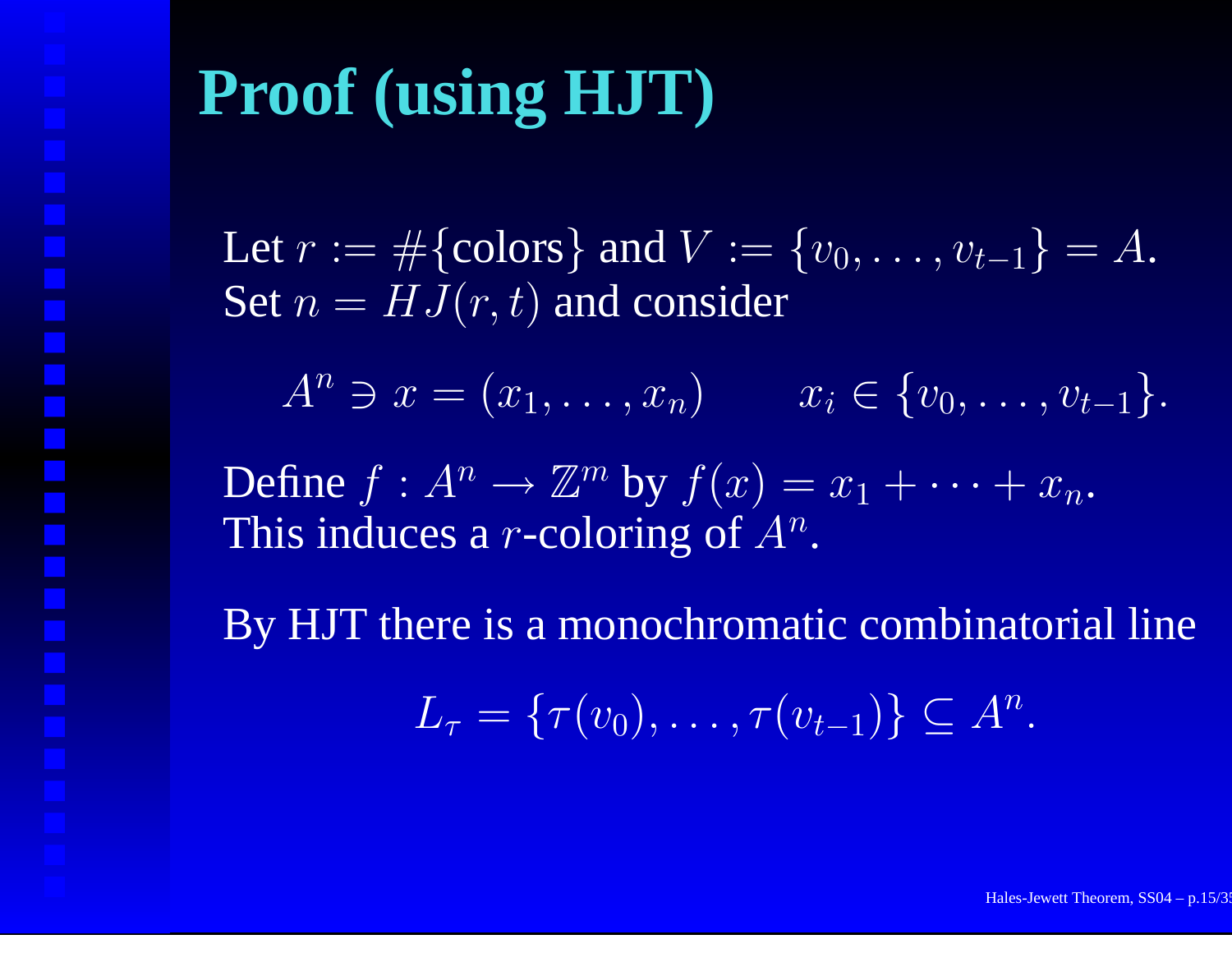Let  $r:=\#\{\textrm{colors}\}$  and  $V:=\{v_0,\ldots,v_{t-1}\}=A.$ Set  $n=HJ(r,t)$  and consider

 $A^n \ni x = (x_1, \ldots, x_n)$   $x_i \in \{v_0, \ldots, v_{t-1}\}.$ 

Define  $f: A^n \to \mathbb{Z}^m$  by  $f(x) = x_1 + \cdots + x_n.$ This induces a  $r$ -coloring of  $A^n.$ 

By HJT there is <sup>a</sup> monochromatic combinatorial line

 $L_\tau = \{\tau(v_0), \ldots, \tau(v_{t-1})\} \subseteq A^n.$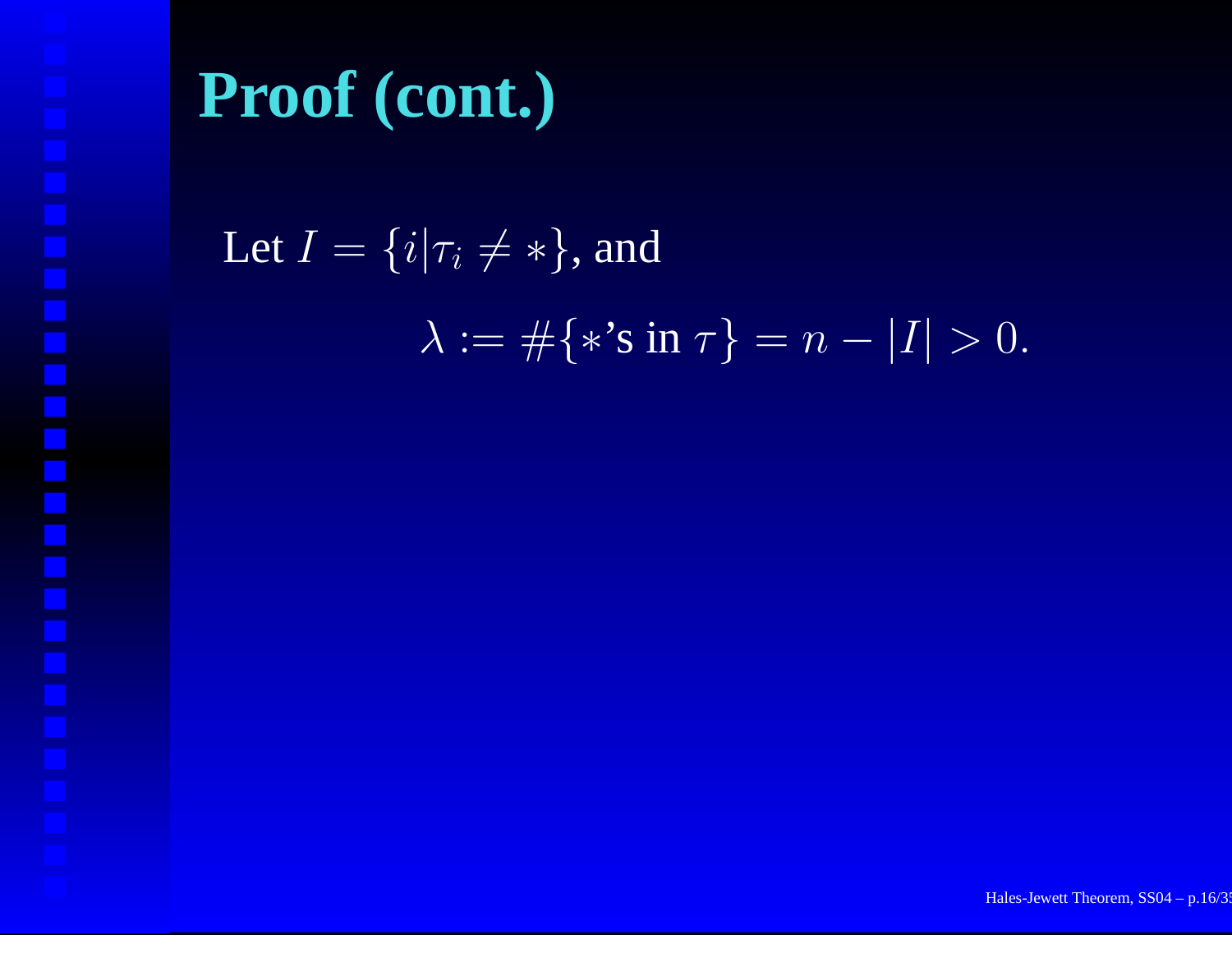Let  $I = \{i | \tau_i \neq *\},$  and  $\lambda:=\#\{\ast\text{'s in }\tau\}=n-|I|>0.$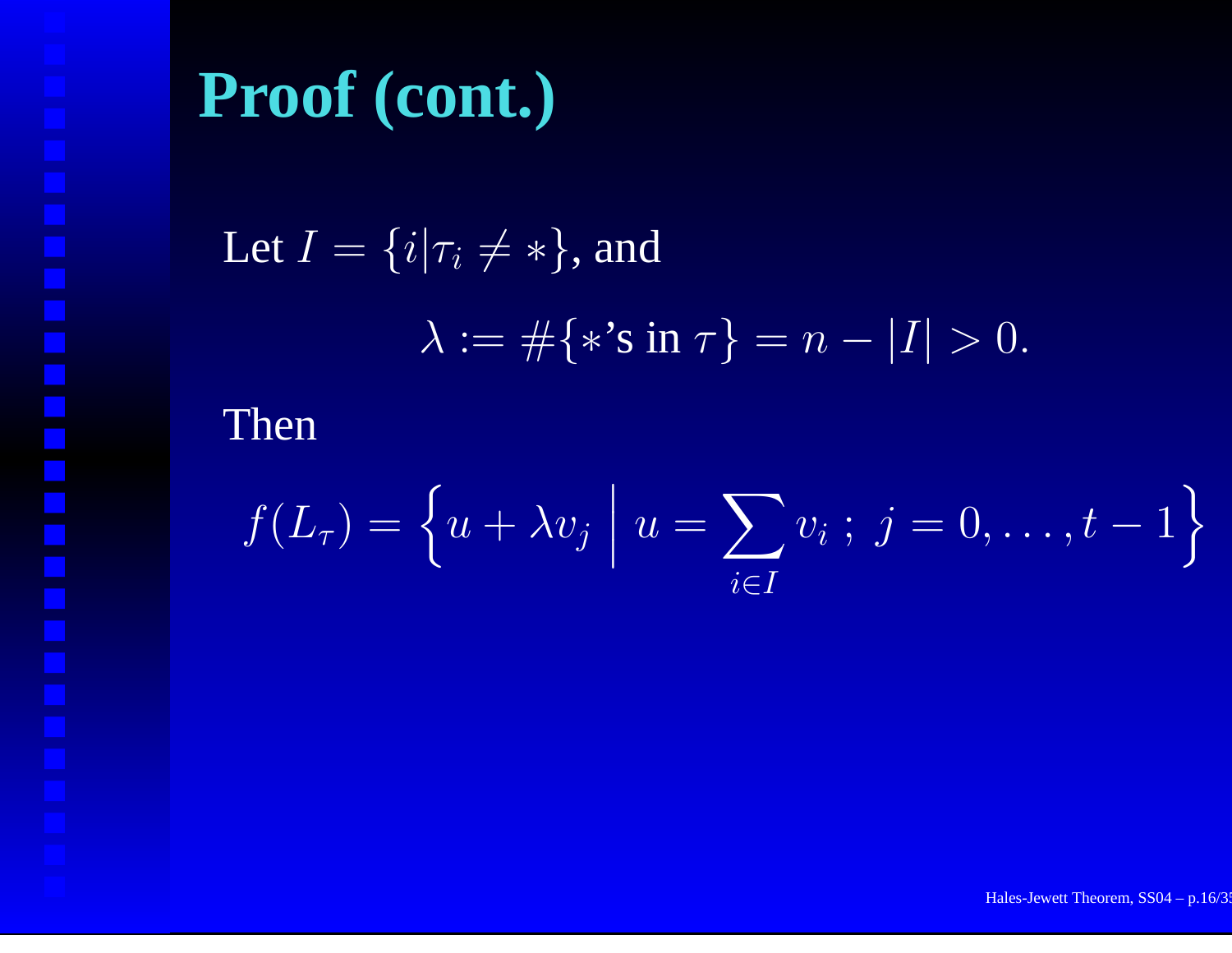Let 
$$
I = \{i | \tau_i \neq * \}
$$
, and  
\n
$$
\lambda := \#\{\ast \text{'s in } \tau\} = n - |I| > 0.
$$

Then

$$
f(L_{\tau}) = \left\{ u + \lambda v_j \; \middle| \; u = \sum_{i \in I} v_i \; ; \; j = 0, \ldots, t - 1 \right\}
$$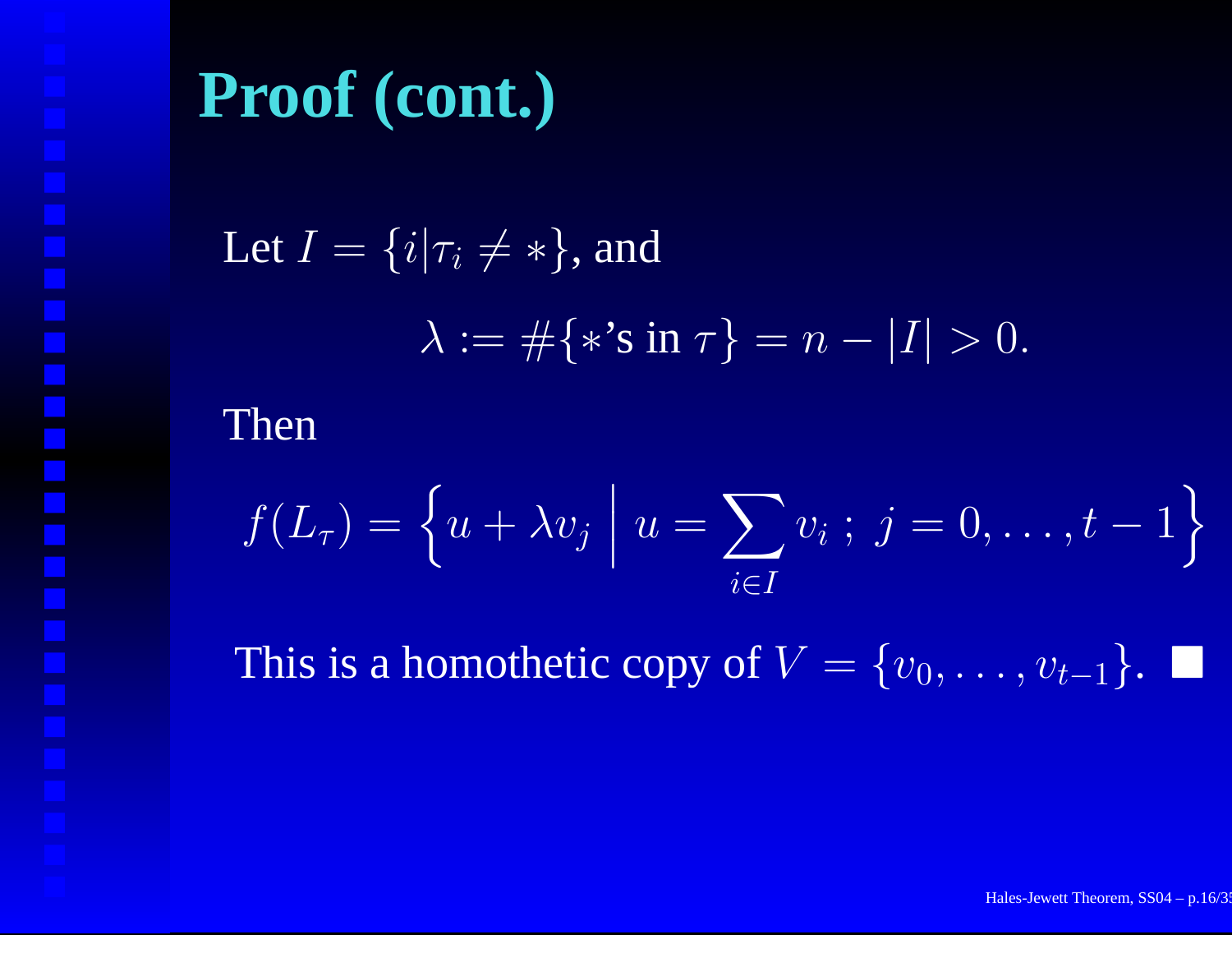Let 
$$
I = \{i | \tau_i \neq * \}
$$
, and  
\n
$$
\lambda := \#\{\ast \text{'s in } \tau\} = n - |I| > 0.
$$

Then

$$
f(L_{\tau}) = \left\{ u + \lambda v_j \; \middle| \; u = \sum_{i \in I} v_i \; ; \; j = 0, \ldots, t - 1 \right\}
$$

This is a homothetic copy of  $V = \{v_0, \ldots, v_{t-1}\}.$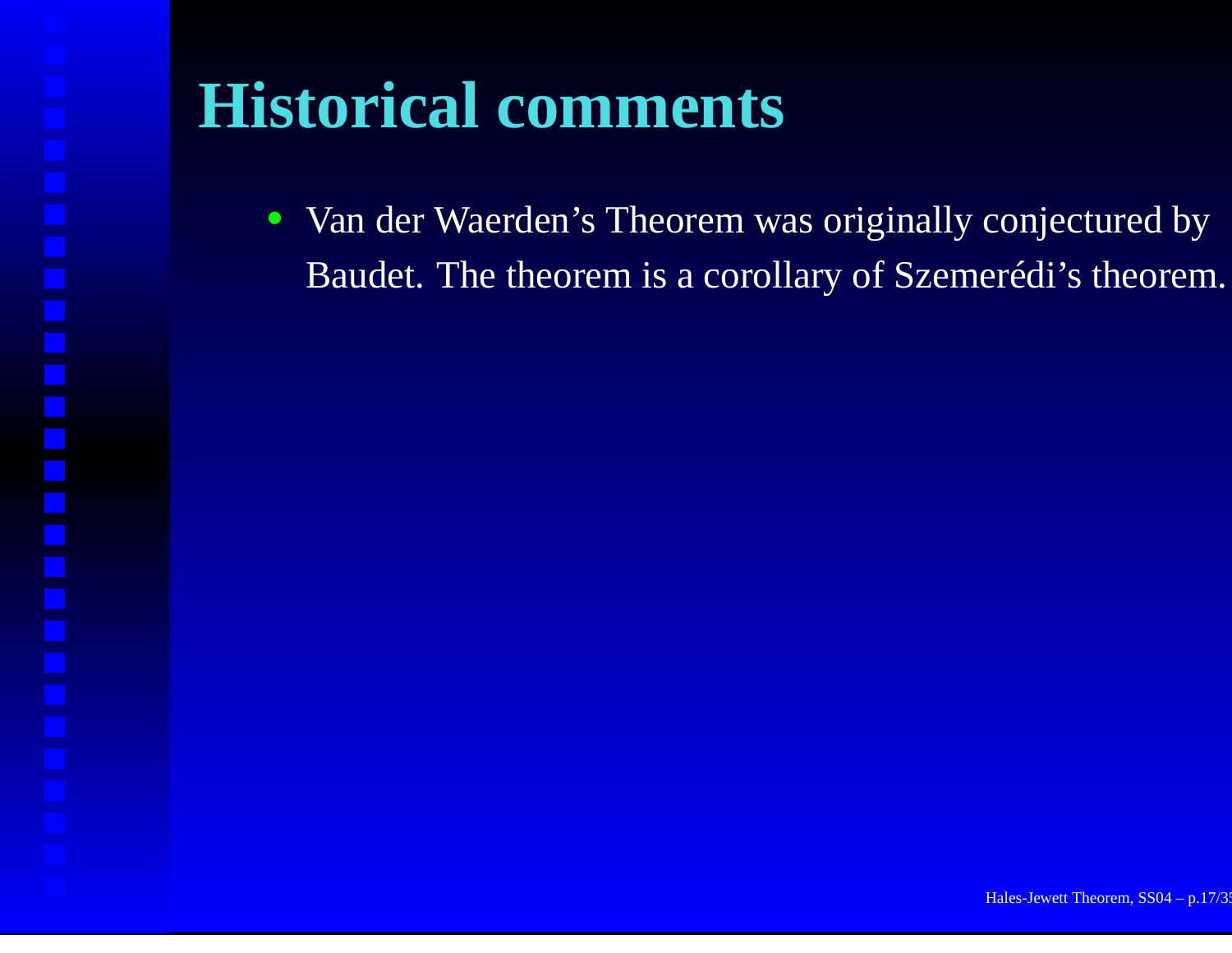• Van der Waerden's Theorem was originally conjectured by Baudet. The theorem is <sup>a</sup> corollary of Szemerédi's theorem.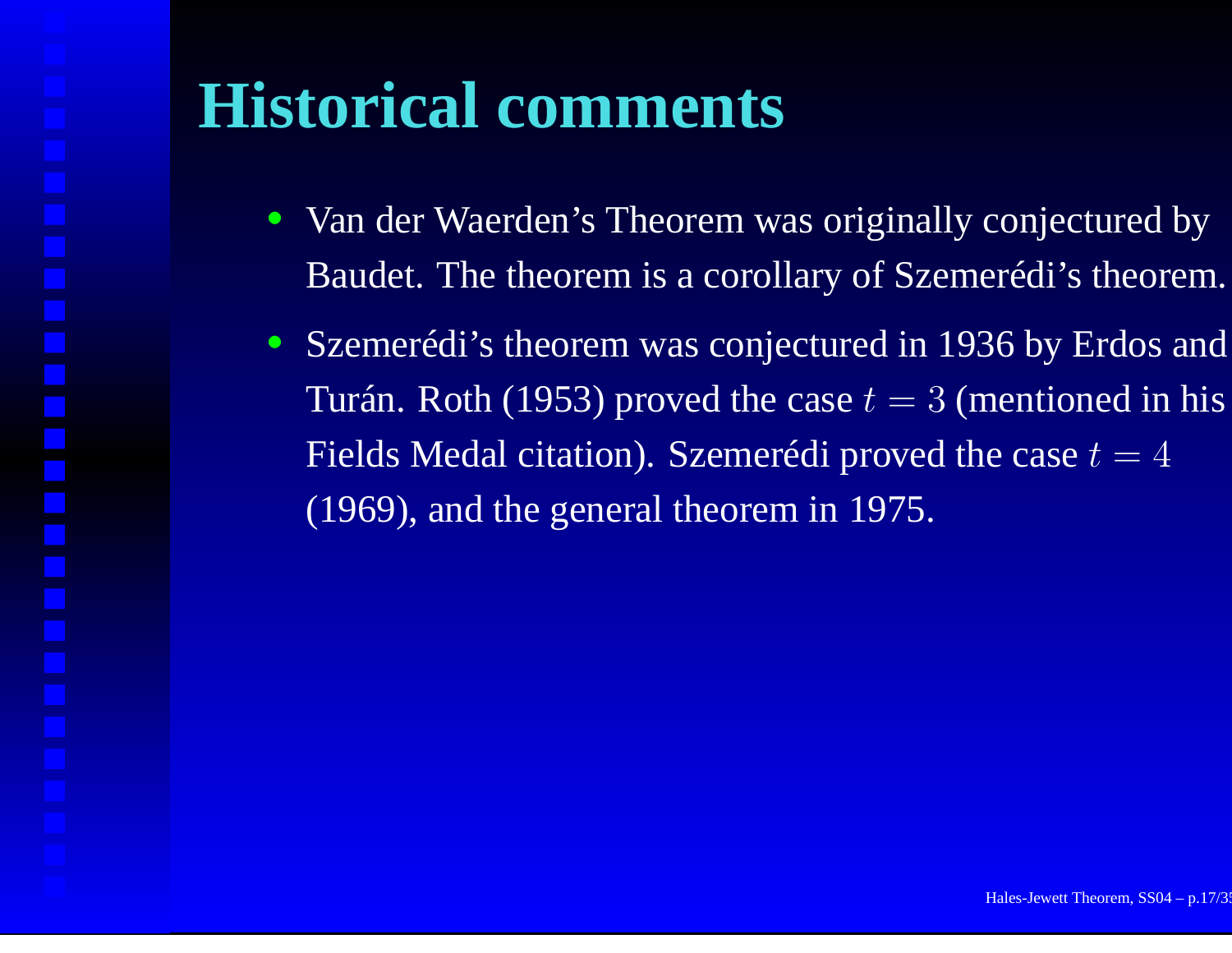- • Van der Waerden's Theorem was originally conjectured by Baudet. The theorem is <sup>a</sup> corollary of Szemerédi's theorem.
- Szemerédi's theorem was conjectured in 1936 by Erdos and Turán. Roth (1953) proved the case  $t=3$  (mentioned in his Fields Medal citation). Szemerédi proved the case  $t=4$ (1969), and the general theorem in 1975.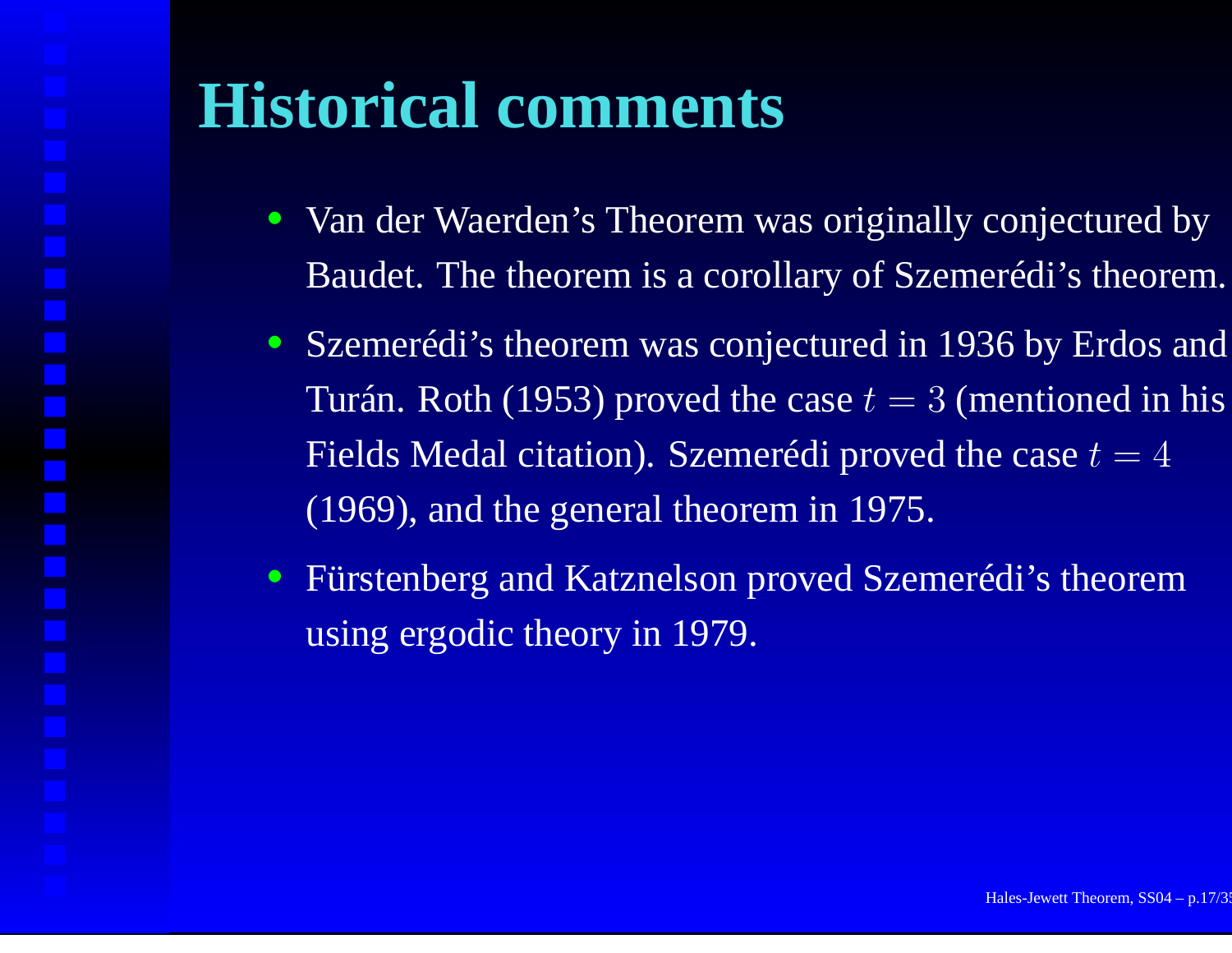- • Van der Waerden's Theorem was originally conjectured by Baudet. The theorem is <sup>a</sup> corollary of Szemerédi's theorem.
- Szemerédi's theorem was conjectured in 1936 by Erdos and Turán. Roth (1953) proved the case  $t=3$  (mentioned in his Fields Medal citation). Szemerédi proved the case  $t=4$ (1969), and the general theorem in 1975.
- Fürstenberg and Katznelson proved Szemerédi's theorem using ergodic theory in 1979.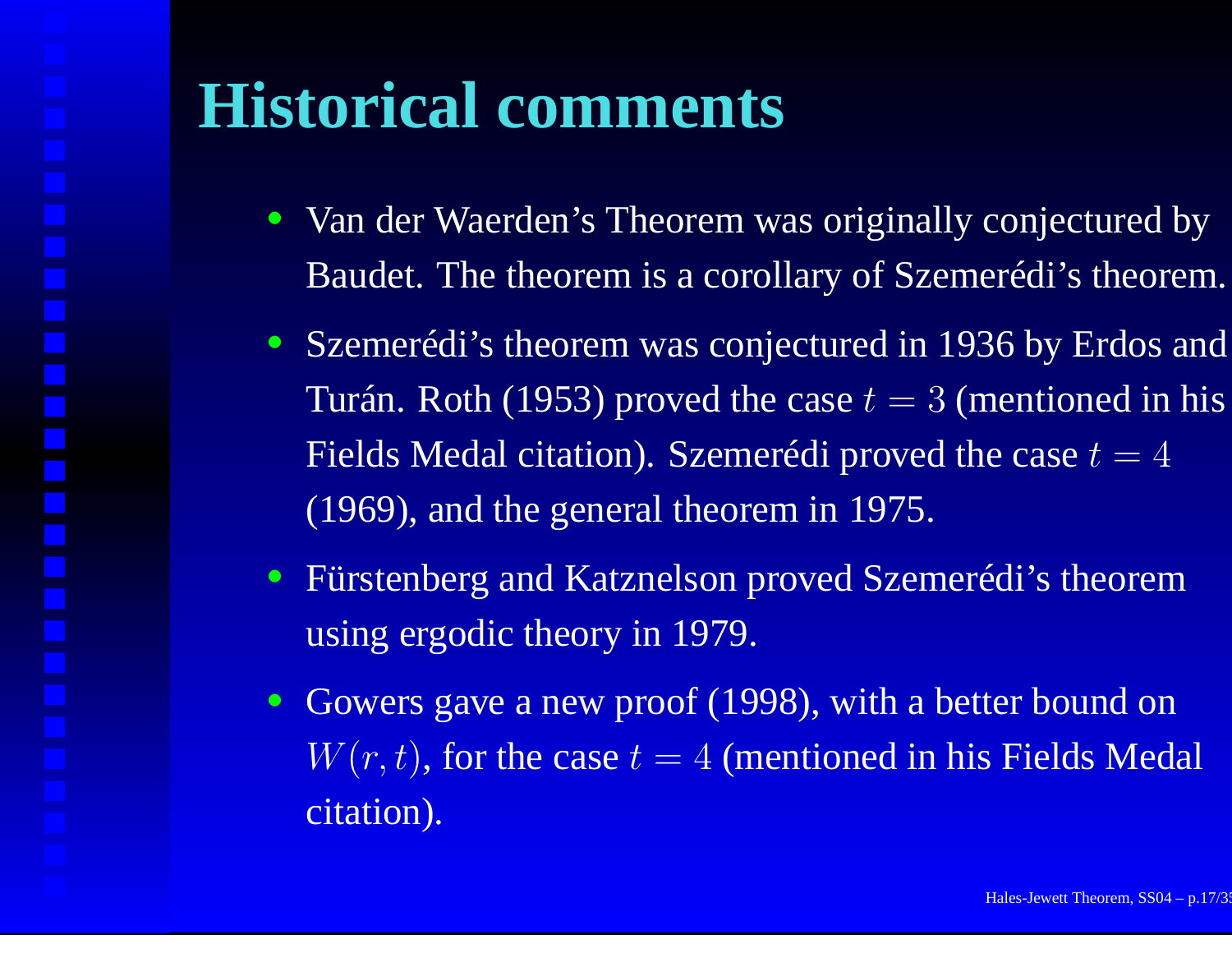- Van der Waerden's Theorem was originally conjectured by Baudet. The theorem is <sup>a</sup> corollary of Szemerédi's theorem.
- Szemerédi's theorem was conjectured in 1936 by Erdos and Turán. Roth (1953) proved the case  $t=3$  (mentioned in his Fields Medal citation). Szemerédi proved the case  $t=4$ (1969), and the general theorem in 1975.
- Fürstenberg and Katznelson proved Szemerédi's theorem using ergodic theory in 1979.
- Gowers gave a new proof (1998), with a better bound on  $W(r, t)$ , for the case  $t = 4$  (mentioned in his Fields Medal citation).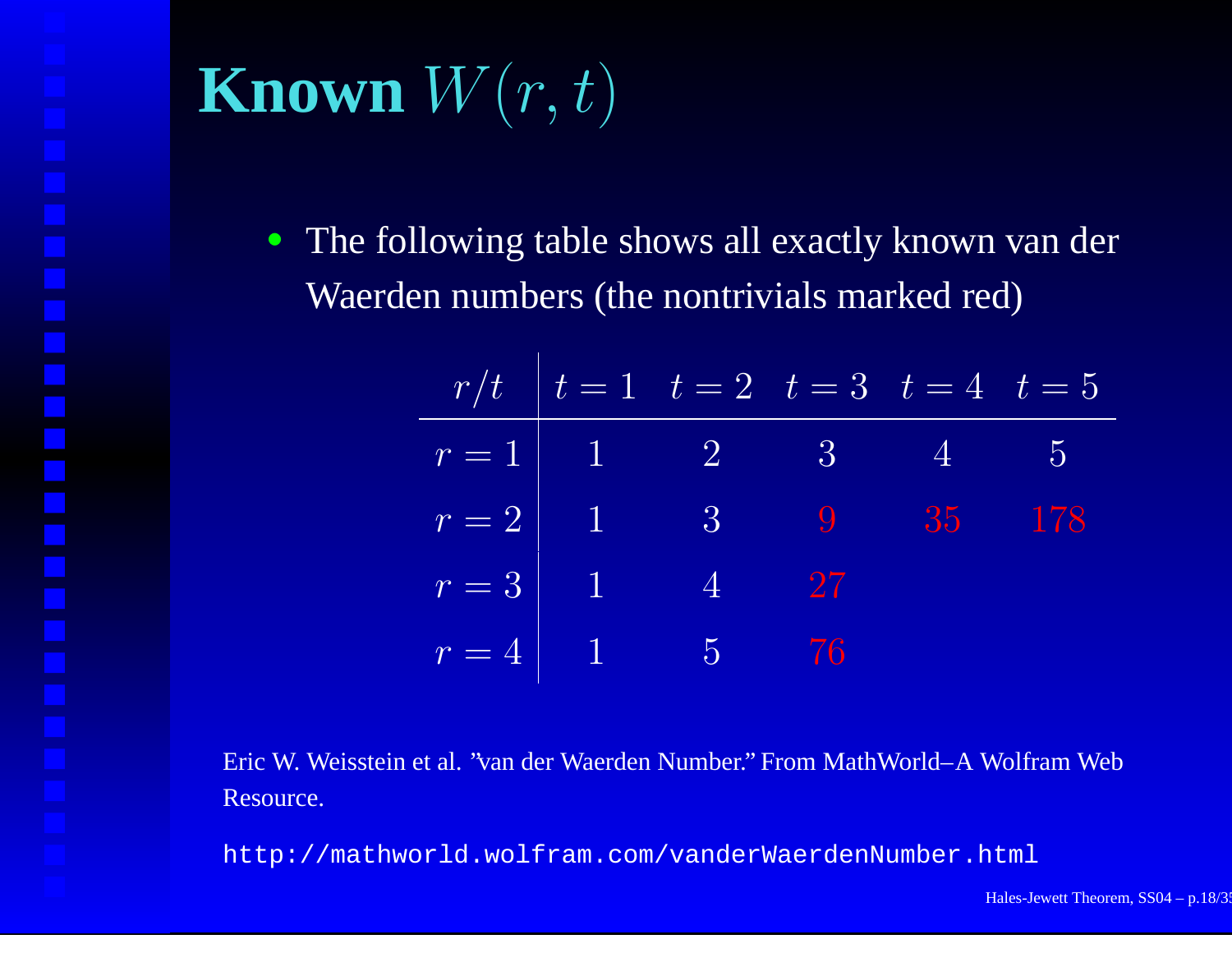# **Known**  $W(r,t)$

• The following table shows all exactly known van der Waerden numbers (the nontrivials marked red)

|                                                                 |  | $r/t$ $\boxed{t=1$ $t=2$ $\boxed{t=3}$ $t=4$ $\boxed{t=5}$ |  |
|-----------------------------------------------------------------|--|------------------------------------------------------------|--|
|                                                                 |  | $r=1$ 1 2 3 4 5                                            |  |
| $r=2$   1                                                       |  | 3 9 35 178                                                 |  |
| $r = 3 \begin{array}{ c c } \hline 1 & 1 \\ \hline \end{array}$ |  | $\boxed{4}$ 27                                             |  |
| $r=4$ 1 5 76                                                    |  |                                                            |  |

Eric W. Weisstein et al. "van der Waerden Number." From MathWorld–A Wolfram Web Resource.

http://mathworld.wolfram.com/vanderWaerdenNumber.html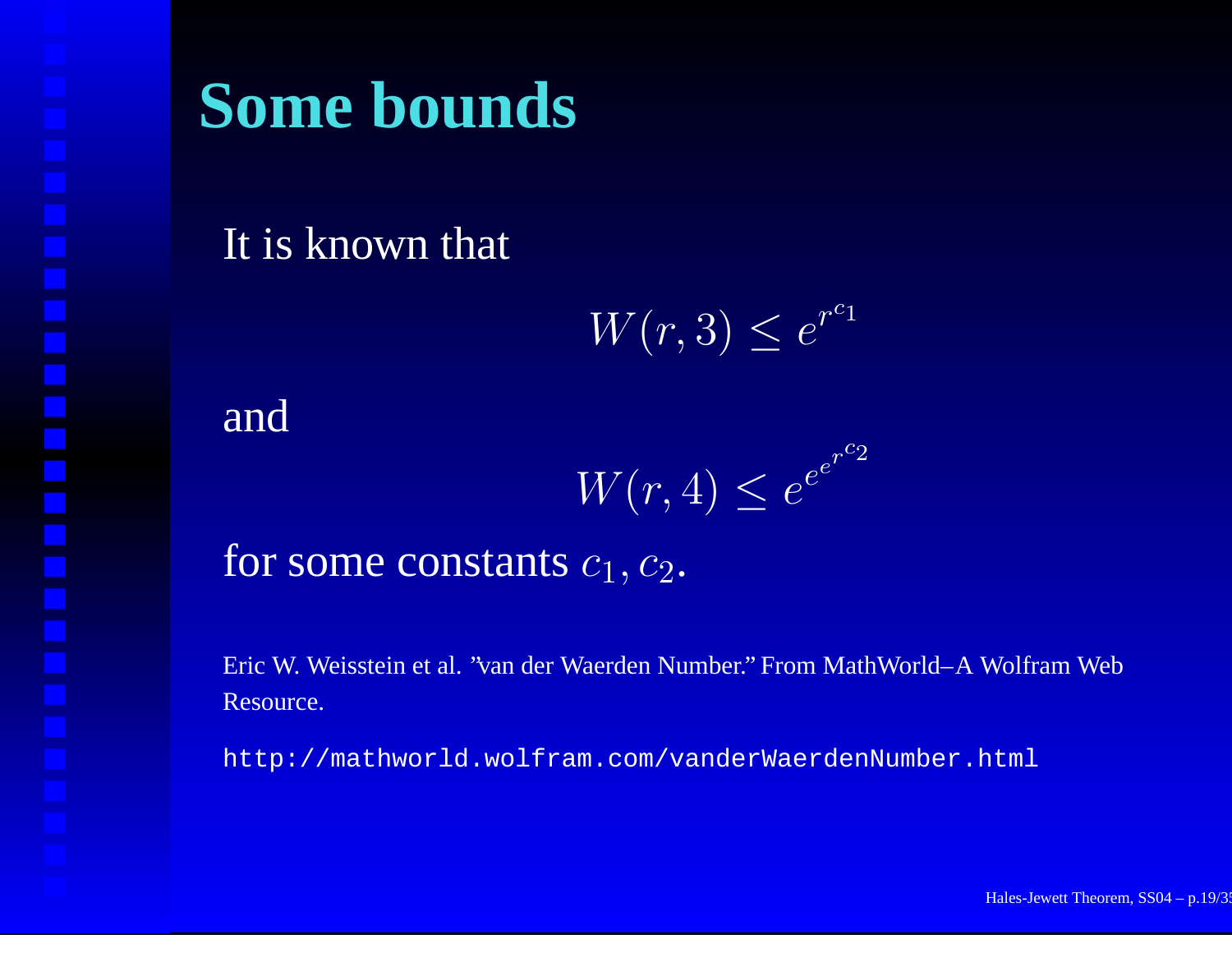### **Some bounds**

#### It is known that

$$
W(r,3) \le e^{r^{c_1}}
$$

#### and

$$
W(r, 4) \le e^{e^{r^{c_2}}}
$$

#### for some constants  $c_1, c_2.$

Eric W. Weisstein et al. "van der Waerden Number." From MathWorld–A Wolfram Web Resource.

http://mathworld.wolfram.com/vanderWaerdenNumber.html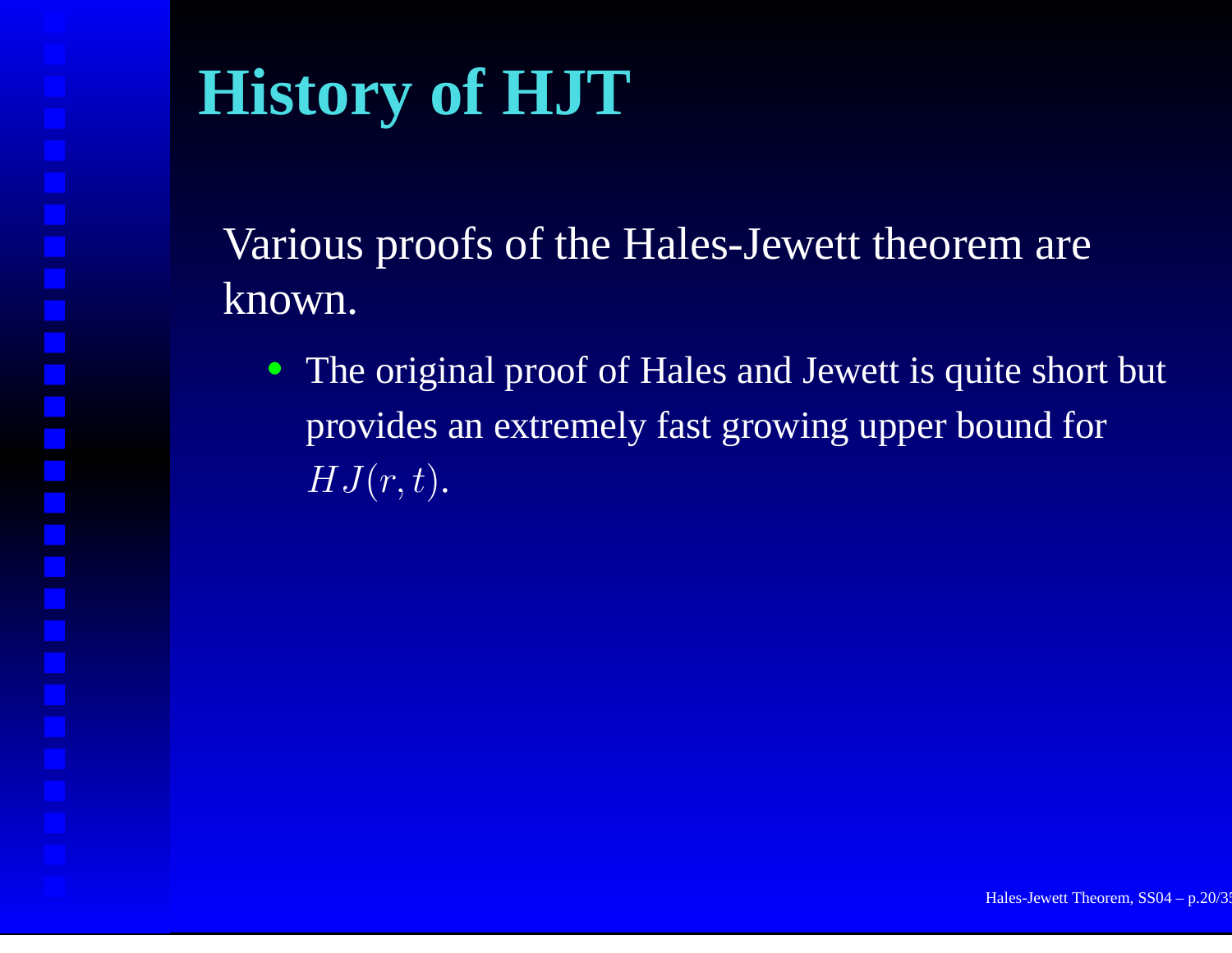# **History of HJT**

Various proofs of the Hales-Jewett theorem are known.

• The original proof of Hales and Jewett is quite short but provides an extremely fast growing upper bound for  $\overline{HJ(r,t)}.$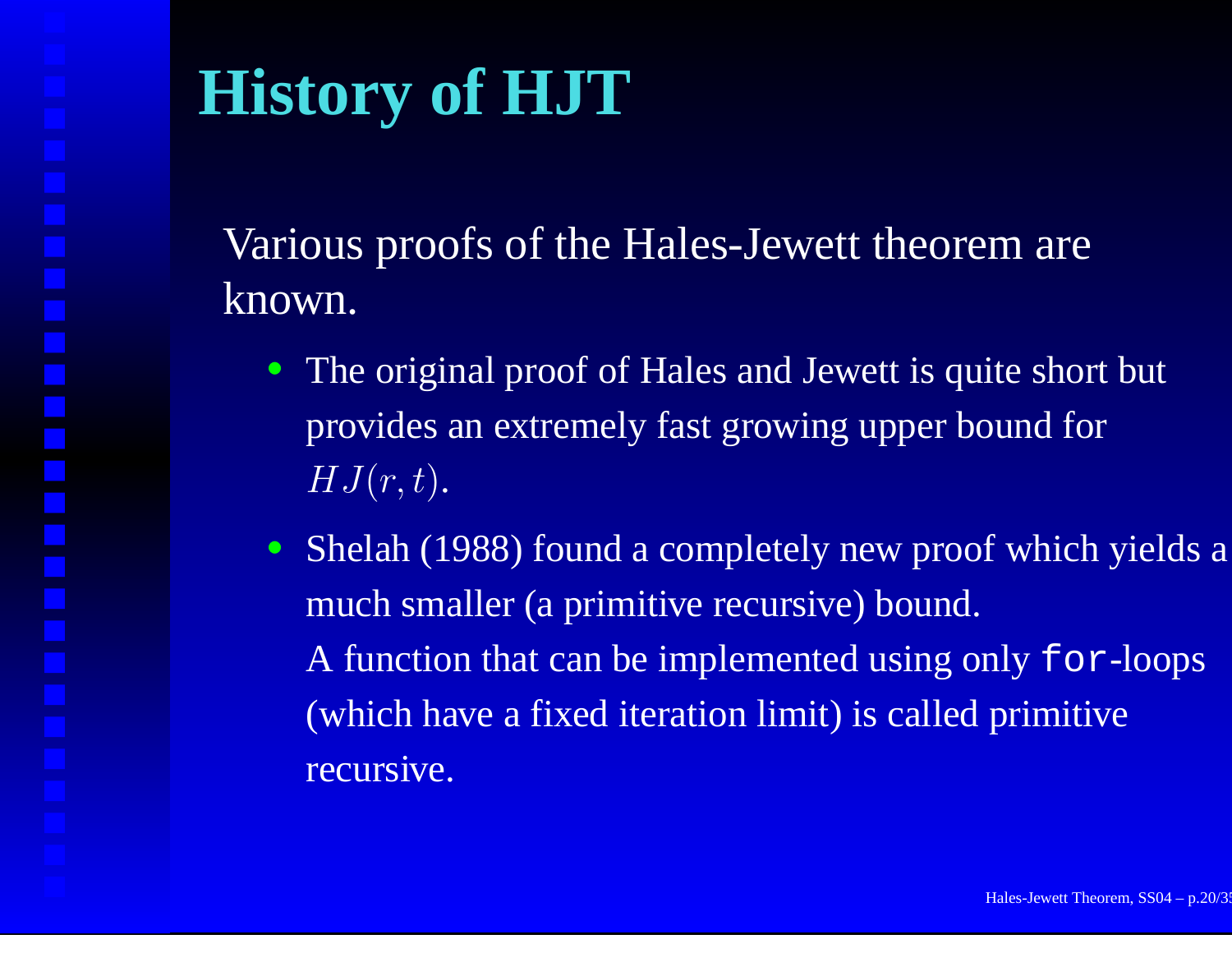# **History of HJT**

Various proofs of the Hales-Jewett theorem are known.

- The original proof of Hales and Jewett is quite short but provides an extremely fast growing upper bound for  $HJ(r,t).$
- Shelah (1988) found a completely new proof which yields a much smaller (a primitive recursive) bound. A function that can be implemented using only for-loops (which have <sup>a</sup> fixed iteration limit) is called primitive recursive.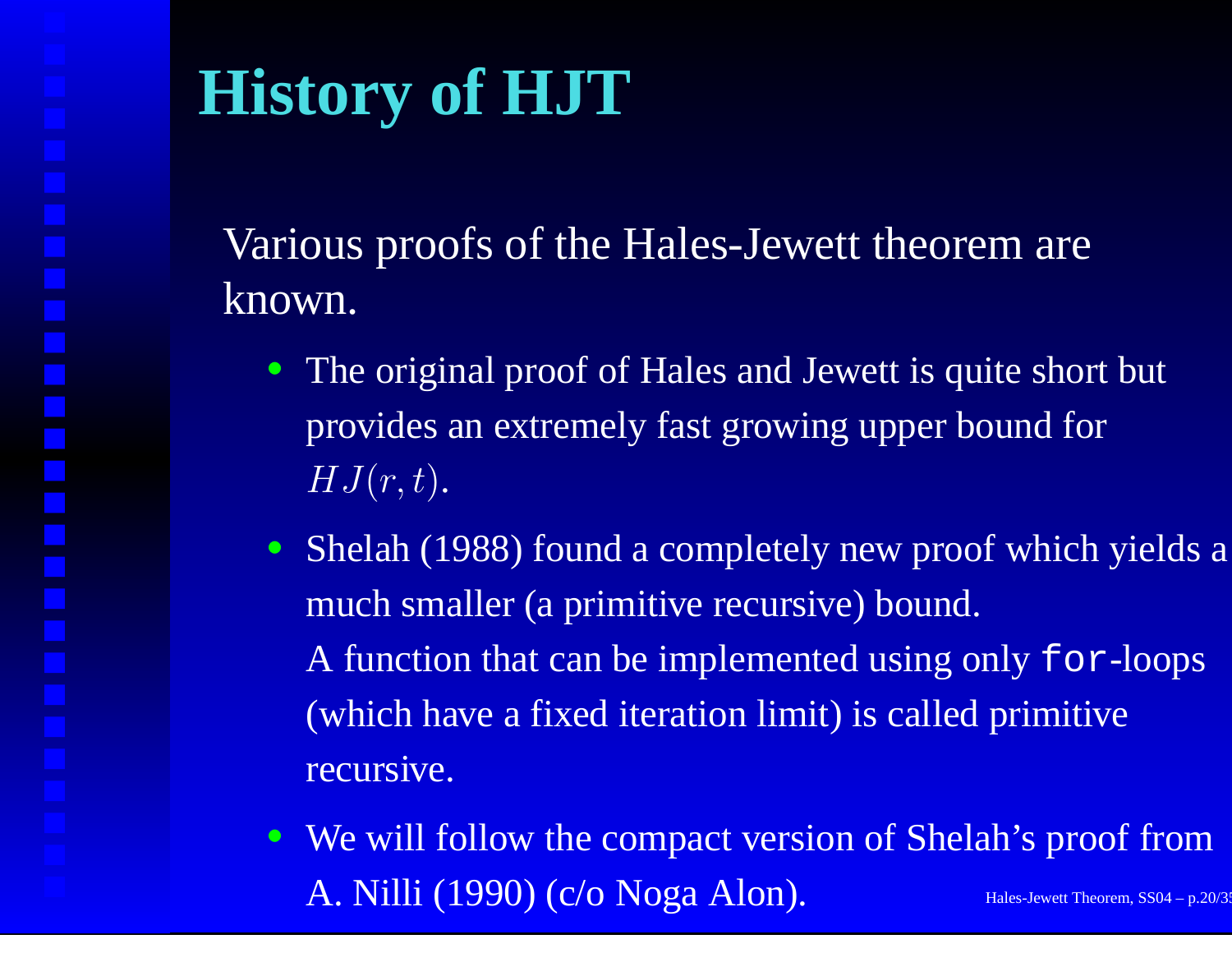# **History of HJT**

Various proofs of the Hales-Jewett theorem are known.

- The original proof of Hales and Jewett is quite short but provides an extremely fast growing upper bound for  $HJ(r,t).$
- Shelah (1988) found a completely new proof which yields a much smaller (a primitive recursive) bound. A function that can be implemented using only for-loops (which have <sup>a</sup> fixed iteration limit) is called primitive recursive.
- We will follow the compac<sup>t</sup> version of Shelah's proof from  $\rm A.\ Nilli\ (1990) \ (c/o\ Noga\ Alon).$  Hales-Jewett Theorem, SS04 – p.20/3: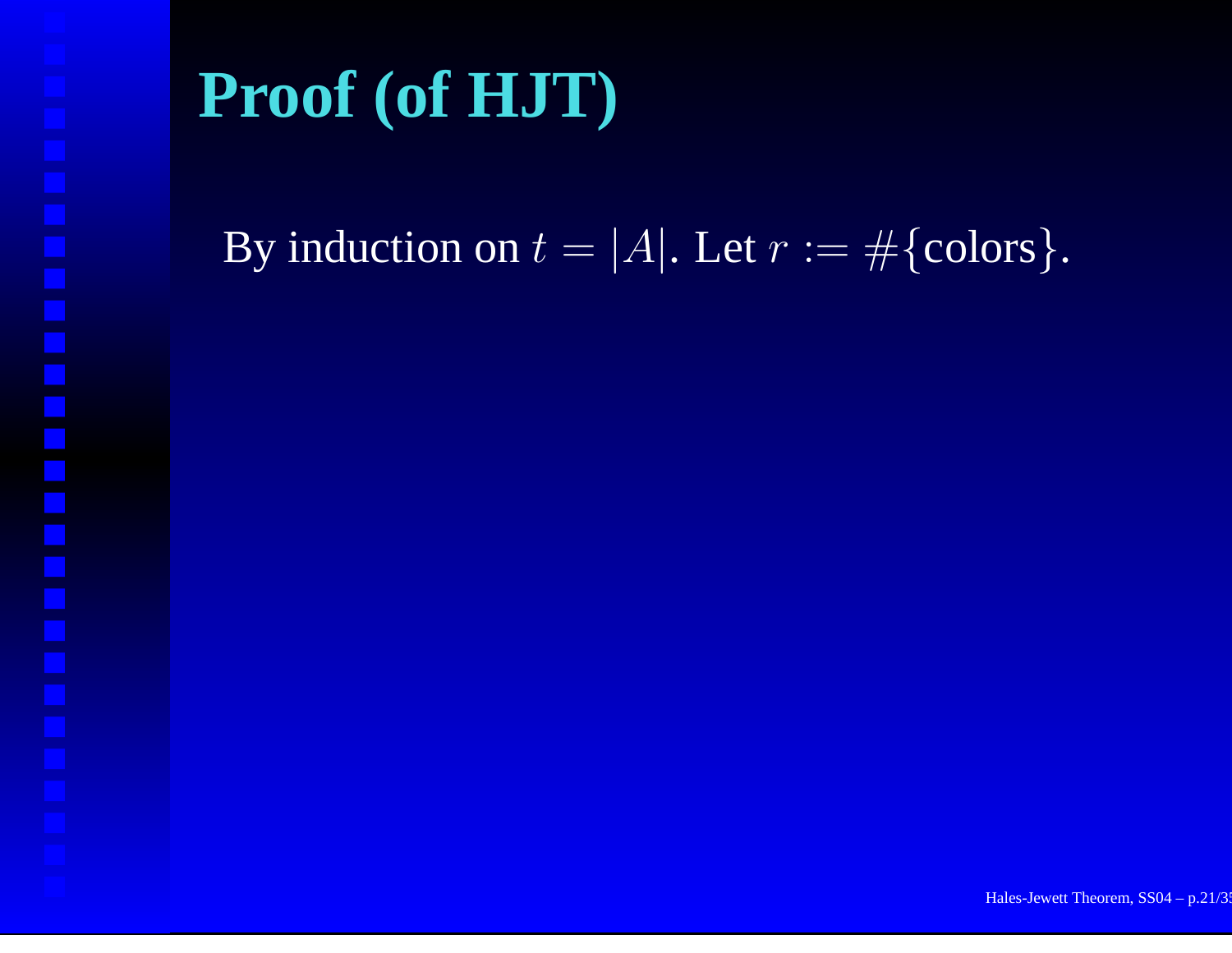By induction on  $t = |A|$ . Let  $r := \#\{\text{colors}\}.$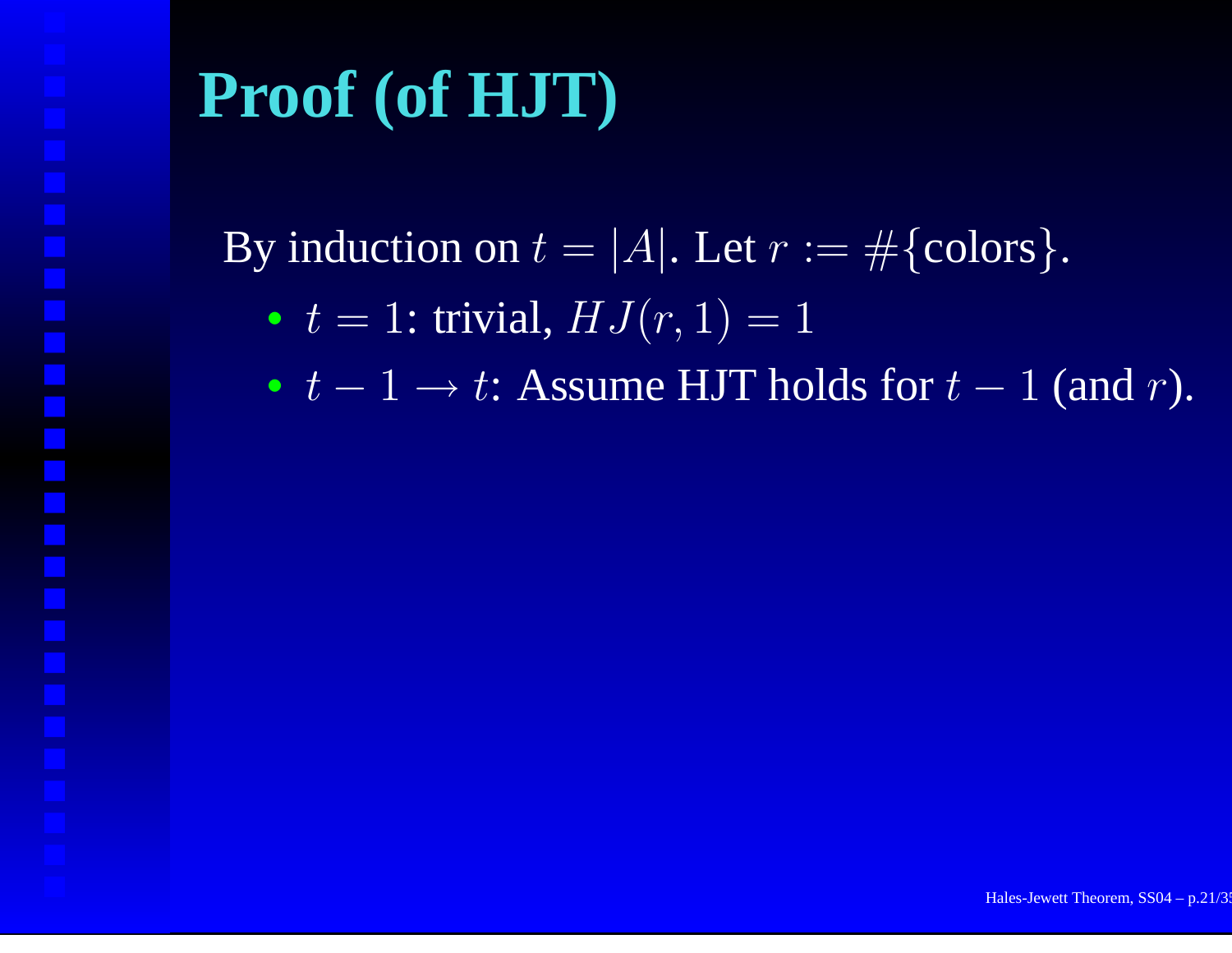By induction on  $t = |A|$ . Let  $r := \#\{\text{colors}\}.$ 

•  $t = 1$ : trivial,  $HJ(r, 1) = 1$ 

•  $t-1 \rightarrow t$ : Assume HJT holds for  $t-1$  (and r).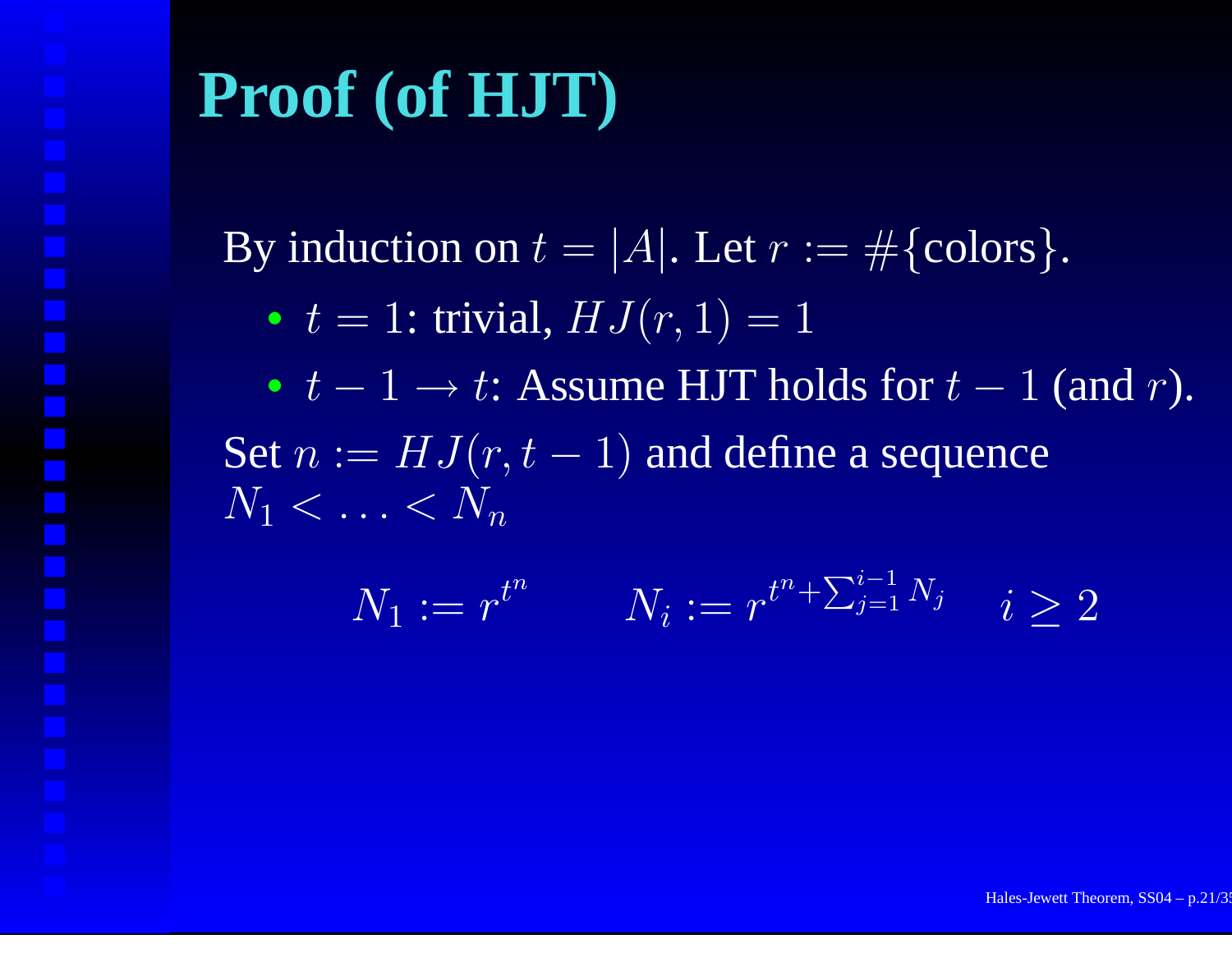By induction on  $t = |A|$ . Let  $r := \#\{\text{colors}\}.$ 

•  $t = 1$ : trivial,  $HJ(r, 1) = 1$ 

•  $t-1 \rightarrow t$ : Assume HJT holds for  $t-1$  (and r). Set  $n := HJ(r,t-1)$  and define a sequence  $N_1<\ldots < N_n$ 

$$
N_1 := r^{t^n} \qquad N_i := r^{t^n + \sum_{j=1}^{i-1} N_j} \quad i \ge 2
$$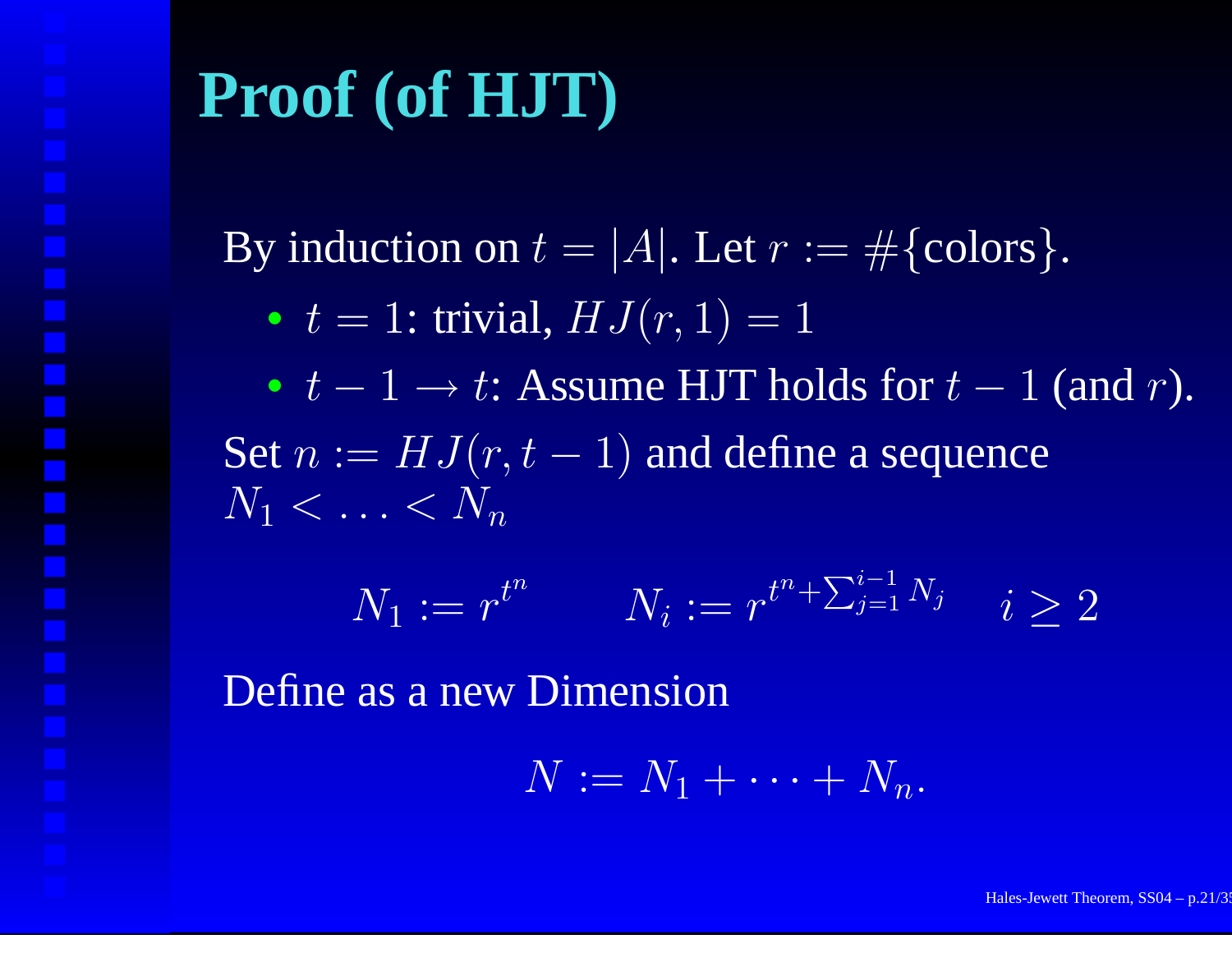By induction on  $t = |A|$ . Let  $r := \#\{\text{colors}\}.$ 

•  $t = 1$ : trivial,  $HJ(r, 1) = 1$ 

•  $t-1 \rightarrow t$ : Assume HJT holds for  $t-1$  (and r). Set  $n := HJ(r,t-1)$  and define a sequence  $N_1<\ldots < N_n$ 

$$
N_1 := r^{t^n} \qquad N_i := r^{t^n + \sum_{j=1}^{i-1} N_j} \quad i \ge 2
$$

Define as a new Dimension

$$
N := N_1 + \cdots + N_n.
$$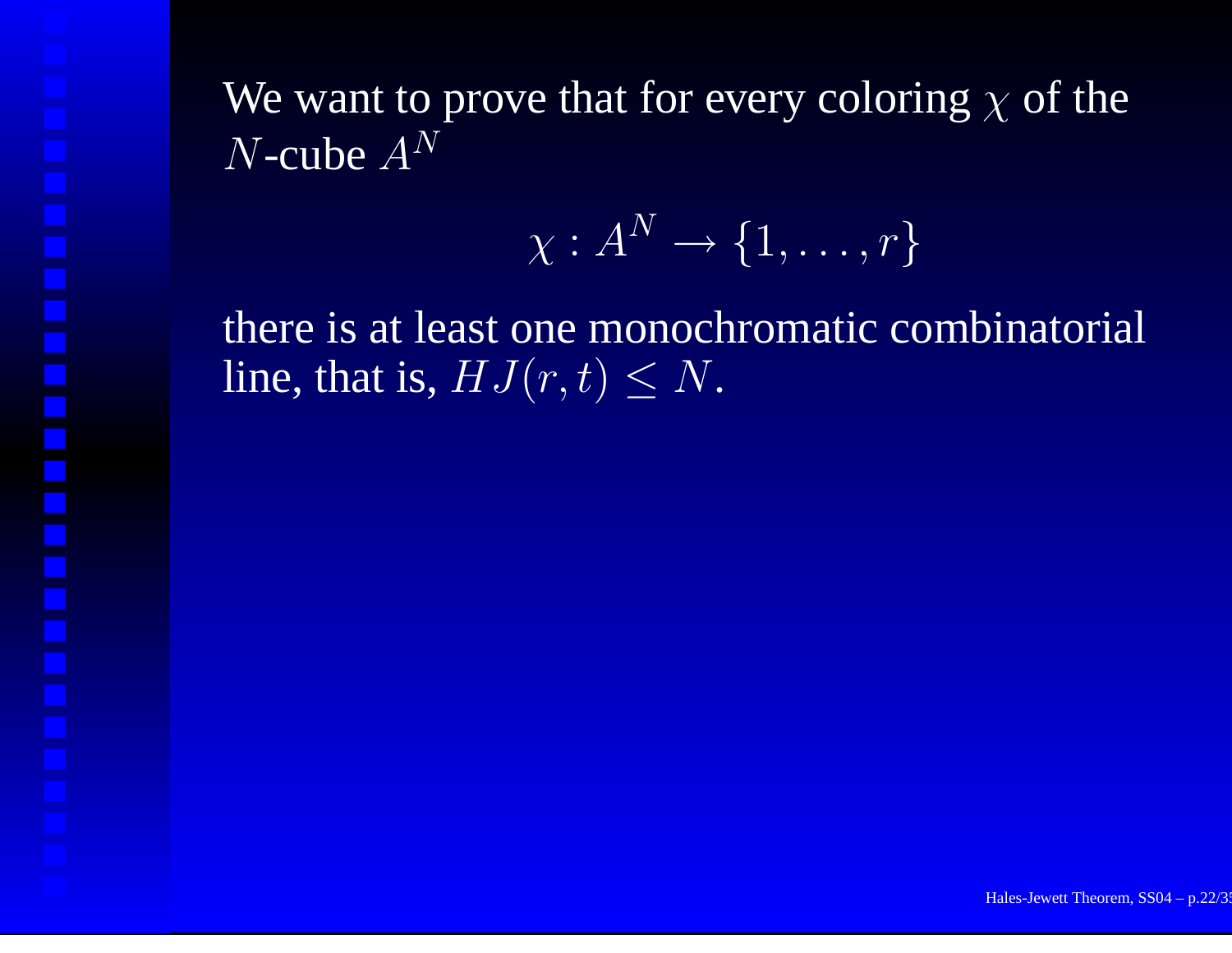$$
\chi:A^N\to\{1,\ldots,r\}
$$

there is at least one monochromatic combinatorial line, that is,  $HJ(r,t) \leq N$ .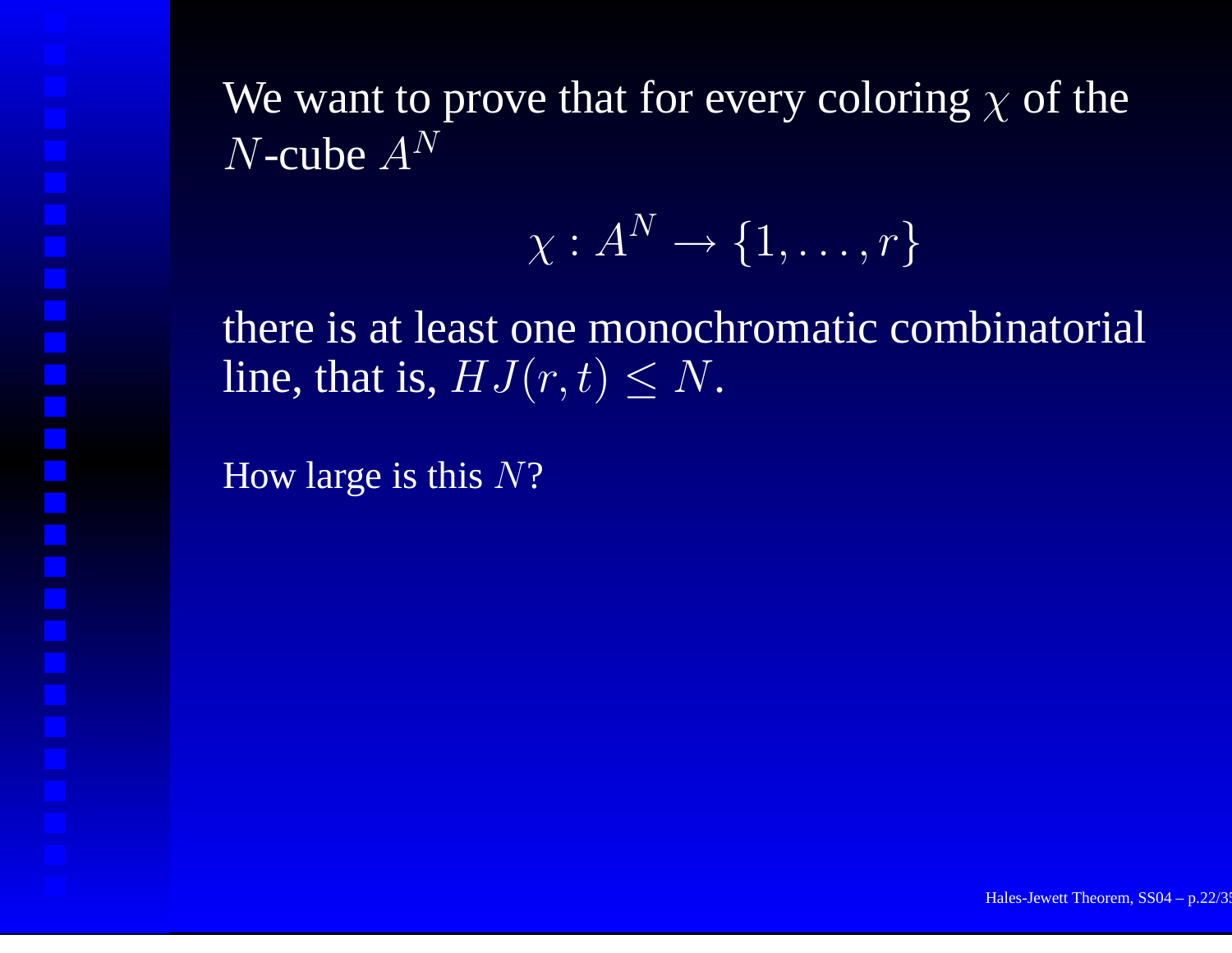$$
\chi:A^N\to\{1,\ldots,r\}
$$

there is at least one monochromatic combinatorial line, that is,  $HJ(r,t) \leq N$ .

How large is this  $N?$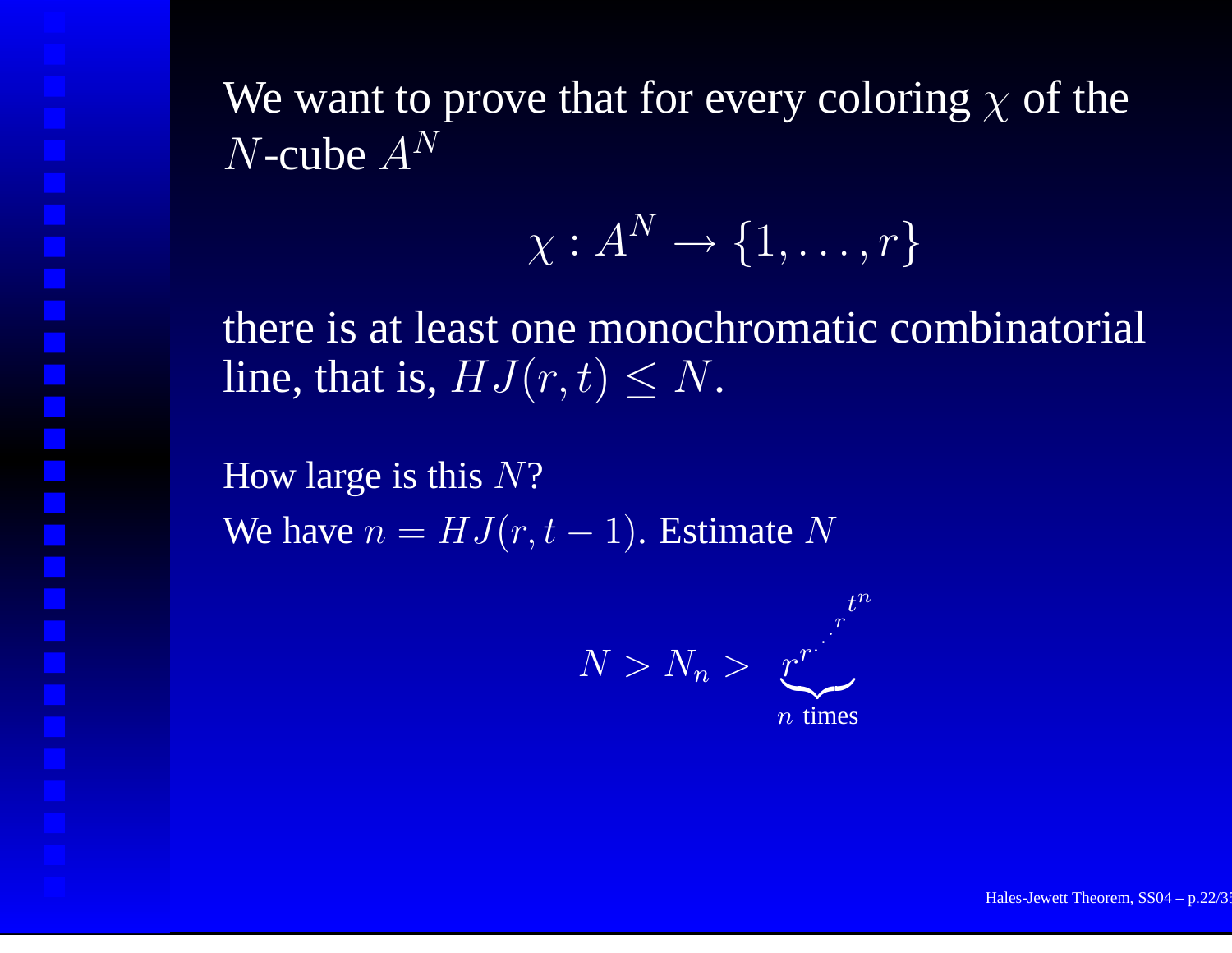$$
\chi:A^N\to\{1,\ldots,r\}
$$

there is at least one monochromatic combinatorial line, that is,  $HJ(r,t) \leq N$ .

How large is this  $N?$ We have  $n = HJ(r,t-1)$ . Estimate N

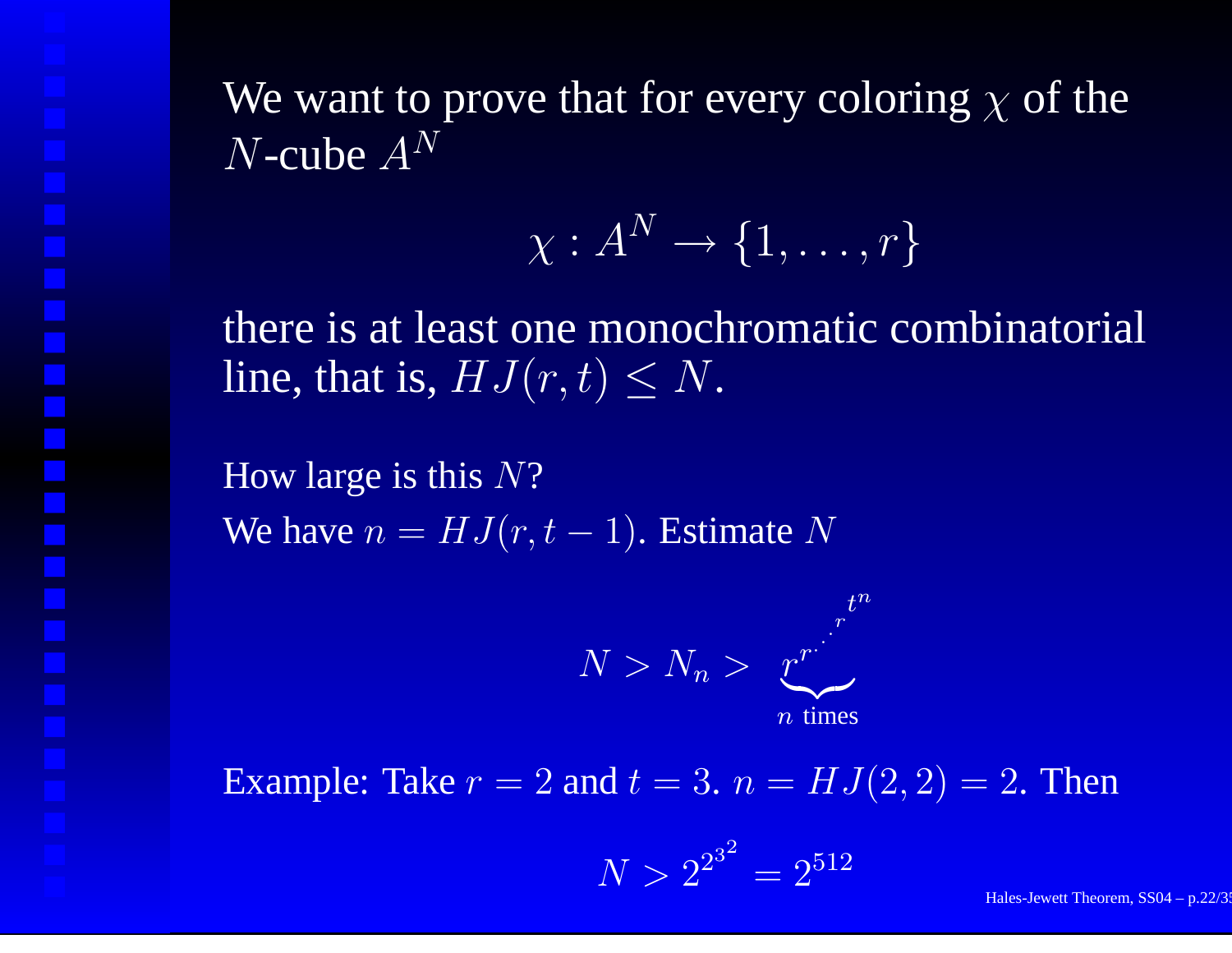$$
\chi:A^N\to\{1,\ldots,r\}
$$

there is at least one monochromatic combinatorial line, that is,  $HJ(r,t) \leq N$ .

How large is this  $N?$ We have  $n = HJ(r,t-1)$ . Estimate N



Example: Take  $r = 2$  and  $t = 3$ .  $n = HJ(2, 2) = 2$ . Then

$$
N > 2^{2^{3^2}} = 2^{512}
$$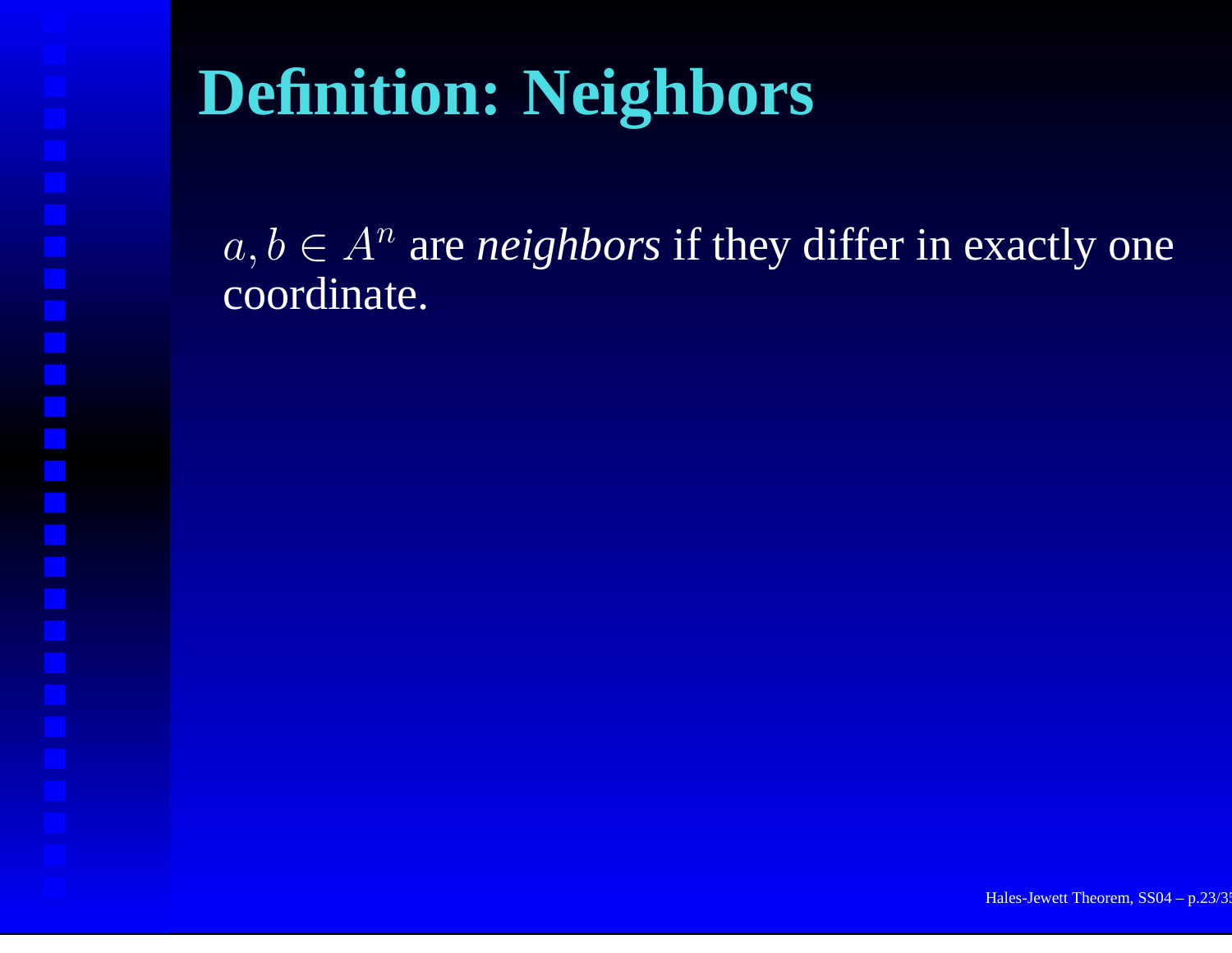# **Definition: Neighbors**

 $a, b \in A^n$  are *neighbors* if they differ in exactly one coordinate.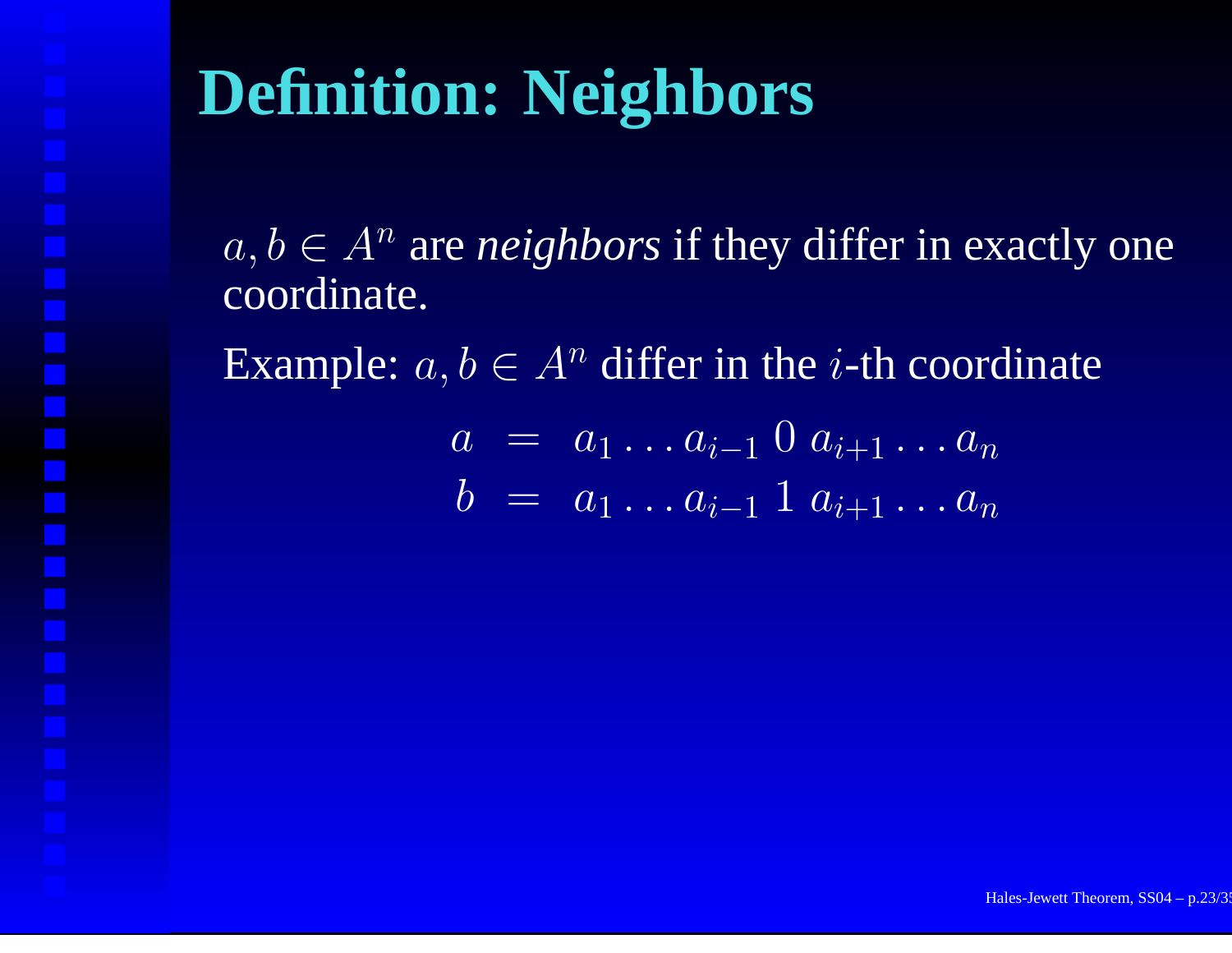# **Definition: Neighbors**

 $a, b \in A^n$  are *neighbors* if they differ in exactly one coordinate.

Example:  $a, b \in A^n$  differ in the *i*-th coordinate

$$
a = a_1 \dots a_{i-1} 0 a_{i+1} \dots a_n
$$
  

$$
b = a_1 \dots a_{i-1} 1 a_{i+1} \dots a_n
$$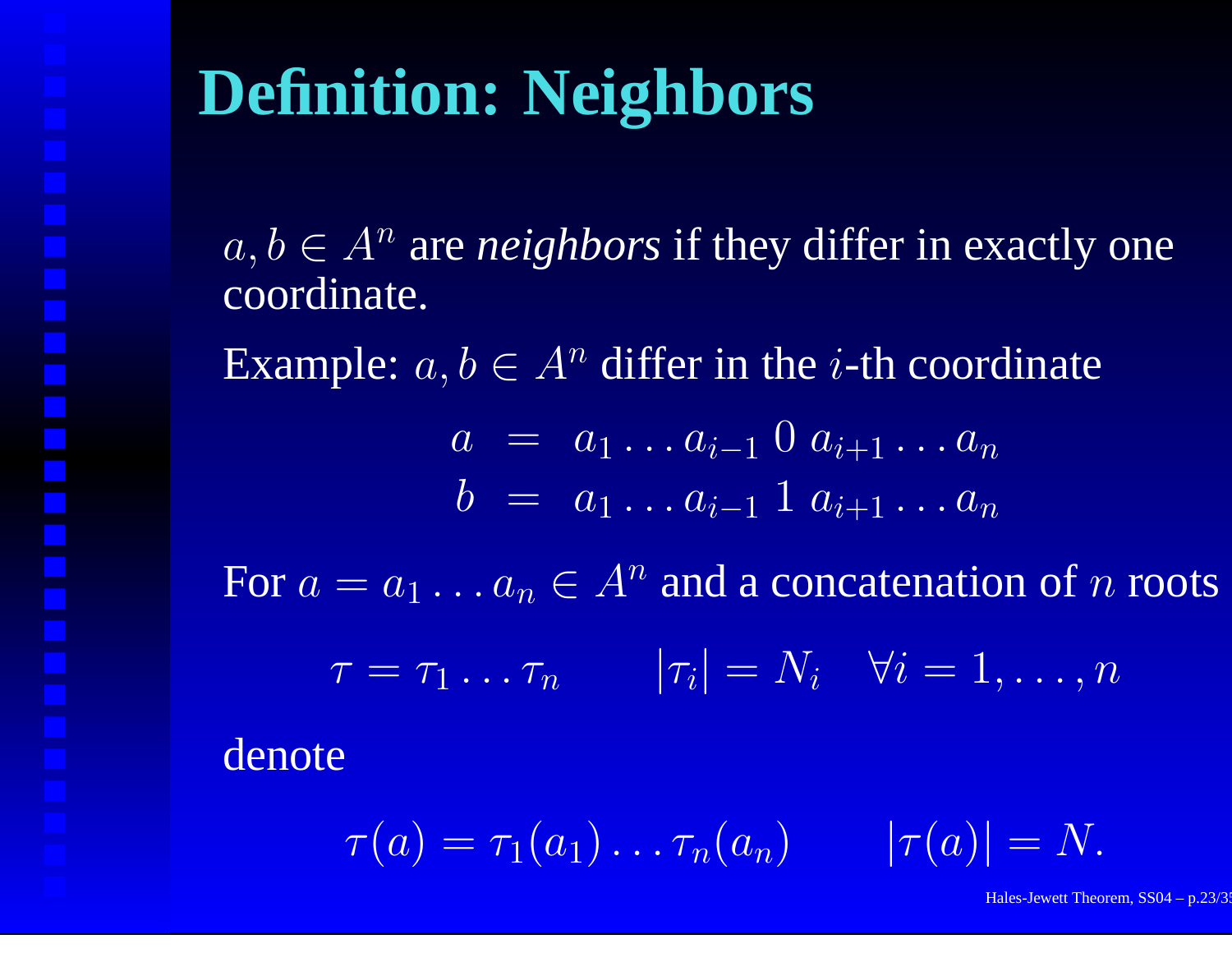# **Definition: Neighbors**

 $a, b \in A^n$  are *neighbors* if they differ in exactly one coordinate.

Example:  $a, b \in A^n$  differ in the *i*-th coordinate

$$
a = a_1 \dots a_{i-1} 0 a_{i+1} \dots a_n
$$
  

$$
b = a_1 \dots a_{i-1} 1 a_{i+1} \dots a_n
$$

For  $a=a_1\ldots a_n\in A^n$  and a concatenation of  $n$  roots

 $\tau = \tau_1 \dots \tau_n \qquad |\tau_i| = N_i \quad \forall i = 1, \dots, n$ 

denote

 $\tau(a)=\tau_1(a_1)\ldots\tau_n(a_n) \qquad |\tau(a)|=N.$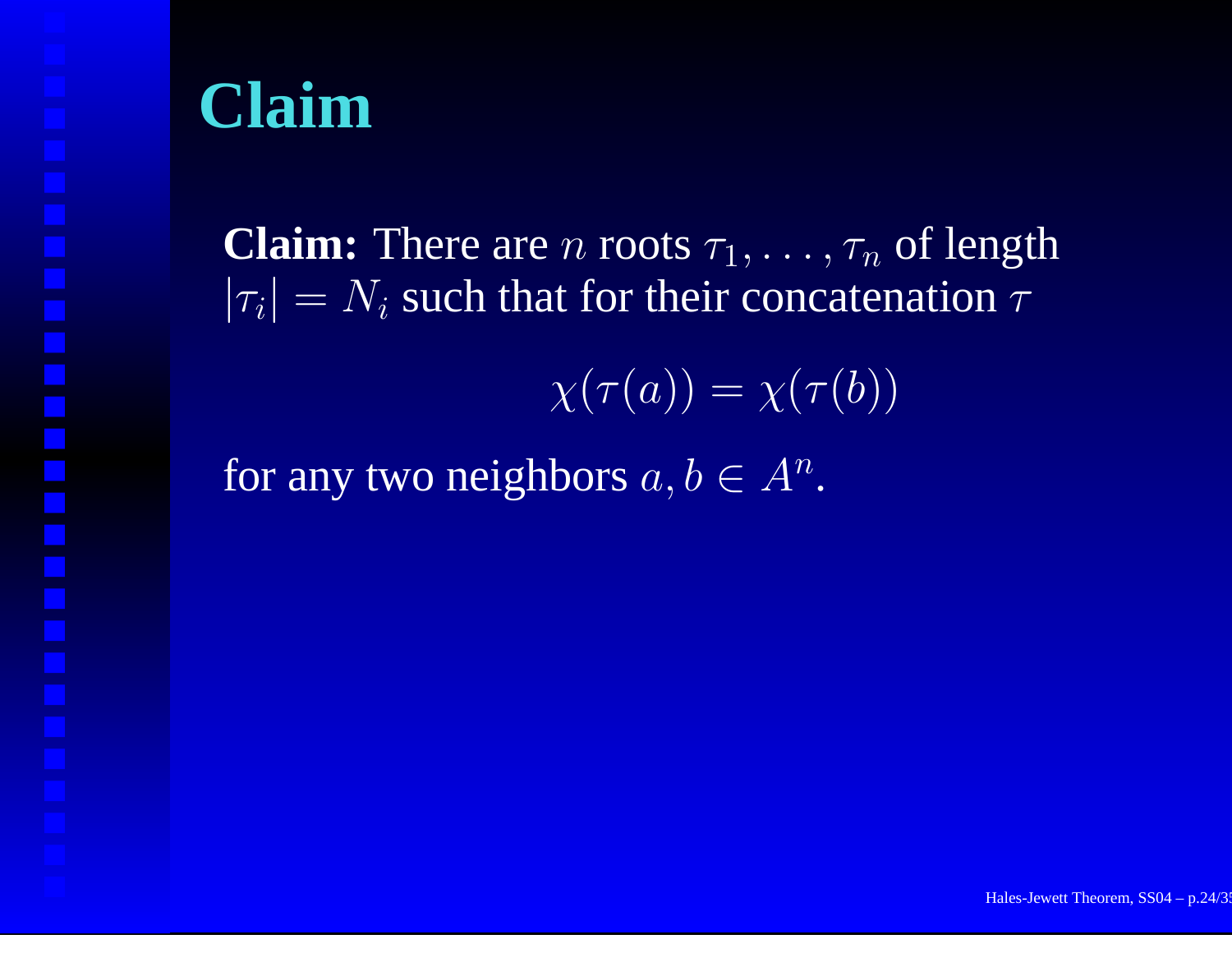### **Claim**

**Claim:** There are n roots  $\tau_1, \ldots, \tau_n$  of length  $|\tau_i| = N_i$  such that for their concatenation  $\tau$ 

 $\chi(\tau(a)) = \chi(\tau(b))$ 

for any two neighbors  $a,b\in A^n.$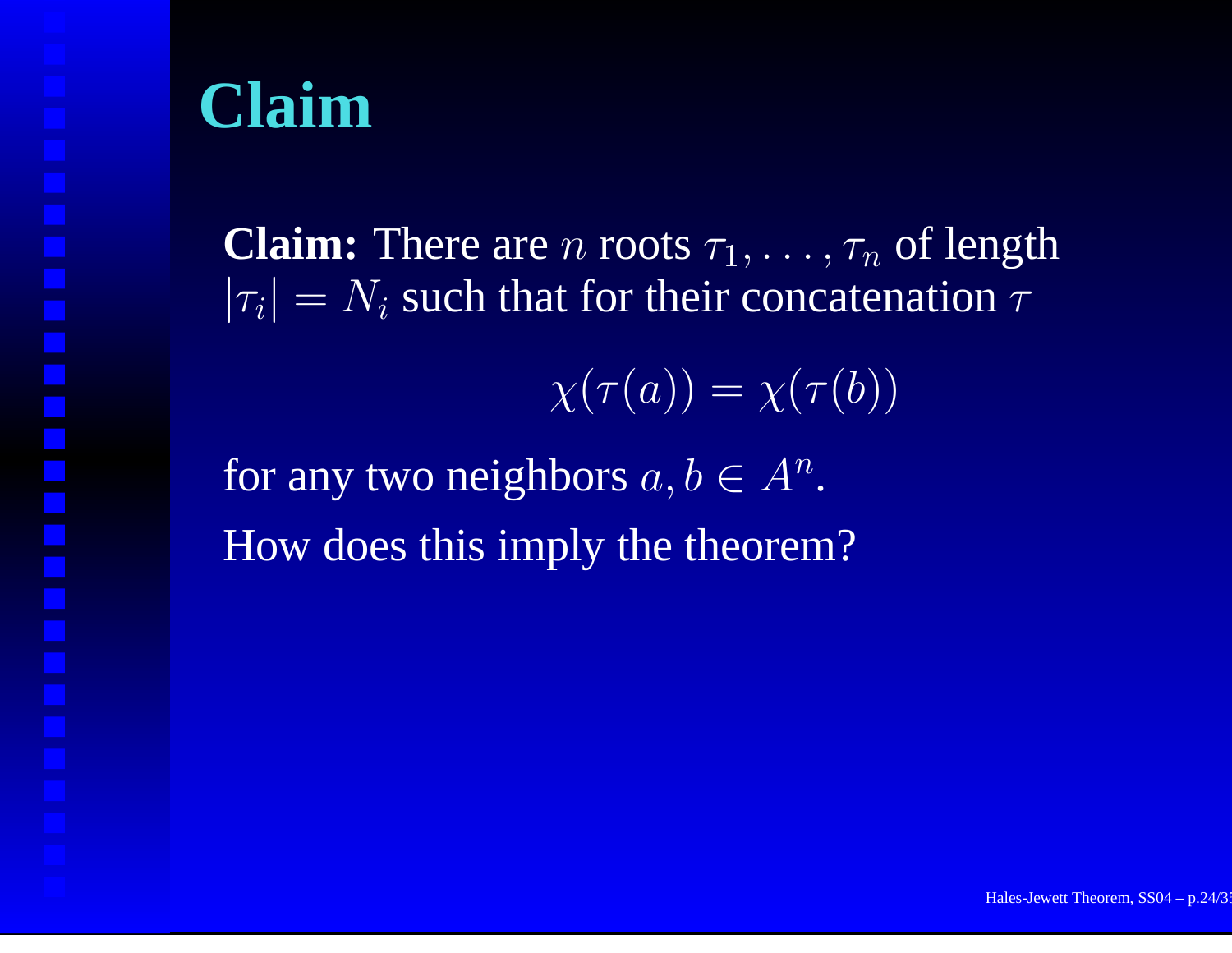### **Claim**

**Claim:** There are n roots  $\tau_1, \ldots, \tau_n$  of length  $|\tau_i| = N_i$  such that for their concatenation  $\tau$ 

 $\chi(\tau(a)) = \chi(\tau(b))$ 

for any two neighbors  $a,b\in A^n.$ How does this imply the theorem?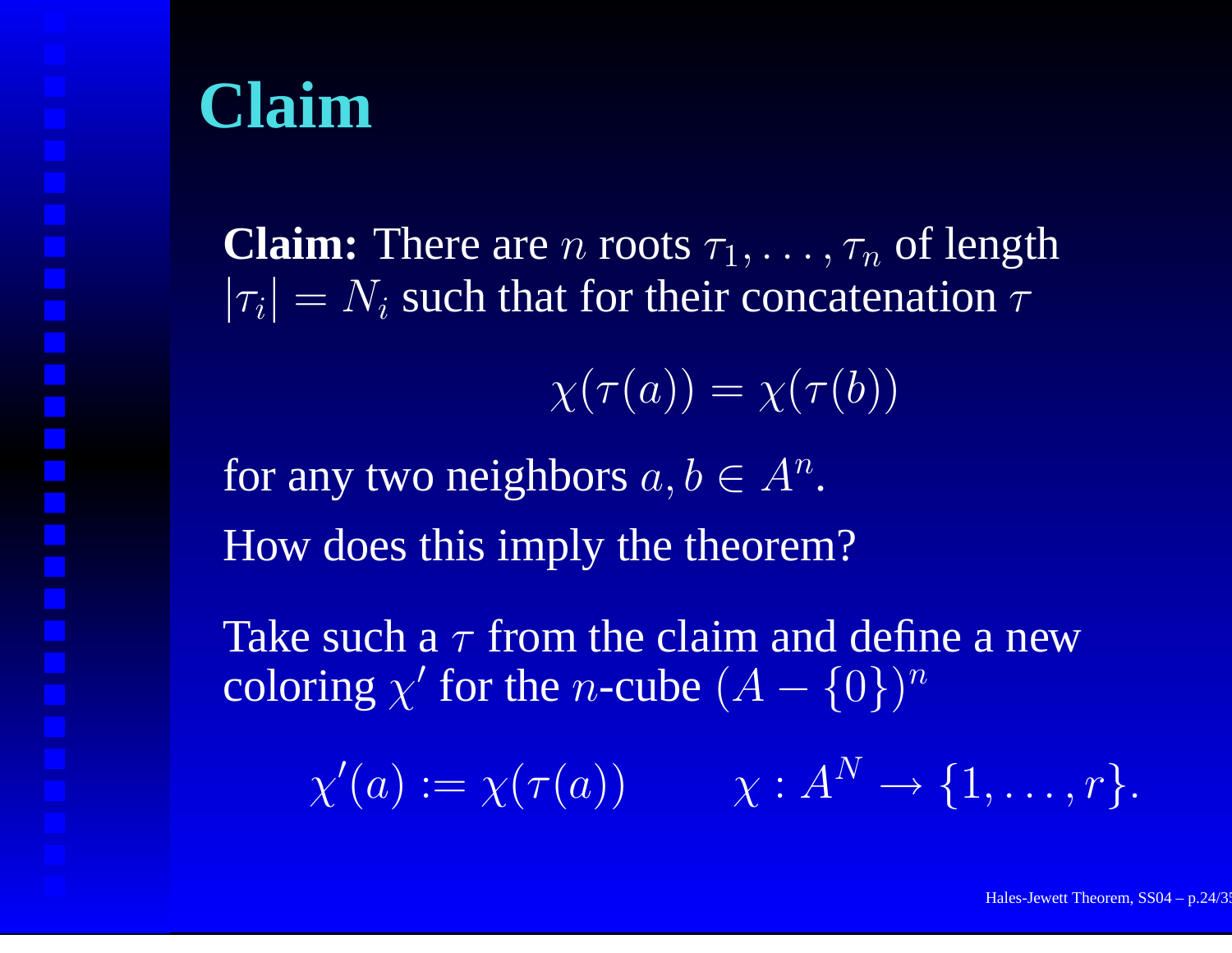### **Claim**

**Claim:** There are n roots  $\tau_1, \ldots, \tau_n$  of length  $|\tau_i| = N_i$  such that for their concatenation  $\tau$ 

 $\chi(\tau(a)) = \chi(\tau(b))$ 

for any two neighbors  $a,b\in A^n.$ How does this imply the theorem?

Take such a  $\tau$  from the claim and define a new coloring  $\chi'$  for the n-cube  $(A - \{0\})^n$ 

 $\chi'(a) := \chi(\tau(a)) \qquad \quad \chi: A^N \to \{1, \ldots, r\}.$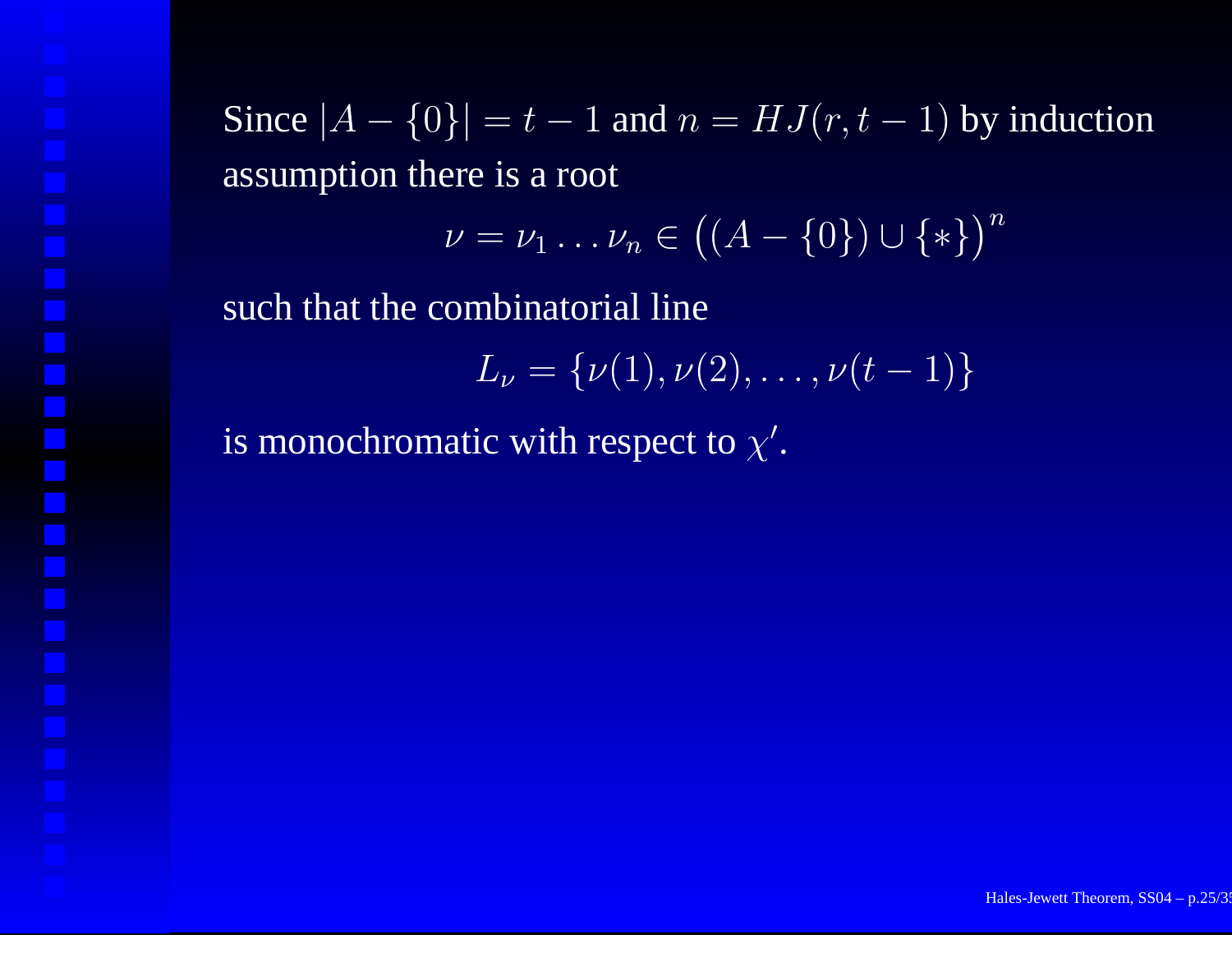Since  $|A - \{0\}| = t - 1$  and  $n = HJ(r, t - 1)$  by induction assumption there is <sup>a</sup> root

$$
\nu=\nu_1\ldots\nu_n\in\big((A-\{0\})\cup\{*\}\big)^n
$$

such that the combinatorial line

$$
L_{\nu} = {\nu(1), \nu(2), \ldots, \nu(t-1)}
$$

is monochromatic with respect to  $\chi'$ .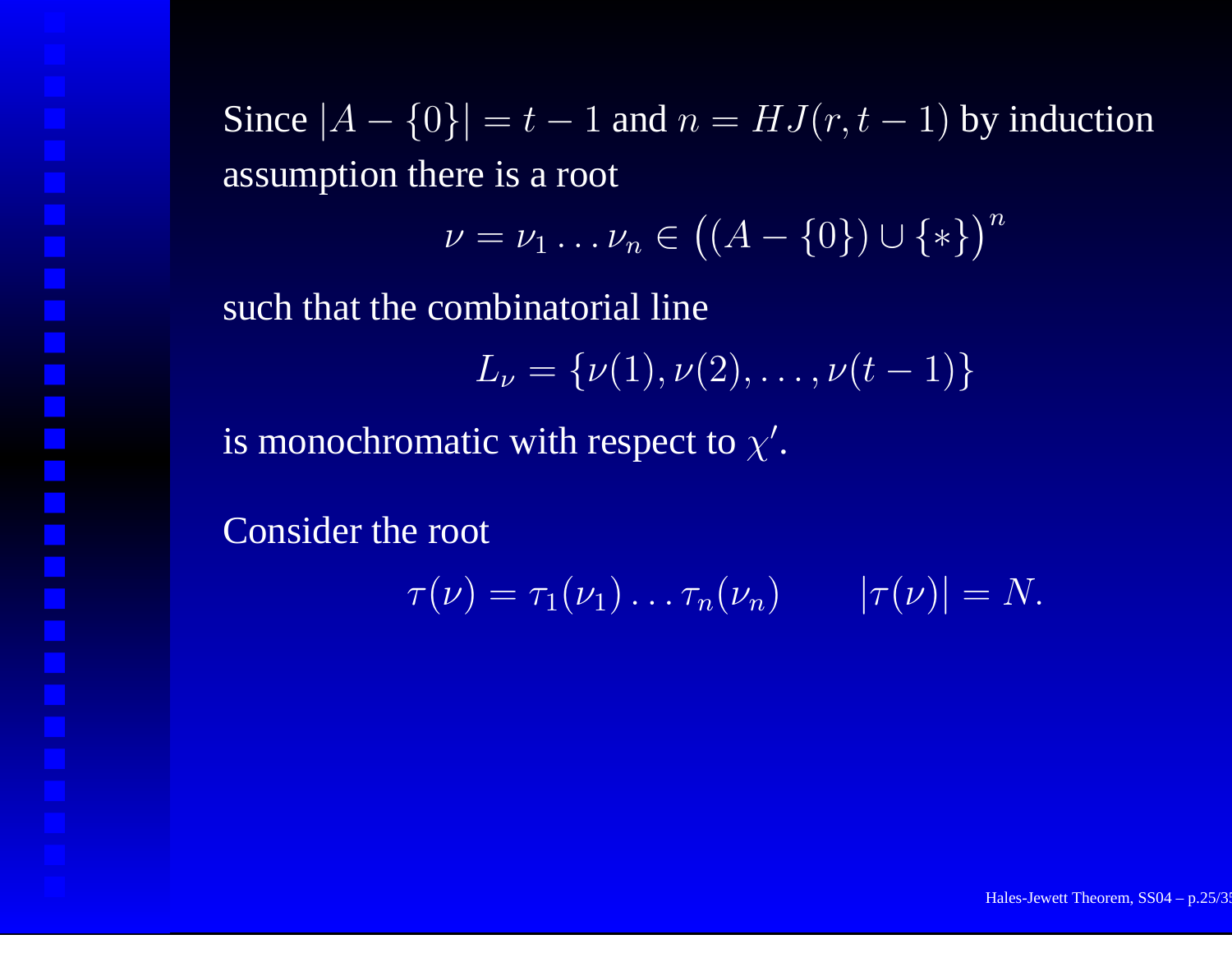Since  $|A - \{0\}| = t - 1$  and  $n = HJ(r, t - 1)$  by induction assumption there is <sup>a</sup> root

$$
\nu = \nu_1 \dots \nu_n \in ((A - \{0\}) \cup \{*\})^n
$$

such that the combinatorial line

$$
L_{\nu} = {\nu(1), \nu(2), \ldots, \nu(t-1)}
$$

is monochromatic with respect to  $\chi'$ .

Consider the root

$$
\tau(\nu) = \tau_1(\nu_1) \ldots \tau_n(\nu_n) \qquad |\tau(\nu)| = N.
$$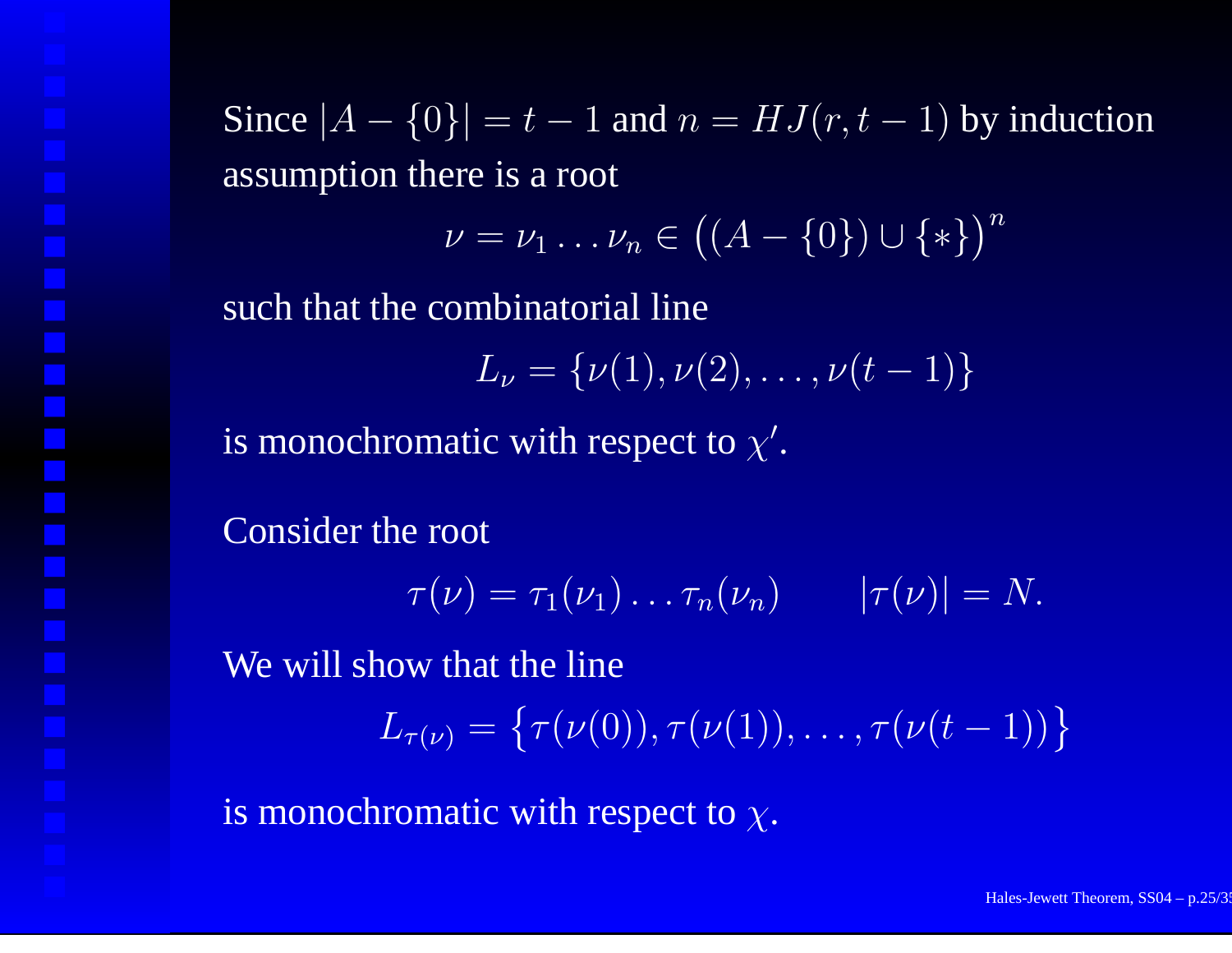Since  $|A - \{0\}| = t - 1$  and  $n = HJ(r, t - 1)$  by induction assumption there is <sup>a</sup> root

$$
\nu = \nu_1 \dots \nu_n \in ((A - \{0\}) \cup \{*\})^n
$$

such that the combinatorial line

$$
L_{\nu} = {\nu(1), \nu(2), \ldots, \nu(t-1)}
$$

is monochromatic with respect to  $\chi'$ .

Consider the root

$$
\tau(\nu) = \tau_1(\nu_1) \dots \tau_n(\nu_n) \qquad |\tau(\nu)| = N.
$$

We will show that the line

 $L_{\tau(\nu)} = \{\tau(\nu(0)), \tau(\nu(1)), \ldots, \tau(\nu(t-1))\}$ 

is monochromatic with respect to  $\chi.$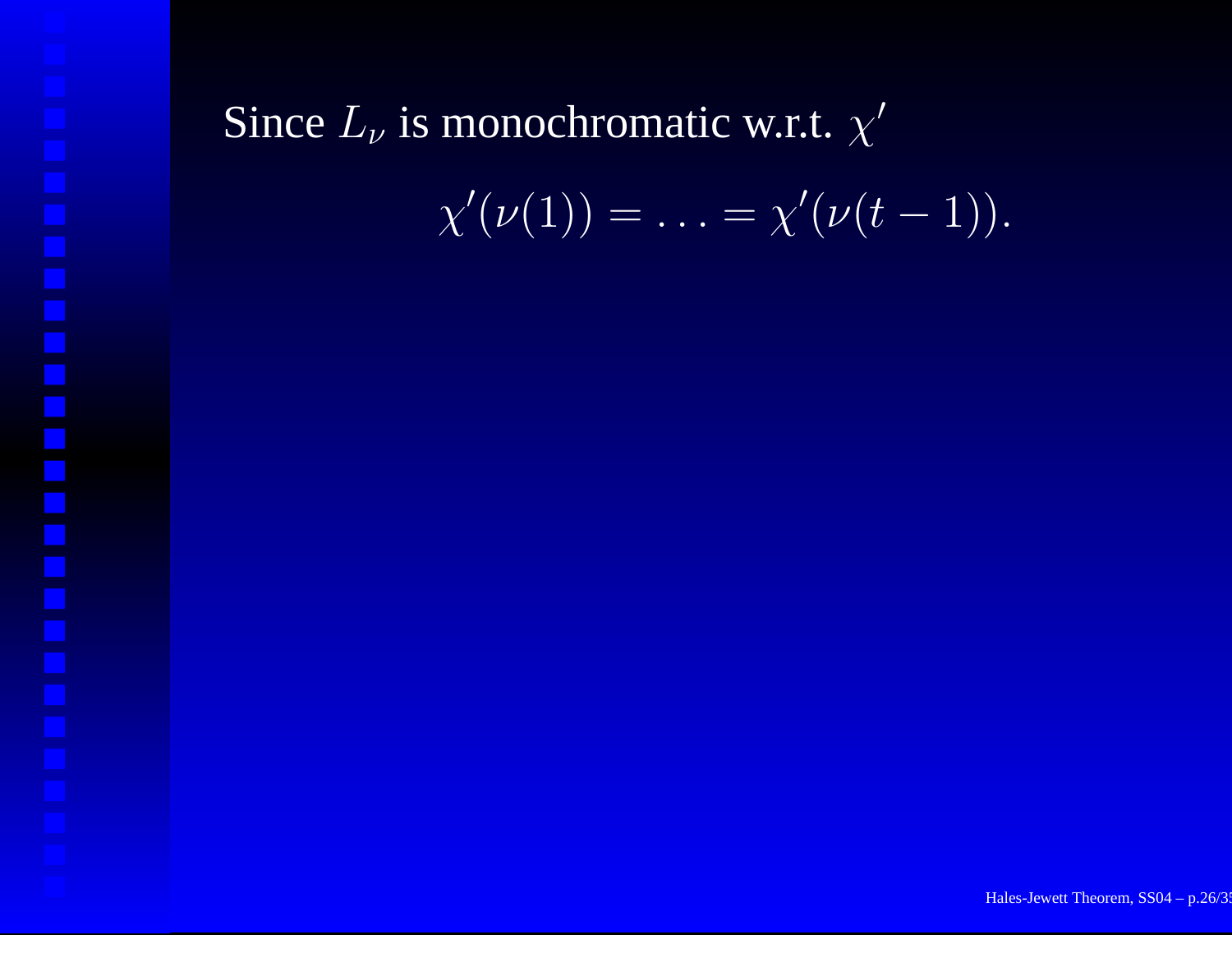#### Since  $L_{\nu}$  is monochromatic w.r.t.  $\chi^{\prime}$

$$
\chi'(\nu(1))=\ldots=\chi'(\nu(t-1)).
$$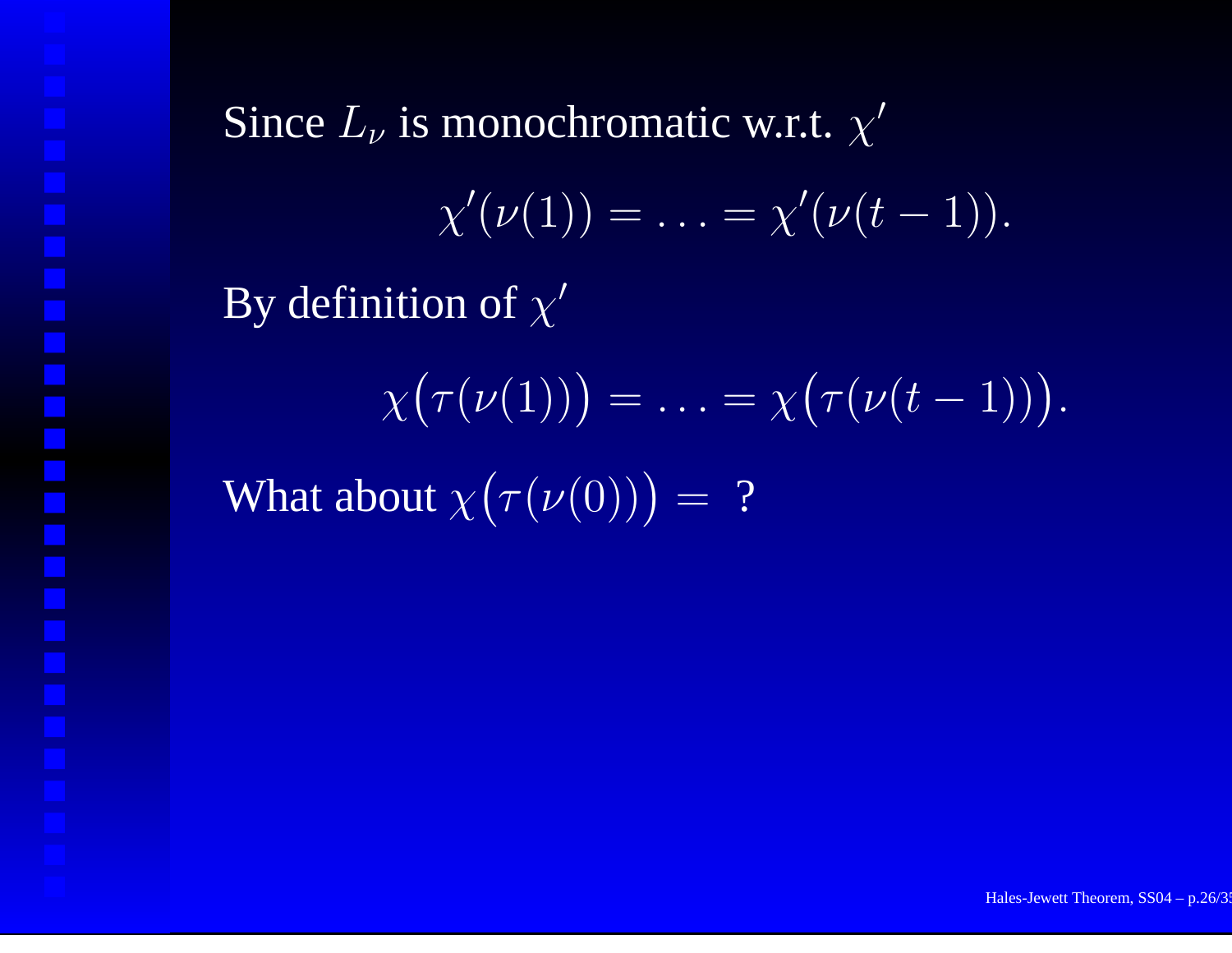Since  $L_{\nu}$  is monochromatic w.r.t.  $\chi^{\prime}$  $\chi'(\nu(1))=\ldots=\chi'(\nu(t-1)).$ By definition of  $\chi'$  $\chi(\tau(\nu(1))) = \ldots = \chi(\tau(\nu(t-1))).$ What about  $\chi(\tau(\nu(0))) = ?$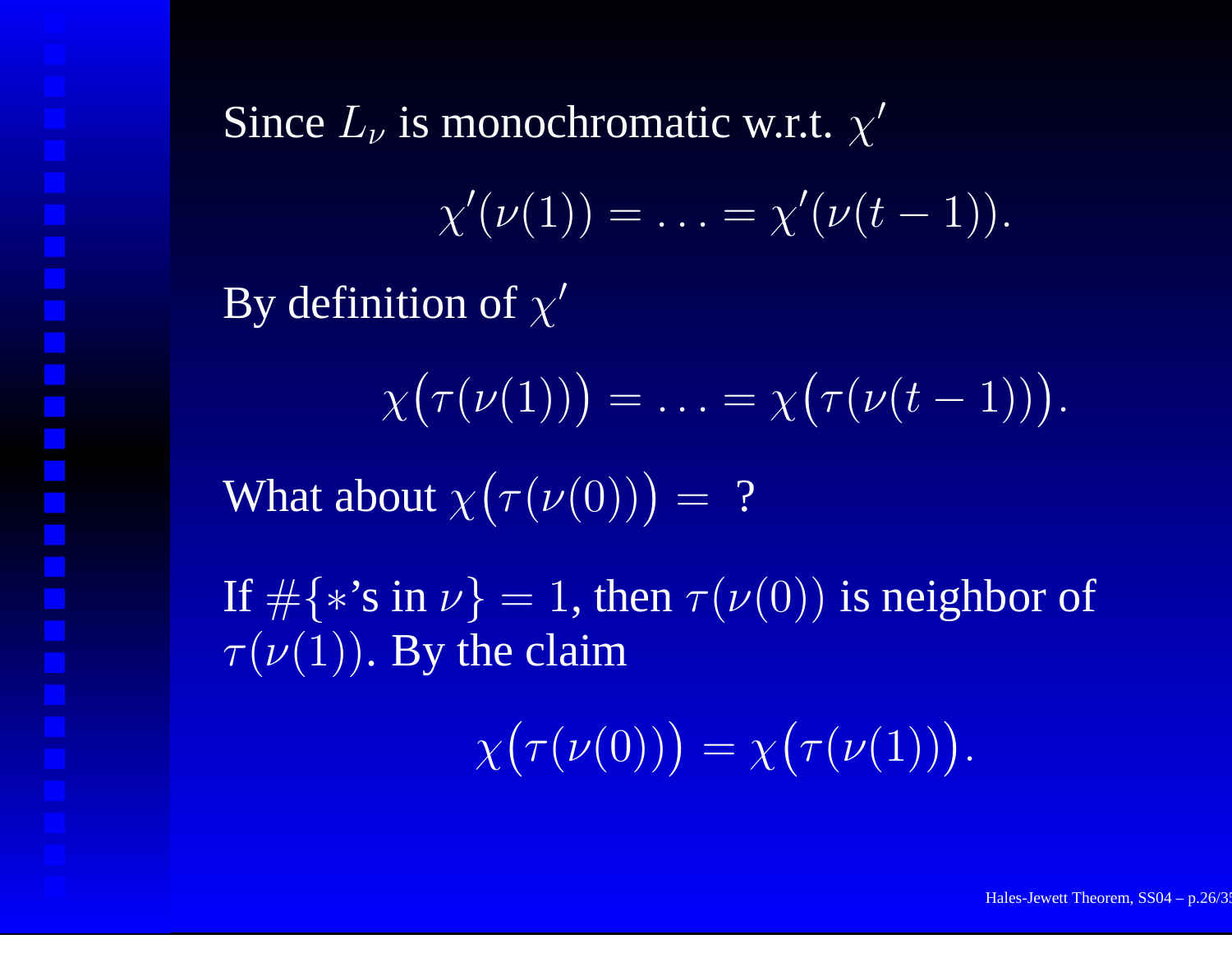Since  $L_{\nu}$  is monochromatic w.r.t.  $\chi^{\prime}$  $\chi'(\nu(1))=\ldots=\chi'(\nu(t-1)).$ By definition of  $\chi'$  $\left(\chi\big(\tau(\nu(1)\big)\right) = \ldots = \chi\big(\tau(\nu(t-1))\big).$ What about  $\chi(\tau(\nu(0))) = ?$ If  $\#\{\ast\text{'s in }\nu\}=1,$  then  $\tau(\nu(0))$  is neighbor of  $\tau(\nu(1)).$  By the claim  $\chi(\tau(\nu(0))) = \chi(\tau(\nu(1))).$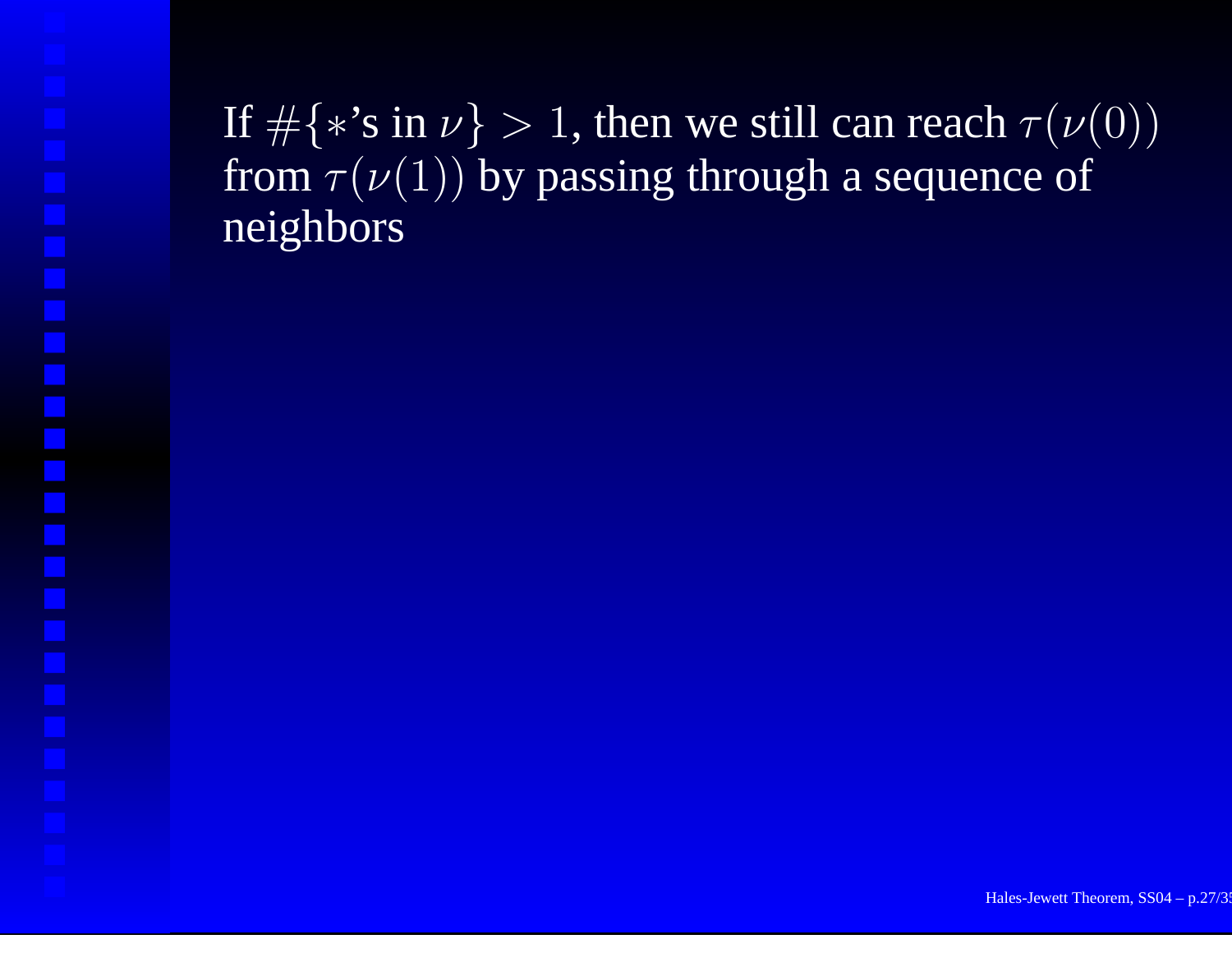If  $\#\{\ast\text{'s in }\nu\}>1,$  then we still can reach  $\tau(\nu(0))$ from  $\tau(\nu(1))$  by passing through a sequence of neighbors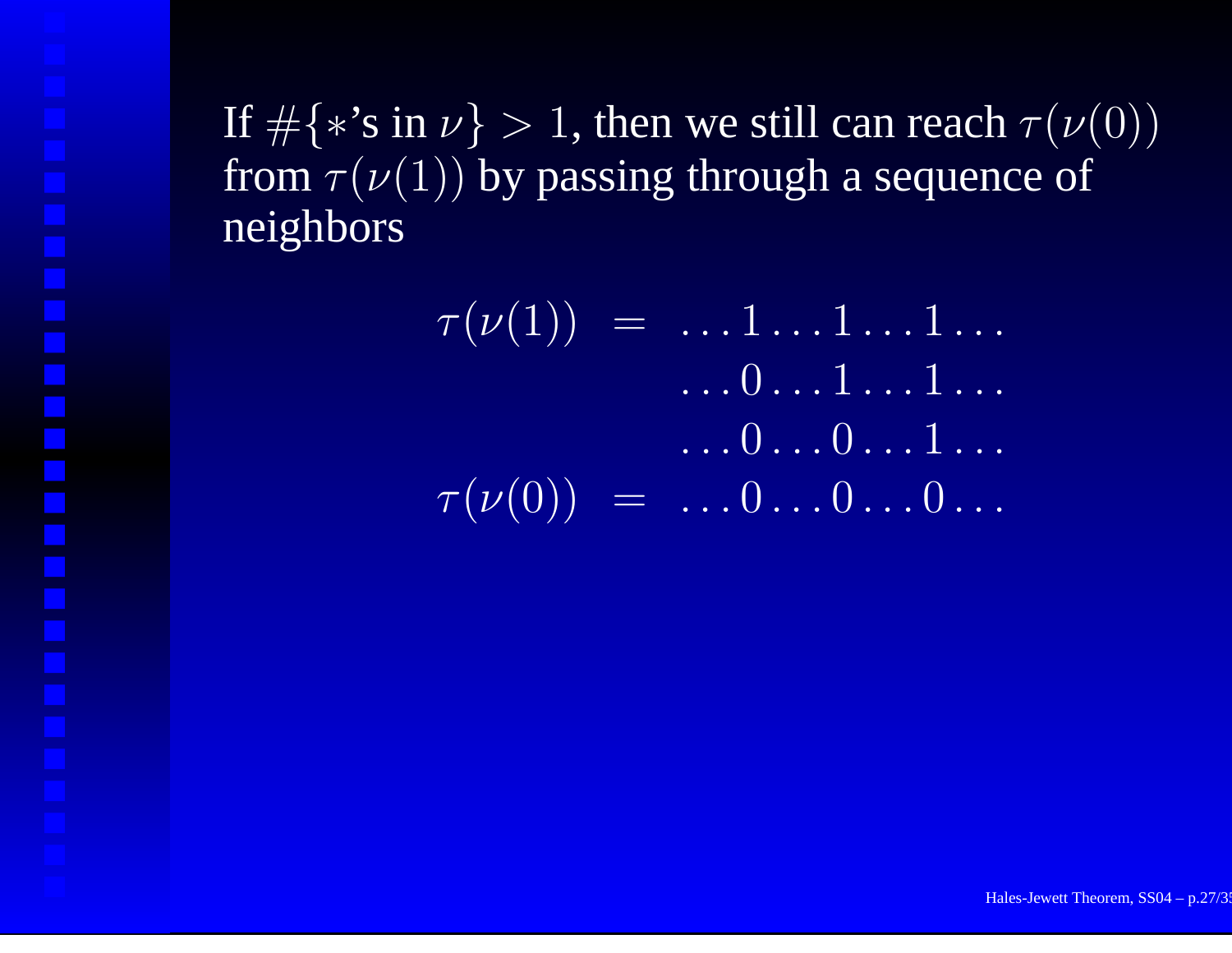If  $\#\{*\text{'s in }\nu\}>1,$  then we still can reach  $\tau(\nu(0))$ from  $\tau(\nu(1))$  by passing through a sequence of neighbors

> $\tau(\nu(1)) \,\,\, = \,\,\, \ldots 1 \ldots 1 \ldots 1 \ldots$ . . . . 0 . . . 1 . . . 1 . . . . . . . 0 . . . 0 . . . 1 . . .  $\tau(\nu(0))$  =  $\ldots 0 \ldots 0 \ldots 0 \ldots$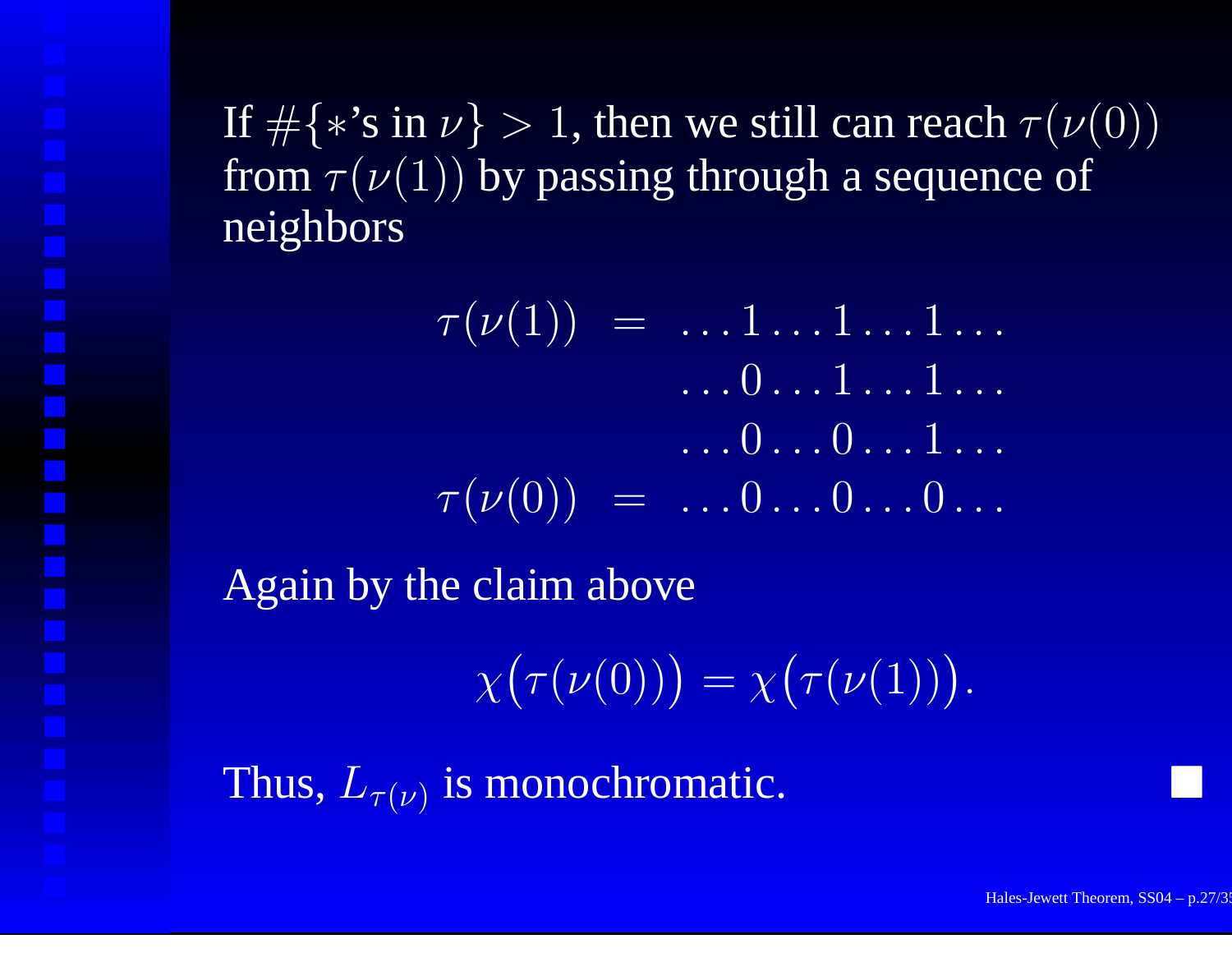If  $\#\{*\text{'s in }\nu\}>1,$  then we still can reach  $\tau(\nu(0))$ from  $\tau(\nu(1))$  by passing through a sequence of neighbors

 $\tau(\nu(1)) \,\,\, = \,\,\, \ldots 1 \ldots 1 \ldots 1 \ldots$ . . . . 0 . . . 1 . . . 1 . . . . . . . 0 . . . 0 . . . 1 . . .  $\tau(\nu(0))$  =  $\ldots 0 \ldots 0 \ldots 0 \ldots$ Again by the claim above  $\chi(\tau(\nu(0))) = \chi(\tau(\nu(1))).$ 

Thus,  $L_{\tau(\nu)}$  is monochromatic.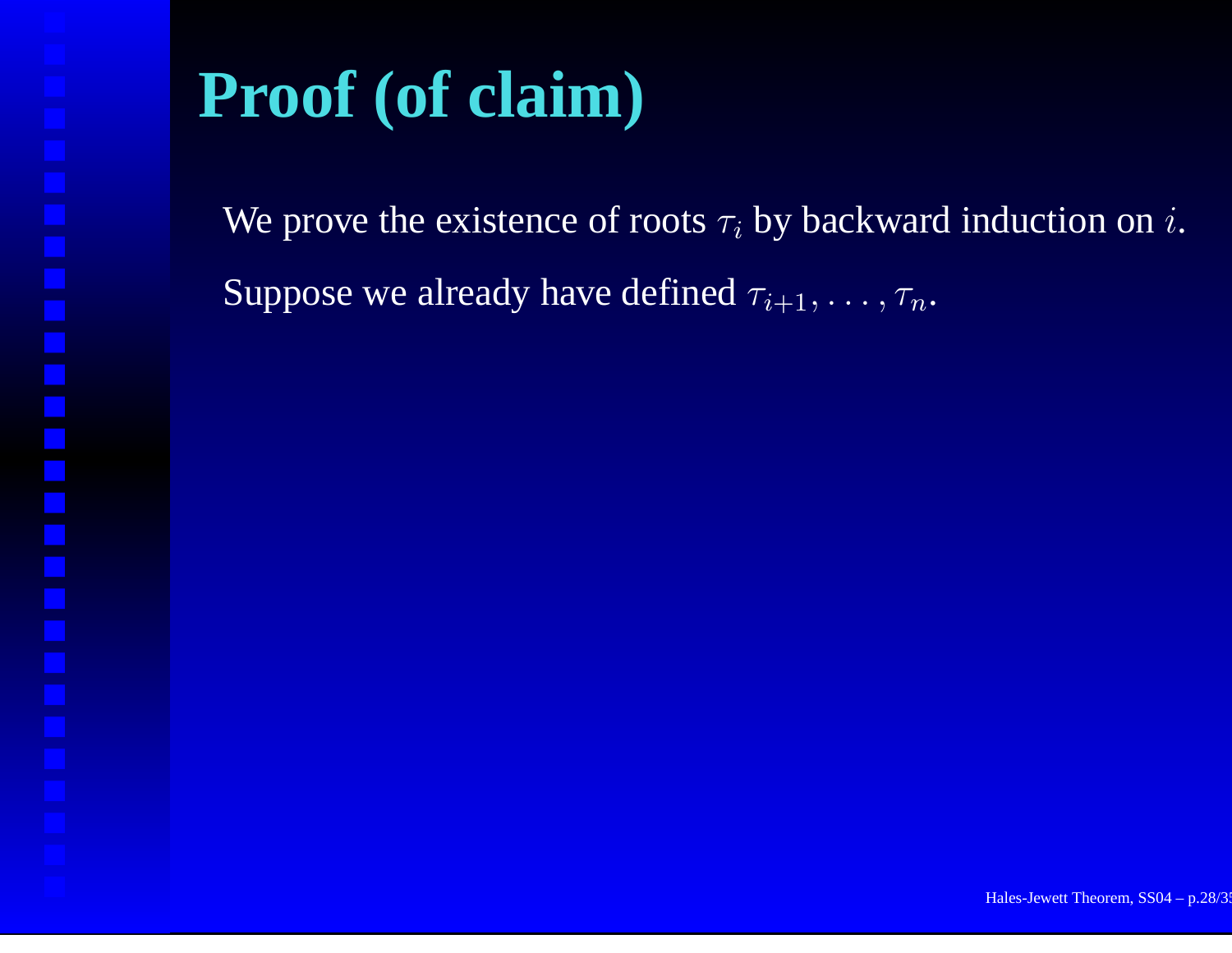# **Proof (of claim)**

We prove the existence of roots  $\tau_i$  by backward induction on  $i.$ Suppose we already have defined  $\tau_{i+1}, \ldots, \tau_n$ .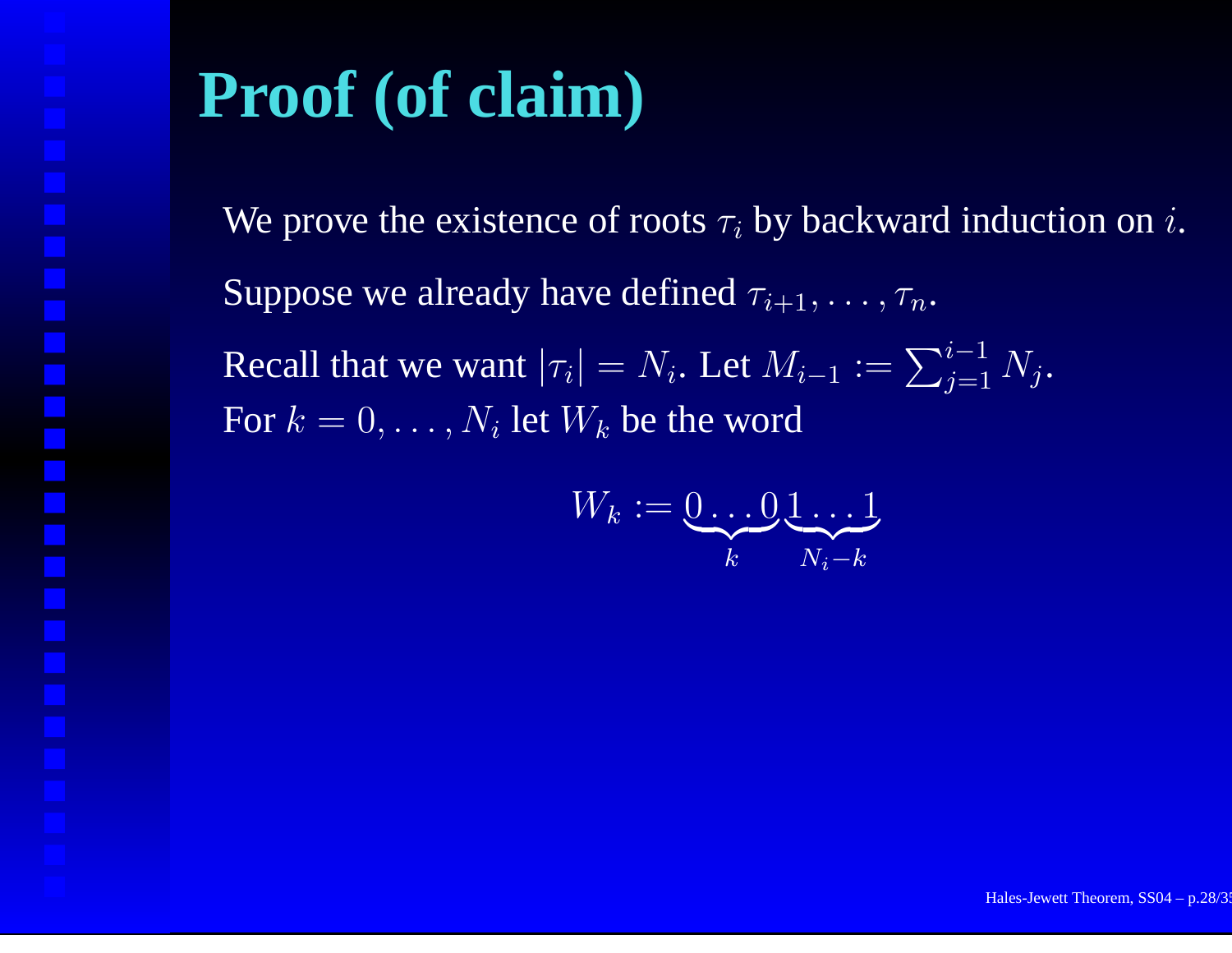# **Proof (of claim)**

We prove the existence of roots  $\tau_i$  by backward induction on  $i.$ Suppose we already have defined  $\tau_{i+1}, \ldots, \tau_n$ . Recall that we want  $|\tau_i|=N_i.$  Let  $M_{i-1}:=\sum_{j=1}^{i-1}N_j.$ For  $k=0,\ldots,N_i$  let  $W_k$  be the word

$$
W_k := \underbrace{0 \dots 0}_{k} \underbrace{1 \dots 1}_{N_i - k}
$$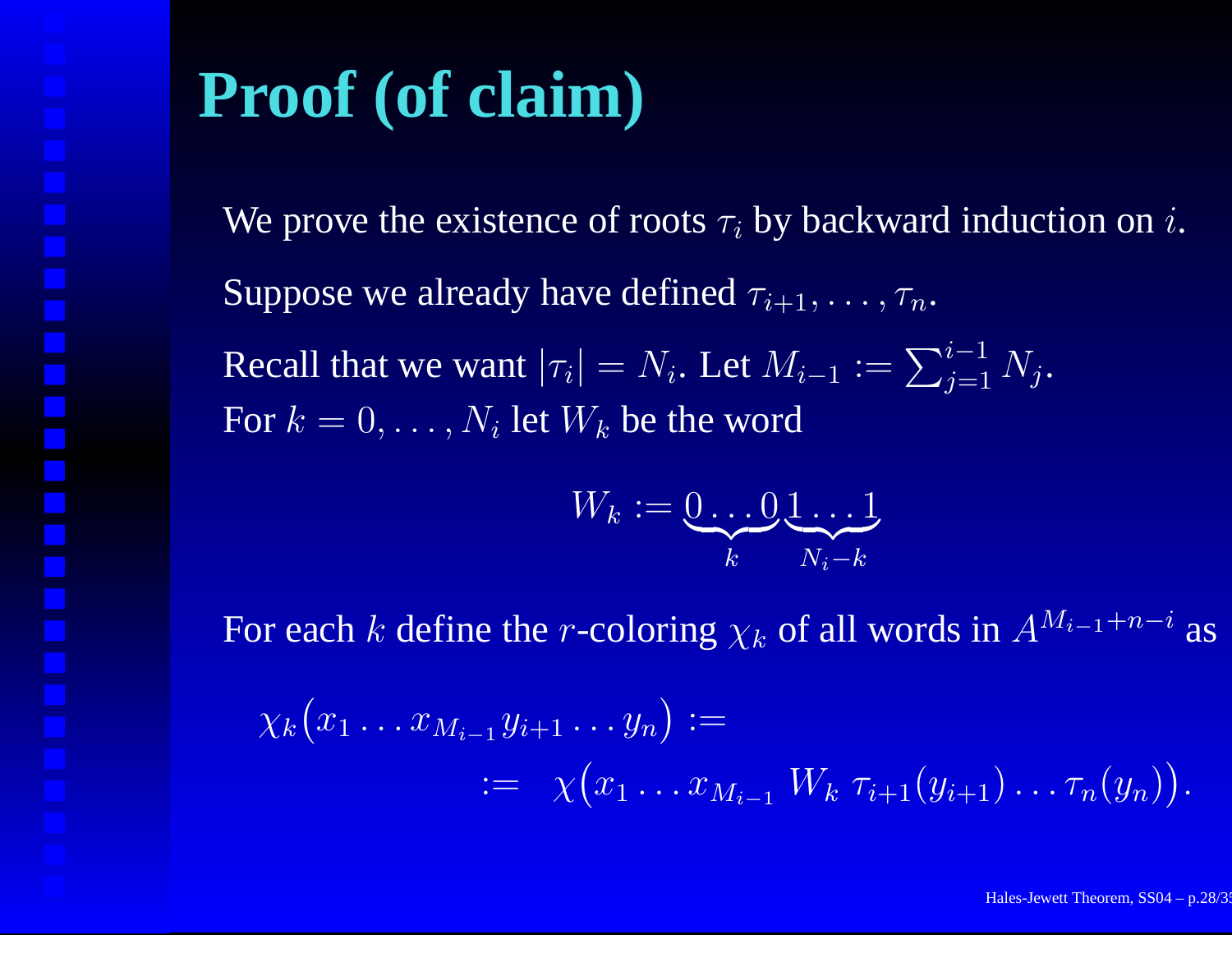### **Proof (of claim)**

We prove the existence of roots  $\tau_i$  by backward induction on  $i.$ Suppose we already have defined  $\tau_{i+1}, \ldots, \tau_n$ . Recall that we want  $|\tau_i|=N_i.$  Let  $M_{i-1}:=\sum_{j=1}^{i-1}N_j.$ For  $k=0,\ldots,N_i$  let  $W_k$  be the word

$$
W_k := \underbrace{0 \dots 0}_{k} \underbrace{1 \dots 1}_{N_i - k}
$$

For each  $k$  define the r-coloring  $\chi_k$  of all words in  $A^{M_{i-1}+n-i}$  as

$$
\chi_k(x_1 \ldots x_{M_{i-1}} y_{i+1} \ldots y_n) :=
$$
  
 :=  $\chi(x_1 \ldots x_{M_{i-1}} W_k \tau_{i+1}(y_{i+1}) \ldots \tau_n(y_n)).$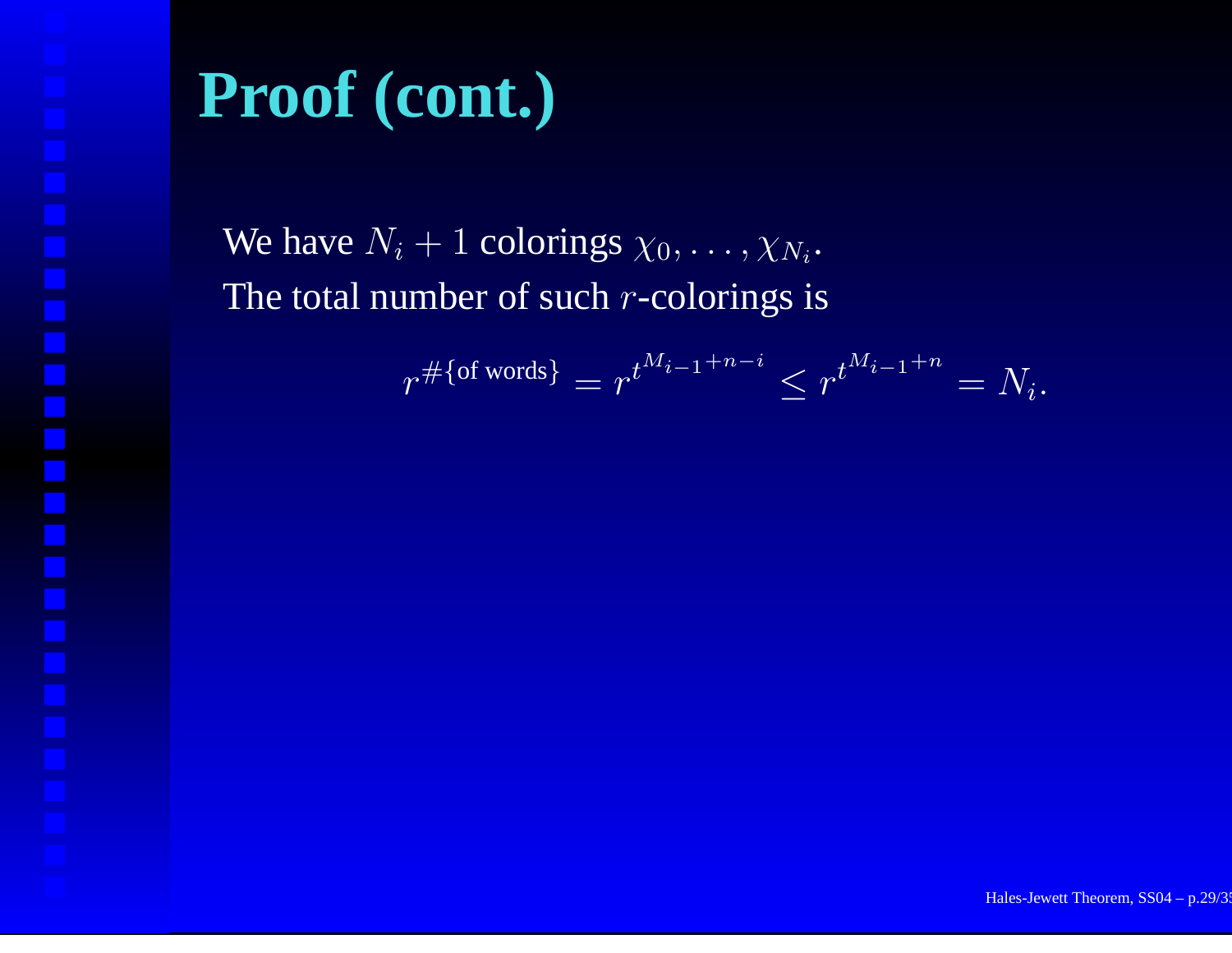We have  $N_i+1$  colorings  $\chi_0,\ldots,\chi_{N_i}$ . The total number of such  $r$ -colorings is

$$
r^{\#\{\text{of words}\}} = r^{t^{M_{i-1}+n-i}} \leq r^{t^{M_{i-1}+n}} = N_i.
$$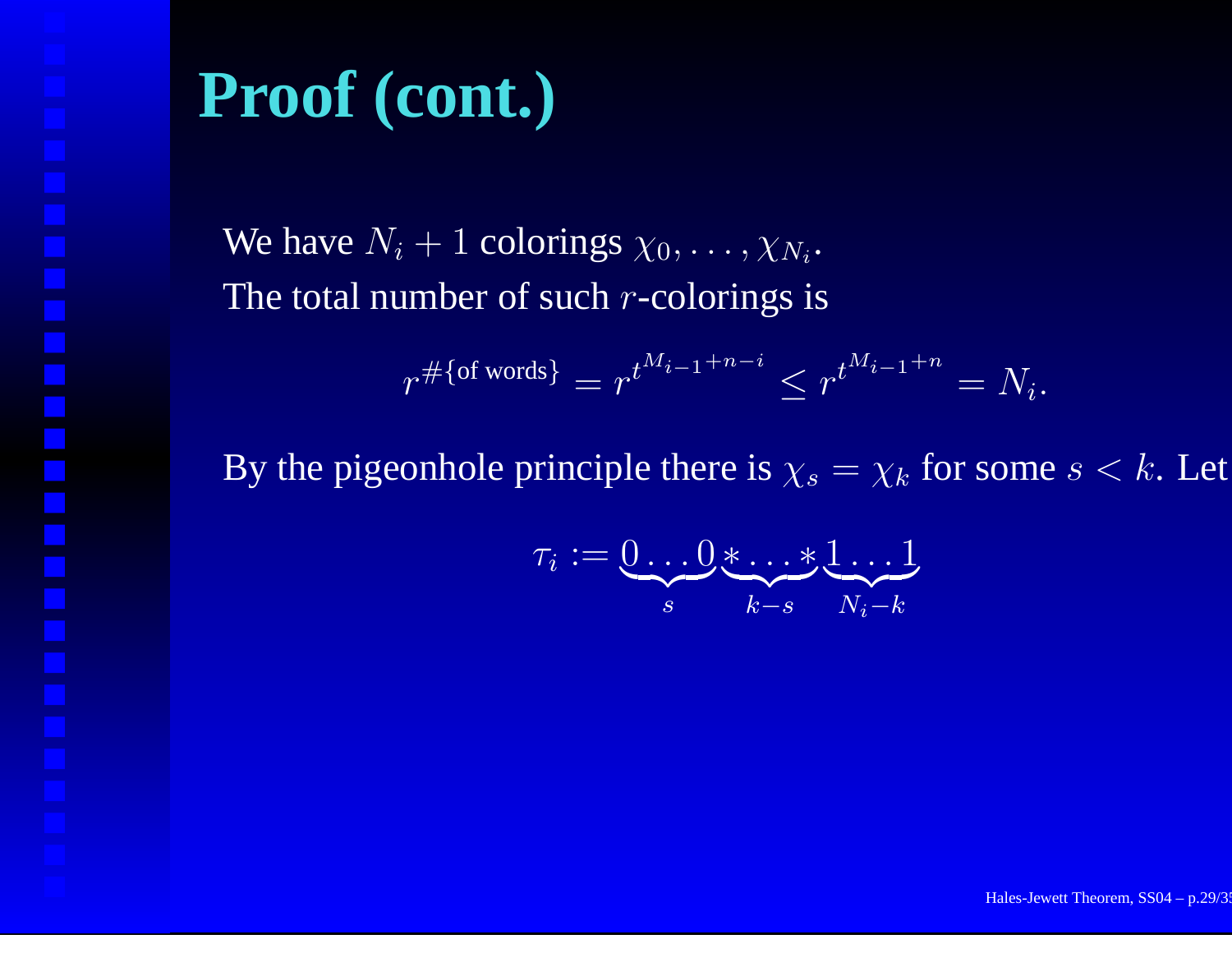We have  $N_i+1$  colorings  $\chi_0,\ldots,\chi_{N_i}$ . The total number of such  $r$ -colorings is

$$
r^{\#\{\text{of words}\}} = r^{t^{M_{i-1}+n-i}} \leq r^{t^{M_{i-1}+n}} = N_i.
$$

By the pigeonhole principle there is  $\chi_s = \chi_k$  for some  $s < k$ . Let

$$
\tau_i:=\underbrace{0\ldots 0}_{s}*\ldots*\underbrace{1\ldots 1}_{N_i-k}
$$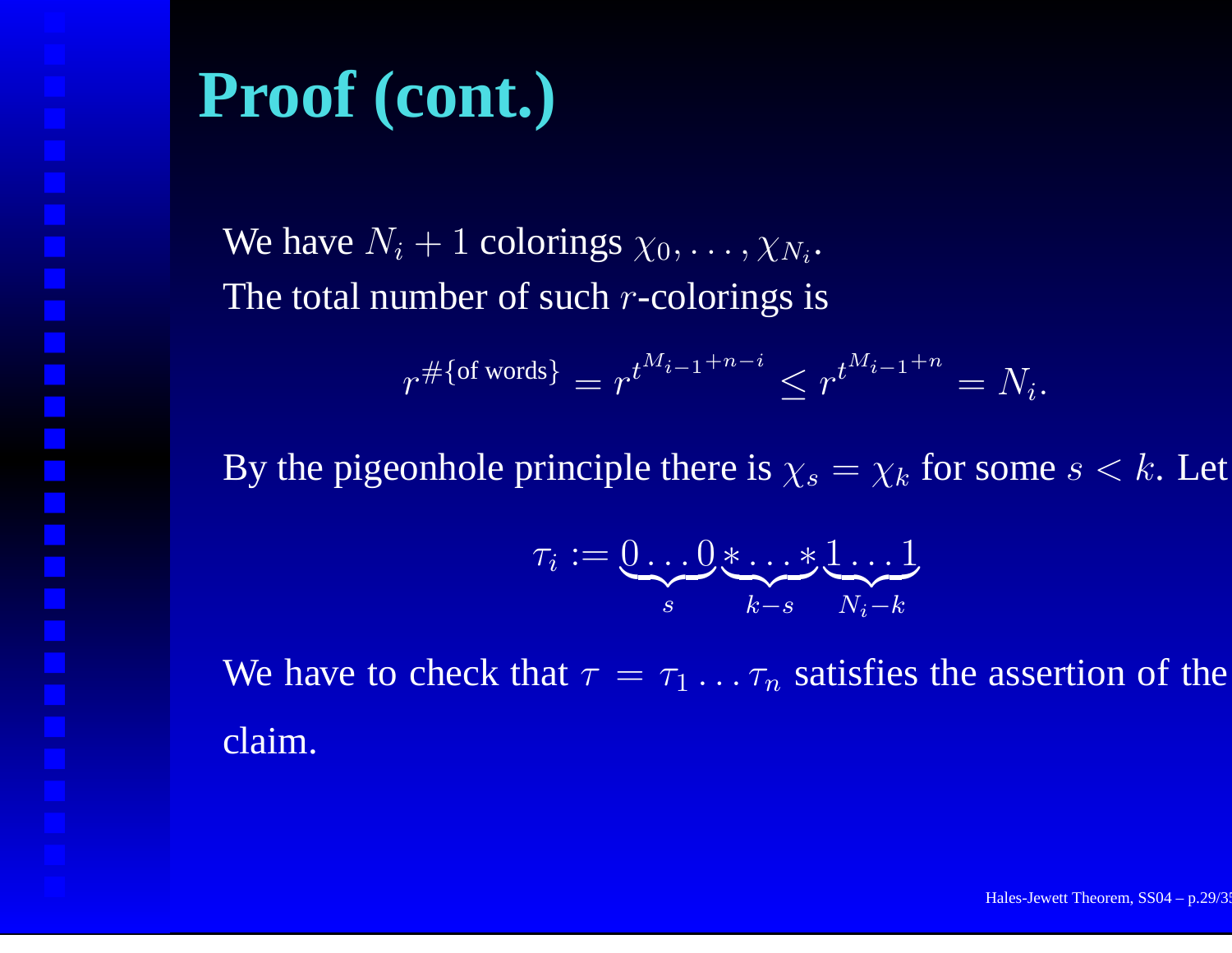We have  $N_i+1$  colorings  $\chi_0,\ldots,\chi_{N_i}$ . The total number of such  $r$ -colorings is

$$
r^{\#\{\text{of words}\}} = r^{t^{M_{i-1}+n-i}} \leq r^{t^{M_{i-1}+n}} = N_i.
$$

By the pigeonhole principle there is  $\chi_s = \chi_k$  for some  $s < k$ . Let

$$
\tau_i:=\underbrace{0\ldots 0}_{s}*\ldots*\underbrace{1\ldots 1}_{N_i-k}
$$

We have to check that  $\tau = \tau_1 \dots \tau_n$  satisfies the assertion of the claim.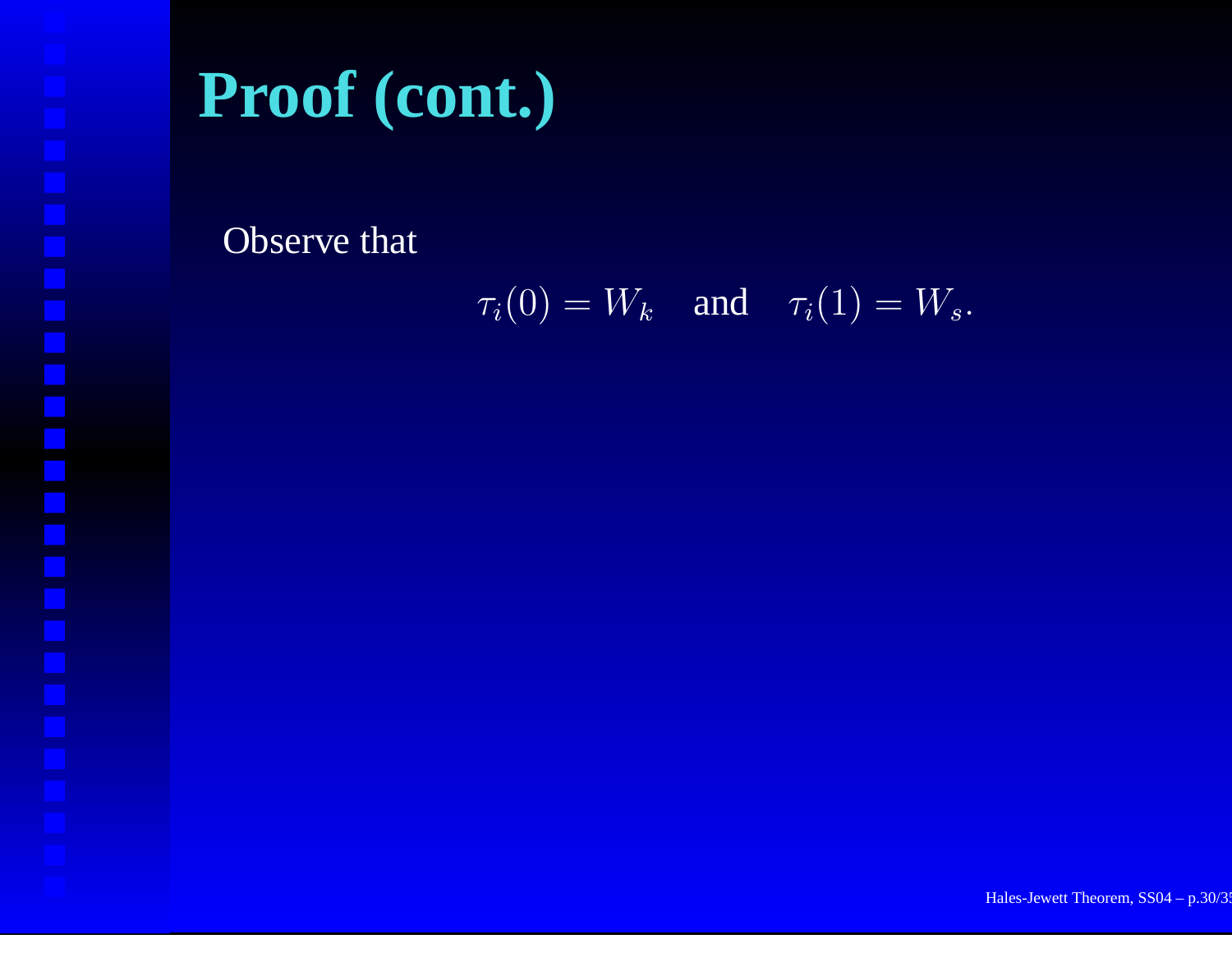Observe that

 $\tau_i(0) = W_k$  and  $\tau_i(1) = W_s$ .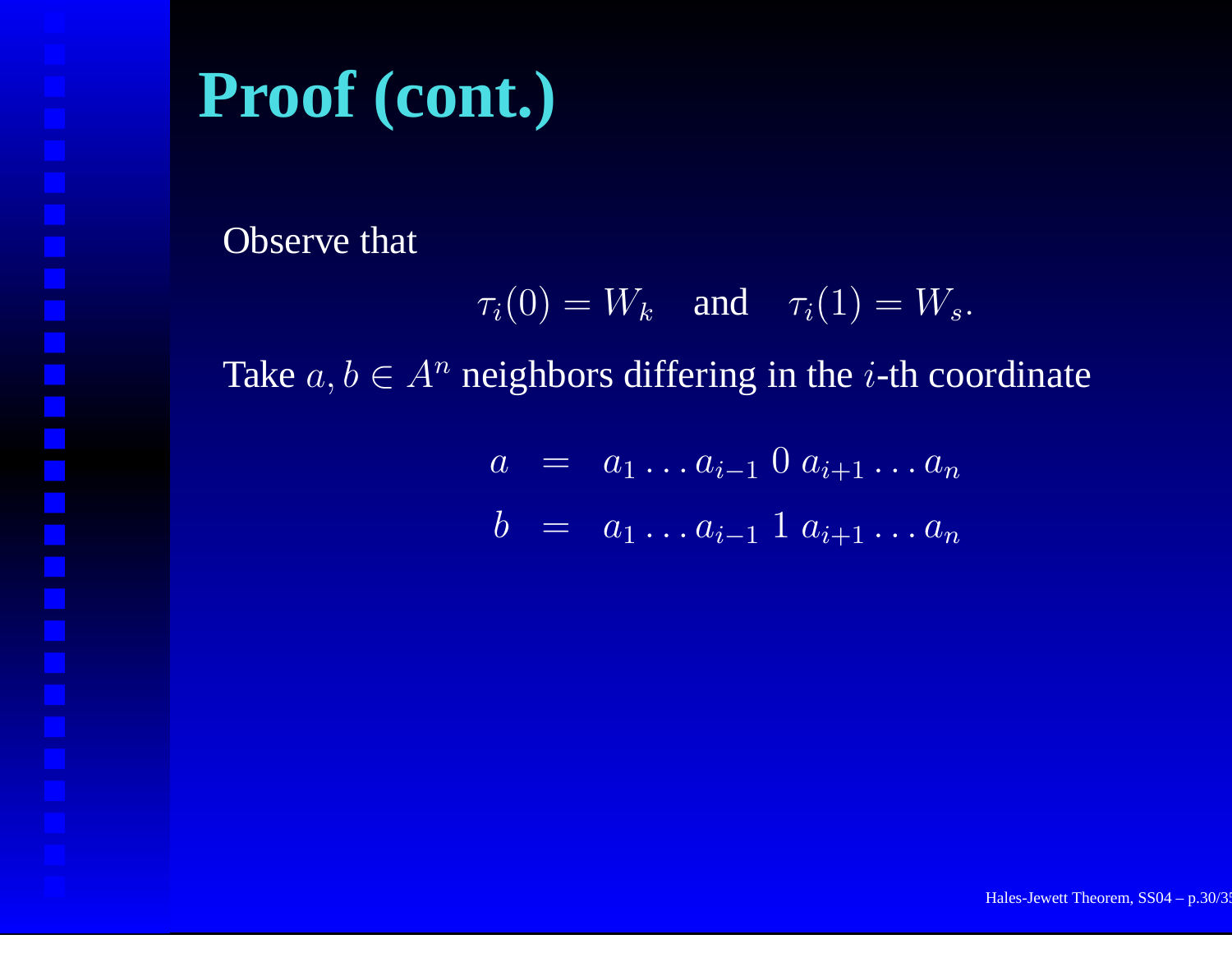Observe that

$$
\tau_i(0) = W_k \quad \text{and} \quad \tau_i(1) = W_s.
$$

Take  $a, b \in A^n$  neighbors differing in the *i*-th coordinate

$$
a = a_1 \dots a_{i-1} \ 0 \ a_{i+1} \dots a_n
$$
  

$$
b = a_1 \dots a_{i-1} \ 1 \ a_{i+1} \dots a_n
$$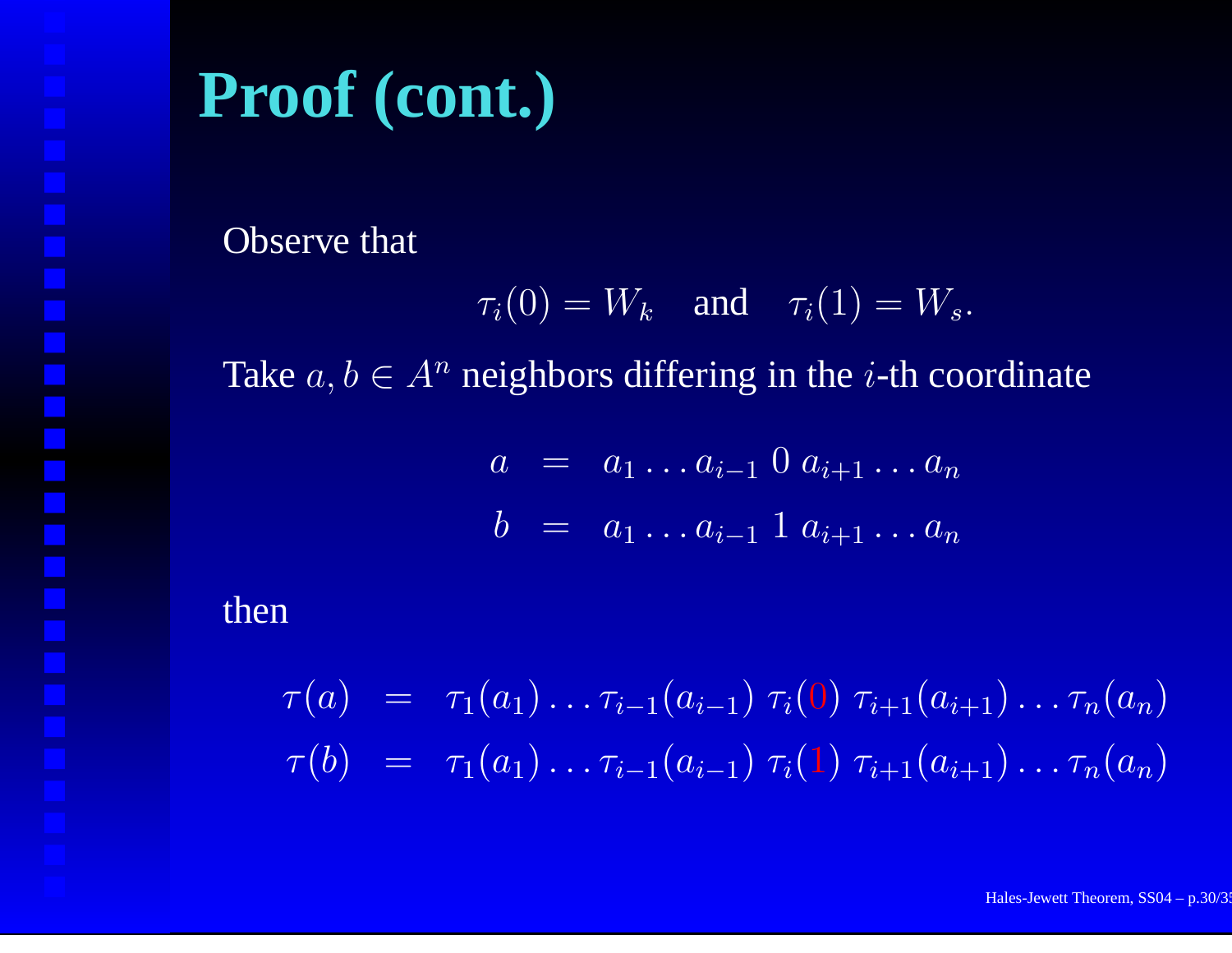Observe that

$$
\tau_i(0) = W_k \quad \text{and} \quad \tau_i(1) = W_s.
$$

Take  $a, b \in A^n$  neighbors differing in the *i*-th coordinate

$$
a = a_1 \dots a_{i-1} \ 0 \ a_{i+1} \dots a_n
$$
  

$$
b = a_1 \dots a_{i-1} \ 1 \ a_{i+1} \dots a_n
$$

then

 $\tau(a) \;\; = \;\; \tau_1(a_1) \ldots \tau_{i-1}(a_{i-1}) \; \tau_i(0) \; \tau_{i+1}(a_{i+1}) \ldots \tau_n(a_n)$  $\tau(b) \;\; = \;\; \tau_1(a_1) \ldots \tau_{i-1}(a_{i-1}) \; \tau_i(1) \; \tau_{i+1}(a_{i+1}) \ldots \tau_n(a_n)$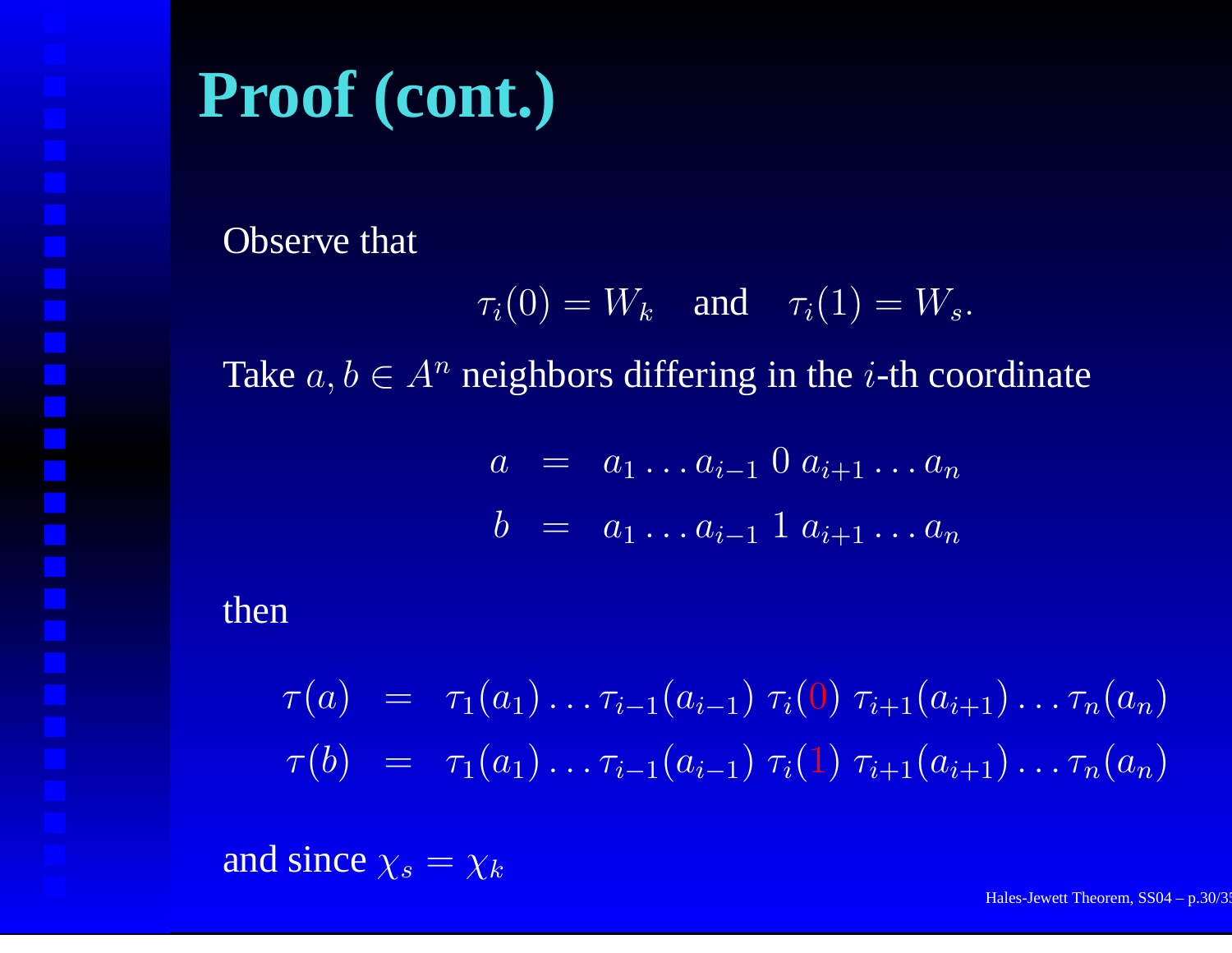Observe that

$$
\tau_i(0) = W_k \quad \text{and} \quad \tau_i(1) = W_s.
$$

Take  $a, b \in A^n$  neighbors differing in the *i*-th coordinate

$$
a = a_1 \dots a_{i-1} \ 0 \ a_{i+1} \dots a_n
$$
  

$$
b = a_1 \dots a_{i-1} \ 1 \ a_{i+1} \dots a_n
$$

then

 $\tau(a) \;\; = \;\; \tau_1(a_1) \ldots \tau_{i-1}(a_{i-1}) \; \tau_i(0) \; \tau_{i+1}(a_{i+1}) \ldots \tau_n(a_n)$  $\tau(b) \;\; = \;\; \tau_1(a_1) \ldots \tau_{i-1}(a_{i-1}) \; \tau_i(1) \; \tau_{i+1}(a_{i+1}) \ldots \tau_n(a_n)$ 

and since  $\chi_s = \chi_k$ 

Hales-Jewett Theorem, SS04 – p.30/35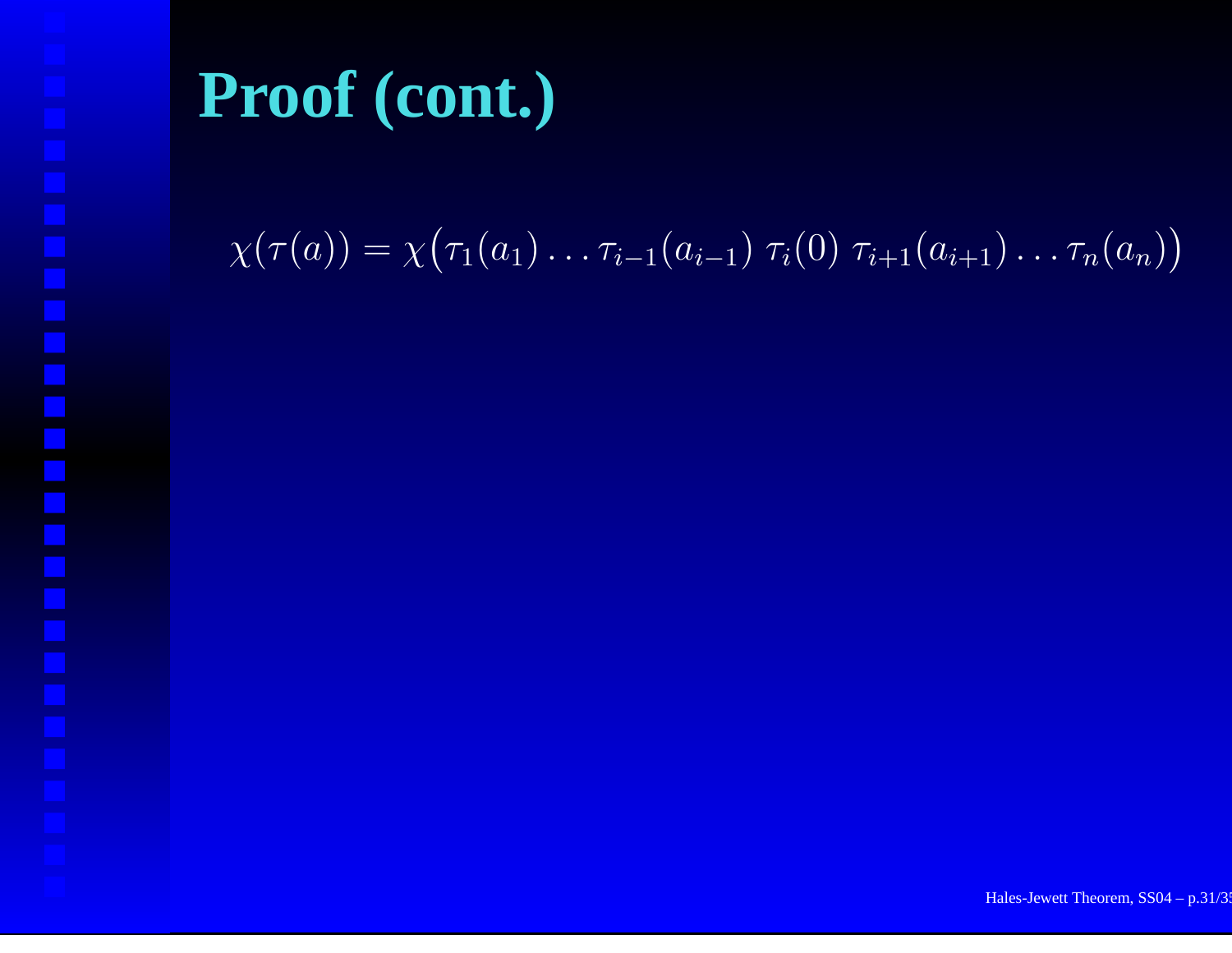#### $\chi(\tau(a)) = \chi(\tau_1(a_1) \ldots \tau_{i-1}(a_{i-1}) \tau_i(0) \tau_{i+1}(a_{i+1}) \ldots \tau_n(a_n))$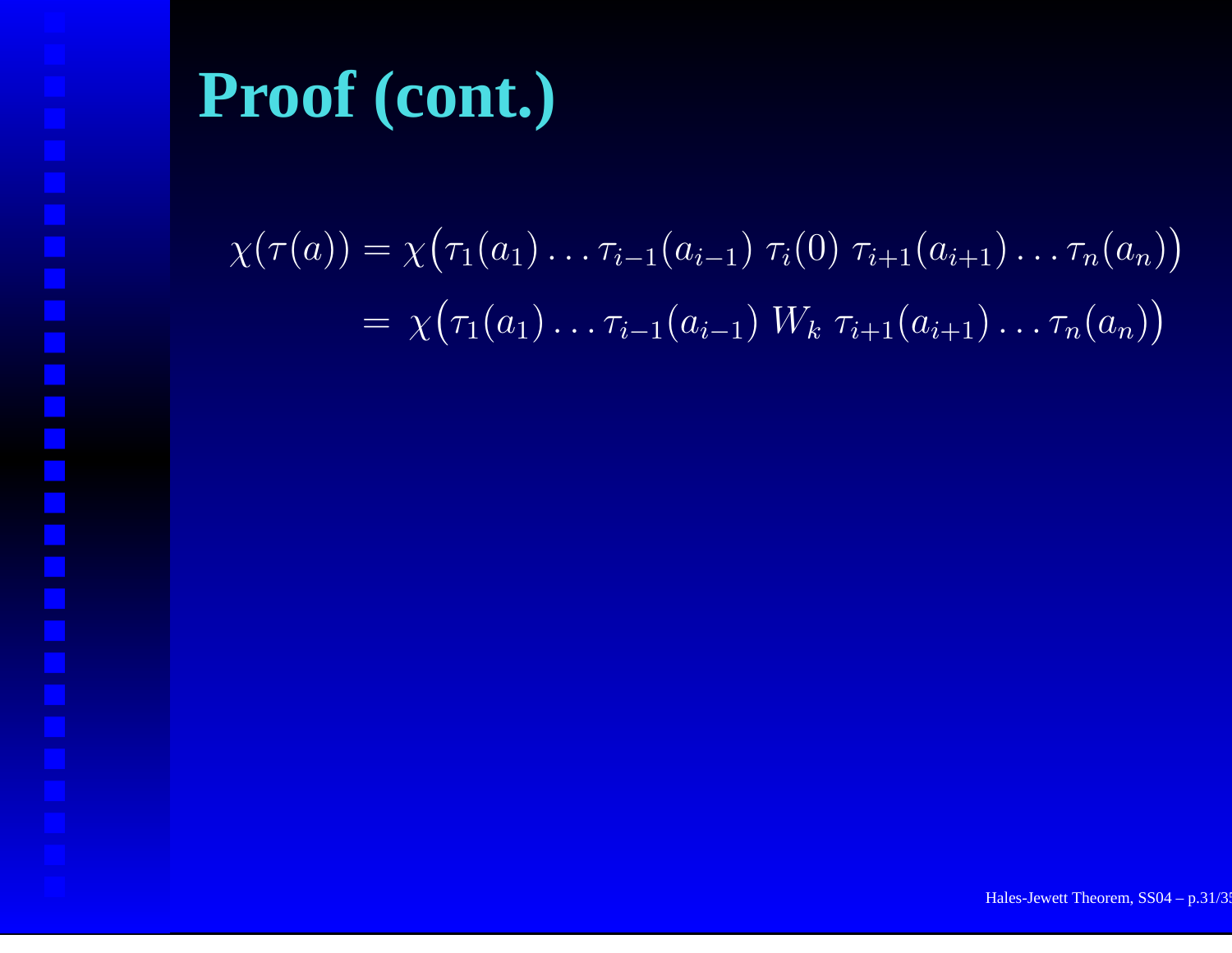$\chi(\tau(a)) = \chi(\tau_1(a_1) \ldots \tau_{i-1}(a_{i-1}) \tau_i(0) \tau_{i+1}(a_{i+1}) \ldots \tau_n(a_n))$ = $y = \chi\big(\tau_1(a_1) \ldots \tau_{i-1}(a_{i-1}) \; W_k \; \tau_{i+1}(a_{i+1}) \ldots \tau_n(a_n)\big)$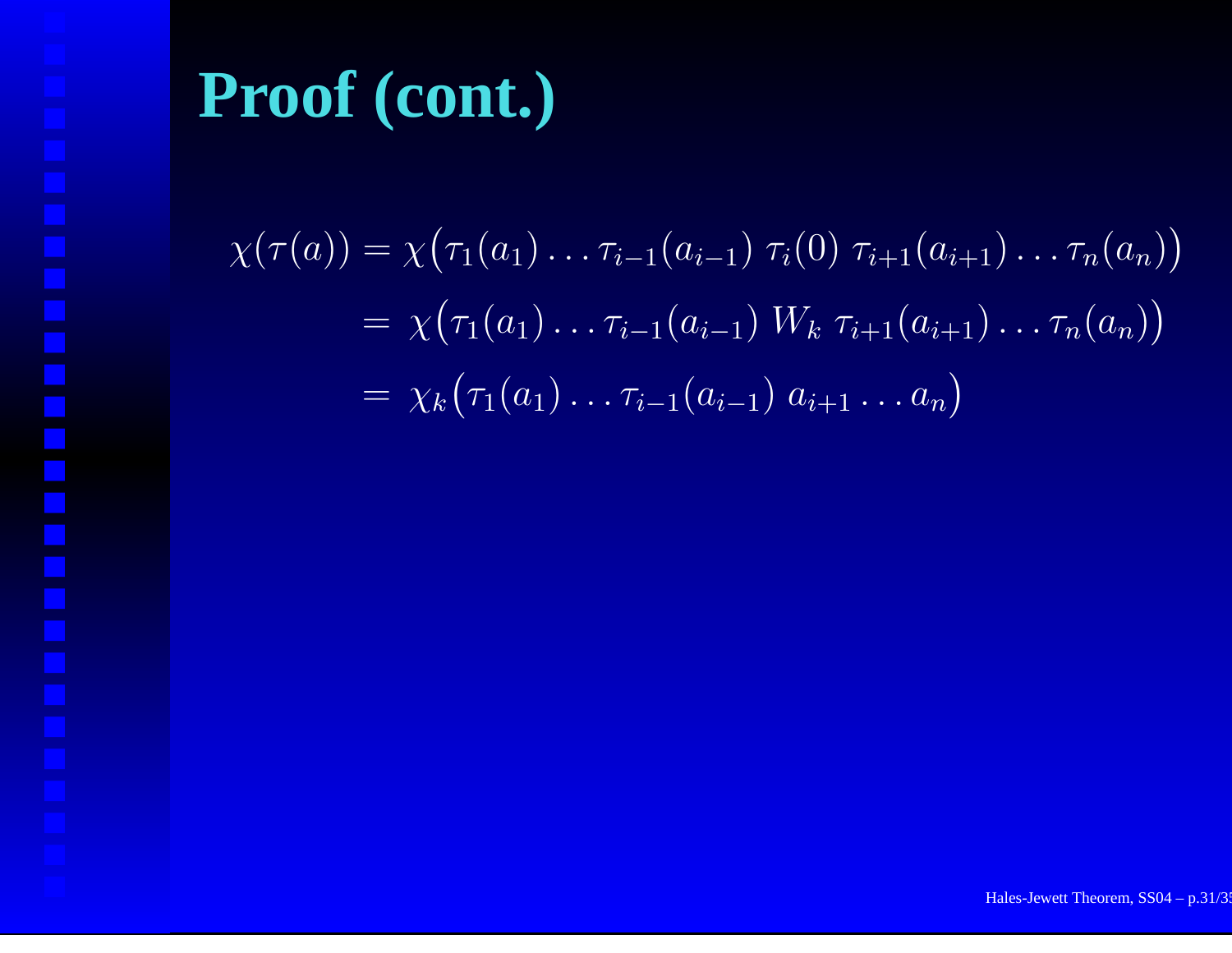$\chi(\tau(a)) = \chi(\tau_1(a_1)\dots\tau_{i-1}(a_{i-1})\tau_i(0)\tau_{i+1}(a_{i+1})\dots\tau_n(a_n))$ = $y = \chi\big(\tau_1(a_1) \ldots \tau_{i-1}(a_{i-1}) \; W_k \; \tau_{i+1}(a_{i+1}) \ldots \tau_n(a_n)\big)$ = $= \; \chi_k\big(\tau_1(a_1) \ldots \tau_{i-1}(a_{i-1}) \; a_{i+1} \ldots a_n\big)$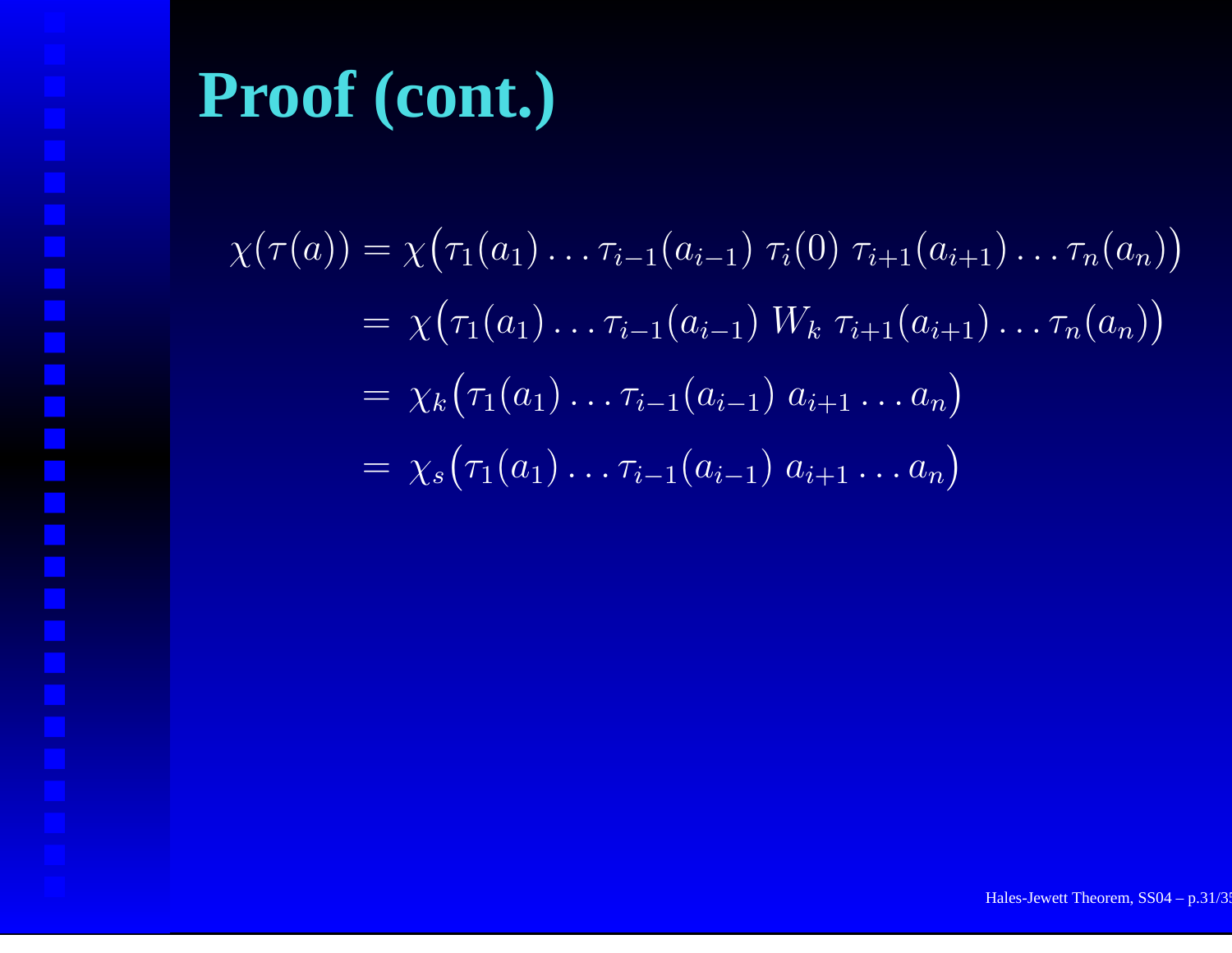$$
\chi(\tau(a)) = \chi(\tau_1(a_1) \dots \tau_{i-1}(a_{i-1}) \tau_i(0) \tau_{i+1}(a_{i+1}) \dots \tau_n(a_n))
$$
  
=  $\chi(\tau_1(a_1) \dots \tau_{i-1}(a_{i-1}) W_k \tau_{i+1}(a_{i+1}) \dots \tau_n(a_n))$   
=  $\chi_k(\tau_1(a_1) \dots \tau_{i-1}(a_{i-1}) a_{i+1} \dots a_n)$   
=  $\chi_s(\tau_1(a_1) \dots \tau_{i-1}(a_{i-1}) a_{i+1} \dots a_n)$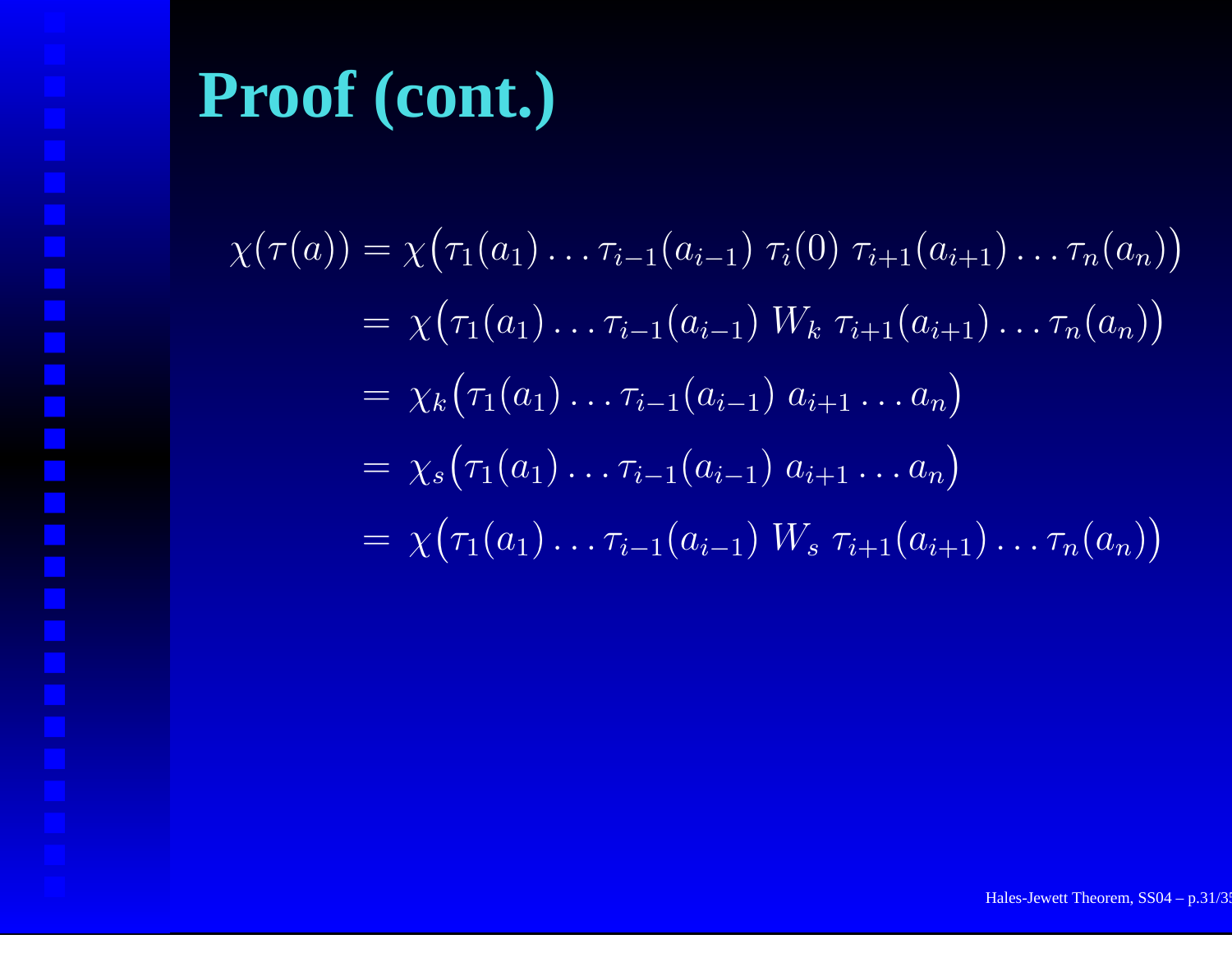$\chi(\tau(a)) = \chi(\tau_1(a_1) \ldots \tau_{i-1}(a_{i-1}) \tau_i(0) \tau_{i+1}(a_{i+1}) \ldots \tau_n(a_n))$ = $y = \chi\big(\tau_1(a_1) \ldots \tau_{i-1}(a_{i-1}) \; W_k \; \tau_{i+1}(a_{i+1}) \ldots \tau_n(a_n)\big)$ = $= \; \chi_k\big(\tau_1(a_1) \ldots \tau_{i-1}(a_{i-1}) \; a_{i+1} \ldots a_n\big)$ = $= \; \chi_s\big(\tau_1(a_1) \ldots \tau_{i-1}(a_{i-1}) \; a_{i+1} \ldots a_n\big)$ = $=\ \chi\big(\tau_1(a_1)\dots\tau_{i-1}(a_{i-1})\ W_s\ \tau_{i+1}(a_{i+1})\dots\tau_n(a_n)\big)$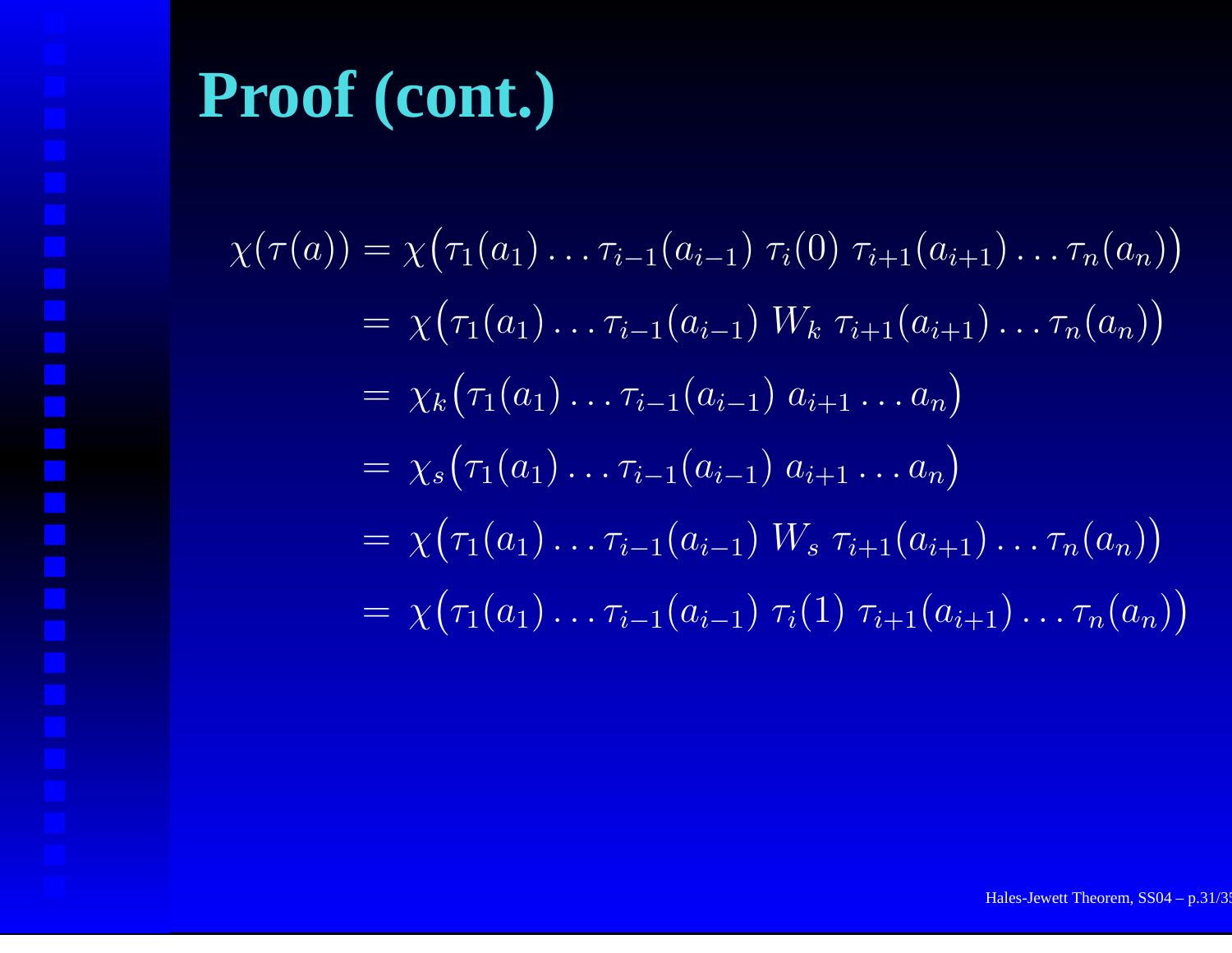$\chi(\tau(a)) = \chi(\tau_1(a_1) \ldots \tau_{i-1}(a_{i-1}) \tau_i(0) \tau_{i+1}(a_{i+1}) \ldots \tau_n(a_n))$ = $y = \chi\big(\tau_1(a_1) \ldots \tau_{i-1}(a_{i-1}) \; W_k \; \tau_{i+1}(a_{i+1}) \ldots \tau_n(a_n)\big)$ = $= \; \chi_k\big(\tau_1(a_1) \ldots \tau_{i-1}(a_{i-1}) \; a_{i+1} \ldots a_n\big)$ = $= \; \chi_s\big(\tau_1(a_1) \ldots \tau_{i-1}(a_{i-1}) \; a_{i+1} \ldots a_n\big)$ = $=\ \chi\big(\tau_1(a_1)\dots\tau_{i-1}(a_{i-1})\ W_s\ \tau_{i+1}(a_{i+1})\dots\tau_n(a_n)\big)$ = $y = \chi\big(\tau_1(a_1) \ldots \tau_{i-1}(a_{i-1}) \; \tau_i(1) \; \tau_{i+1}(a_{i+1}) \ldots \tau_n(a_n)\big)$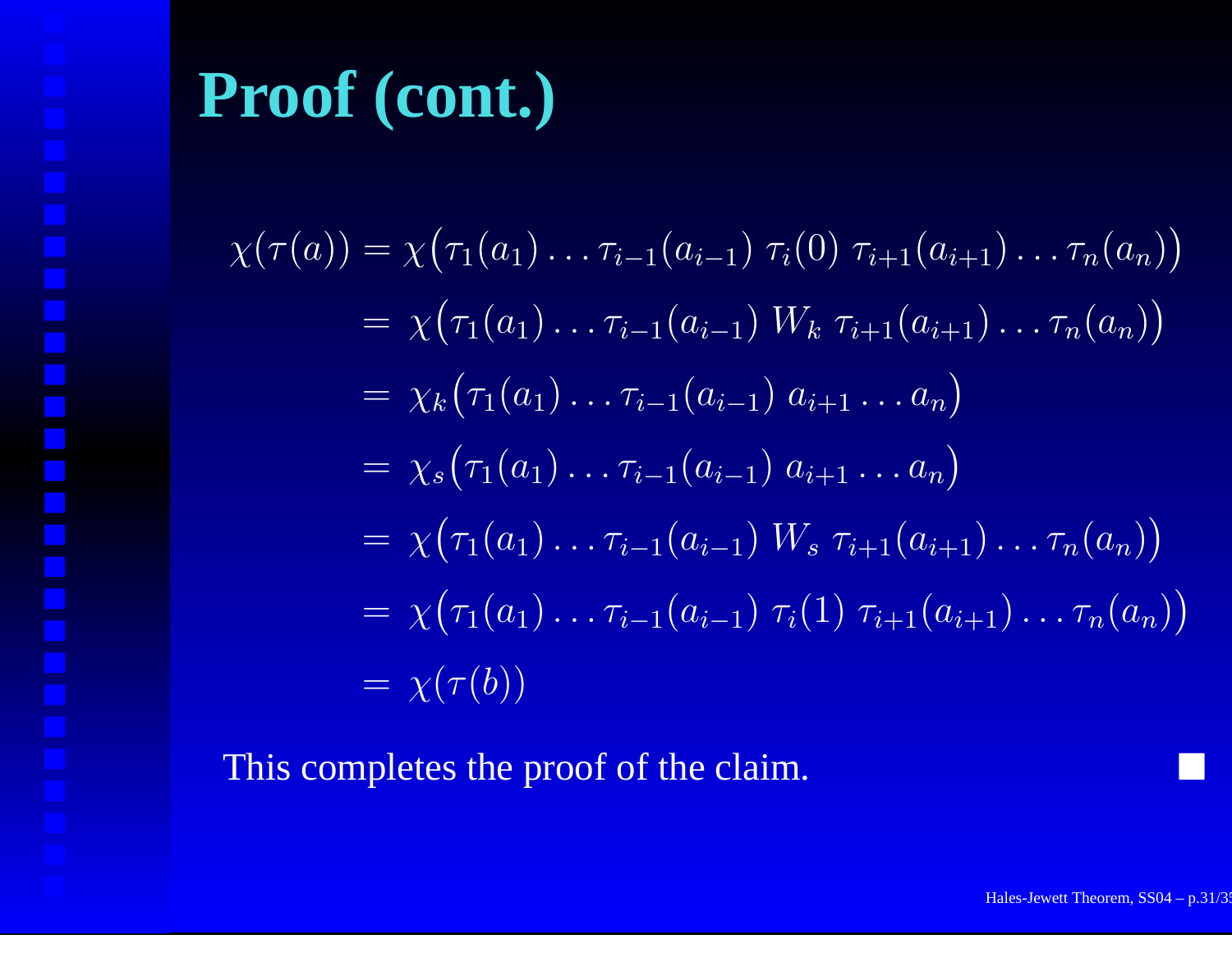$\chi(\tau(a)) = \chi(\tau_1(a_1) \ldots \tau_{i-1}(a_{i-1}) \tau_i(0) \tau_{i+1}(a_{i+1}) \ldots \tau_n(a_n))$ = $y = \chi\big(\tau_1(a_1) \ldots \tau_{i-1}(a_{i-1}) \; W_k \; \tau_{i+1}(a_{i+1}) \ldots \tau_n(a_n)\big)$ = $= \; \chi_k\big(\tau_1(a_1) \ldots \tau_{i-1}(a_{i-1}) \; a_{i+1} \ldots a_n\big)$ = $= \; \chi_s\big(\tau_1(a_1) \ldots \tau_{i-1}(a_{i-1}) \; a_{i+1} \ldots a_n\big)$ = $=\ \chi\big(\tau_1(a_1)\dots\tau_{i-1}(a_{i-1})\ W_s\ \tau_{i+1}(a_{i+1})\dots\tau_n(a_n)\big)$ = $y = \chi\big(\tau_1(a_1) \ldots \tau_{i-1}(a_{i-1}) \; \tau_i(1) \; \tau_{i+1}(a_{i+1}) \ldots \tau_n(a_n)\big)$ = $= \chi(\tau(b))$ 

This completes the proof of the claim.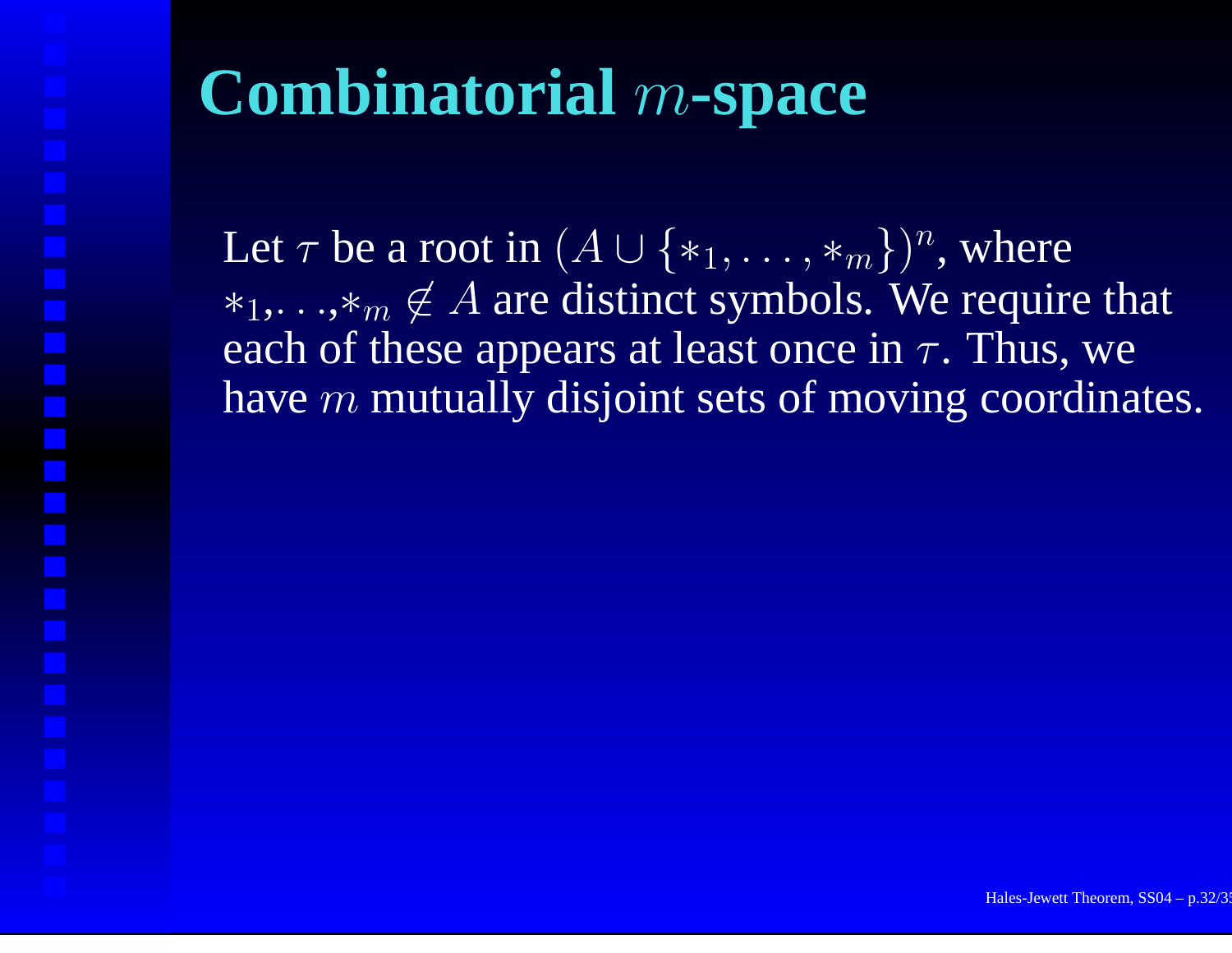# **Combinatorial** <sup>m</sup>**-space**

Let  $\tau$  be a root in  $(A \cup \{*_1,\ldots,*_m\})^n,$  where  $*_1,\ldots, *_m \notin A$  are distinct symbols. We require that each of these appears at least once in  $\tau.$  Thus, we have  $m$  mutually disjoint sets of moving coordinates.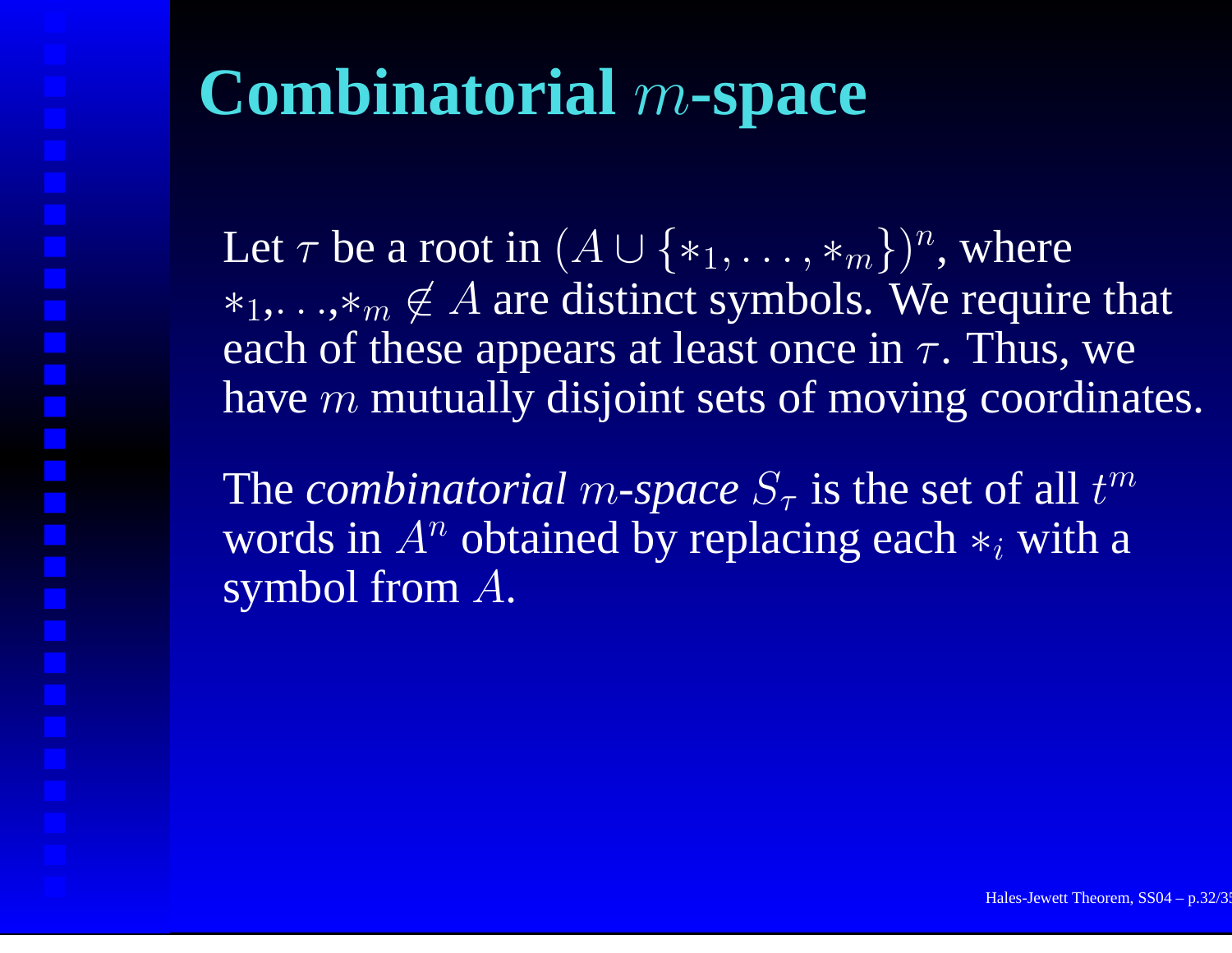### **Combinatorial** <sup>m</sup>**-space**

Let  $\tau$  be a root in  $(A \cup \{*_1,\ldots,*_m\})^n,$  where  $*_1,\ldots, *_m \notin A$  are distinct symbols. We require that each of these appears at least once in  $\tau.$  Thus, we have  $m$  mutually disjoint sets of moving coordinates.

The *combinatorial m-space*  $S_{\tau}$  is the set of all t  $m \$ words in A  $^n$  obtained by replacing each  $*_i$  with a symbol from A.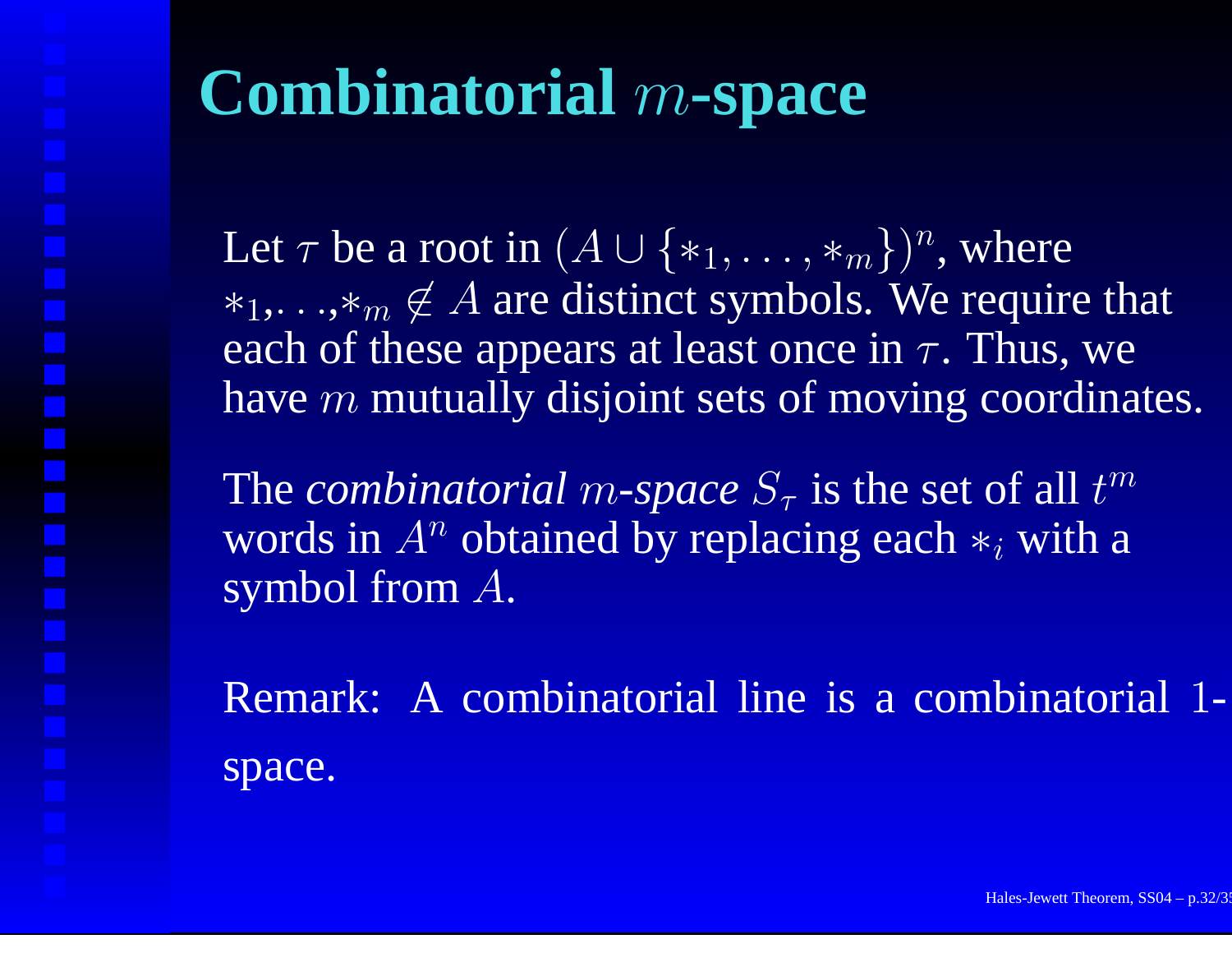# **Combinatorial** <sup>m</sup>**-space**

Let  $\tau$  be a root in  $(A \cup \{*_1,\ldots,*_m\})^n,$  where  $*_1,\ldots, *_m \notin A$  are distinct symbols. We require that each of these appears at least once in  $\tau.$  Thus, we have  $m$  mutually disjoint sets of moving coordinates.

The *combinatorial m-space*  $S_{\tau}$  is the set of all t  $m \$ words in A  $^n$  obtained by replacing each  $*_i$  with a symbol from A.

Remark: A combinatorial line is a combinatorial 1 space.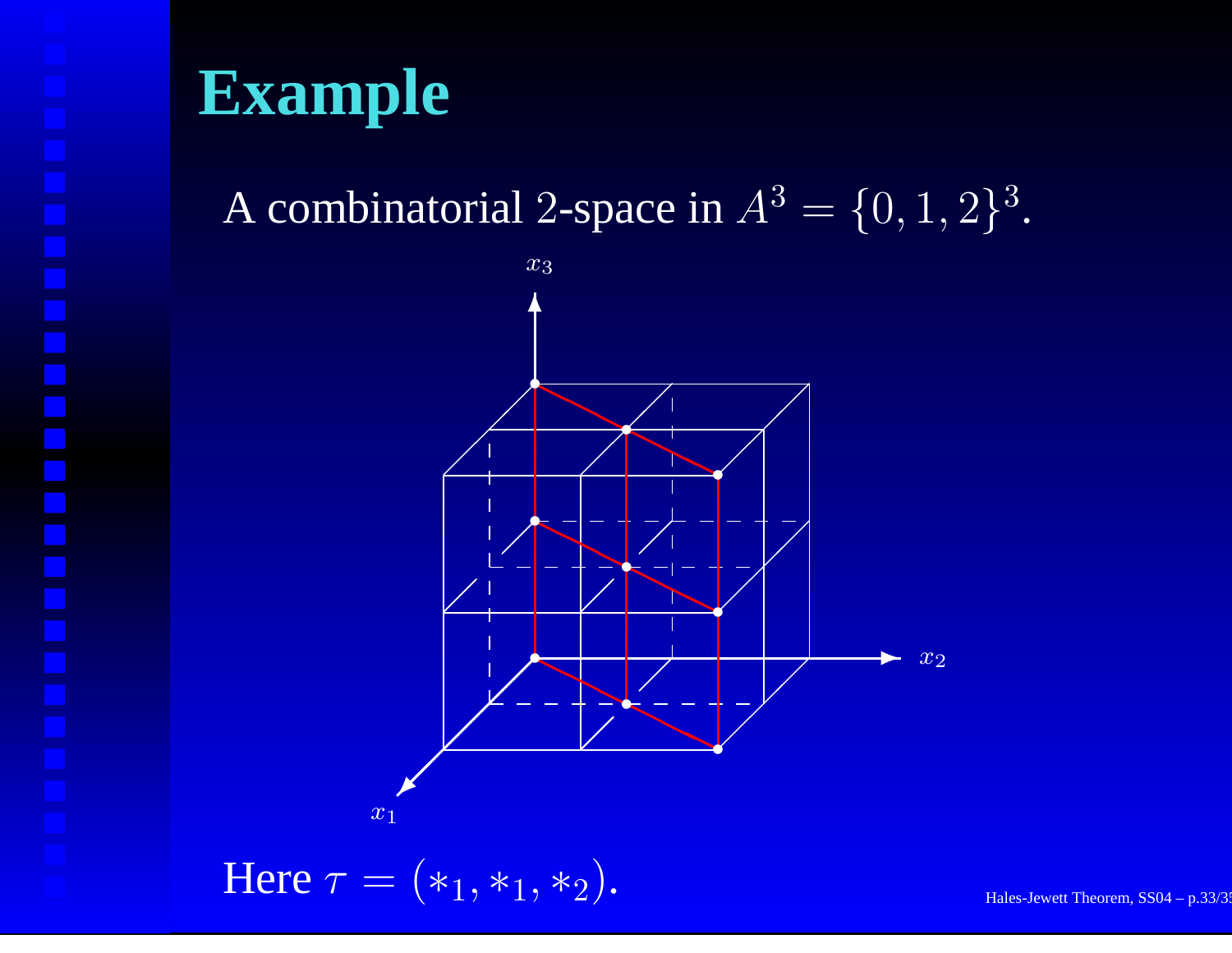#### **Example**

A combinatorial 2-space in  $A^3 = \{0, 1, 2\}^3$ .



 $\text{Here } \tau = (*_1, *_1, *_2).$  Hales-Jewett Theorem, SS04 – p.33/3: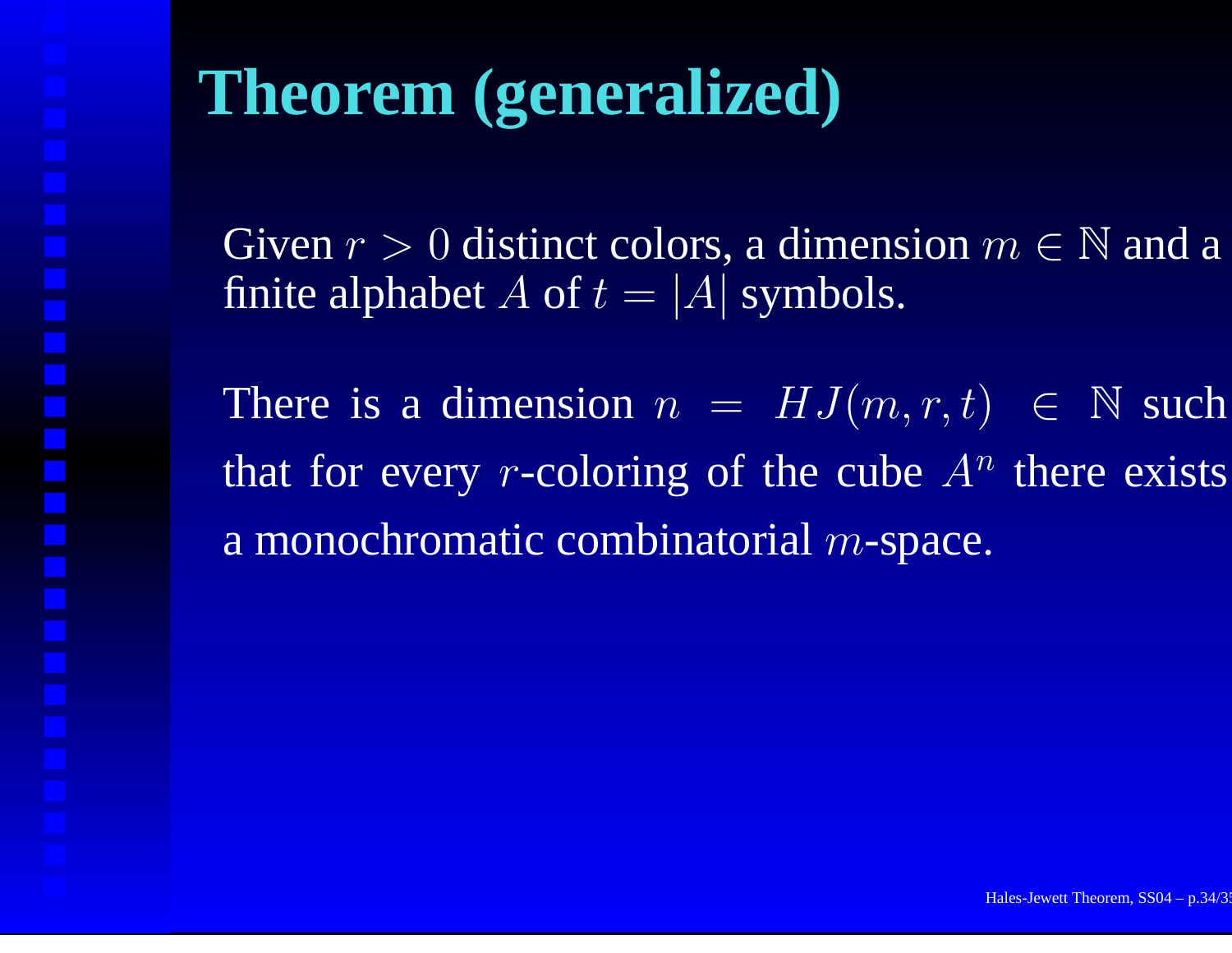#### **Theorem (generalized)**

Given  $r > 0$  distinct colors, a dimension  $m \in \mathbb{N}$  and a finite alphabet  $A$  of  $t=|A|$  symbols.

There is a dimension  $n = HJ(m,r,t) \in \mathbb{N}$  such that for every *r*-coloring of the cube  $A^n$  there exists a monochromatic combinatorial  $m$ -space.